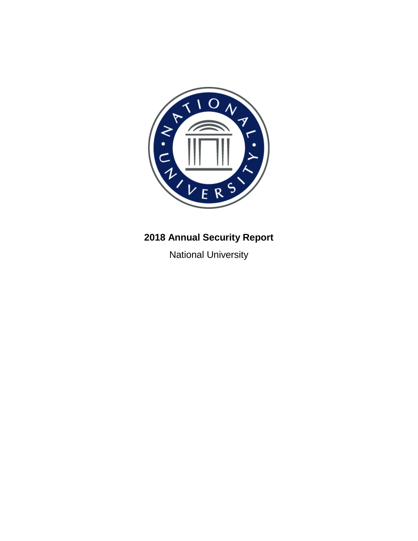

# **2018 Annual Security Report**

National University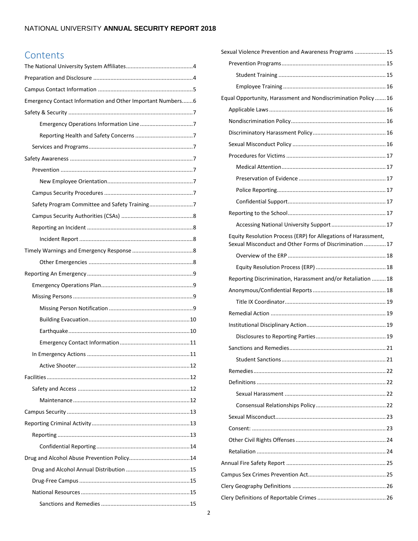# Contents

| Emergency Contact Information and Other Important Numbers6 |  |
|------------------------------------------------------------|--|
|                                                            |  |
|                                                            |  |
|                                                            |  |
|                                                            |  |
|                                                            |  |
|                                                            |  |
|                                                            |  |
|                                                            |  |
|                                                            |  |
|                                                            |  |
|                                                            |  |
|                                                            |  |
|                                                            |  |
|                                                            |  |
|                                                            |  |
|                                                            |  |
|                                                            |  |
|                                                            |  |
|                                                            |  |
|                                                            |  |
|                                                            |  |
|                                                            |  |
|                                                            |  |
|                                                            |  |
|                                                            |  |
|                                                            |  |
|                                                            |  |
|                                                            |  |
|                                                            |  |
|                                                            |  |
|                                                            |  |
|                                                            |  |
|                                                            |  |
|                                                            |  |
|                                                            |  |

| Sexual Violence Prevention and Awareness Programs  15                                                                     |
|---------------------------------------------------------------------------------------------------------------------------|
|                                                                                                                           |
|                                                                                                                           |
|                                                                                                                           |
| Equal Opportunity, Harassment and Nondiscrimination Policy 16                                                             |
|                                                                                                                           |
|                                                                                                                           |
|                                                                                                                           |
|                                                                                                                           |
|                                                                                                                           |
|                                                                                                                           |
|                                                                                                                           |
|                                                                                                                           |
|                                                                                                                           |
|                                                                                                                           |
|                                                                                                                           |
| Equity Resolution Process (ERP) for Allegations of Harassment,<br>Sexual Misconduct and Other Forms of Discrimination  17 |
|                                                                                                                           |
|                                                                                                                           |
|                                                                                                                           |
| Reporting Discrimination, Harassment and/or Retaliation  18                                                               |
|                                                                                                                           |
|                                                                                                                           |
|                                                                                                                           |
|                                                                                                                           |
|                                                                                                                           |
|                                                                                                                           |
|                                                                                                                           |
|                                                                                                                           |
|                                                                                                                           |
|                                                                                                                           |
|                                                                                                                           |
|                                                                                                                           |
|                                                                                                                           |
|                                                                                                                           |
|                                                                                                                           |
|                                                                                                                           |
|                                                                                                                           |
|                                                                                                                           |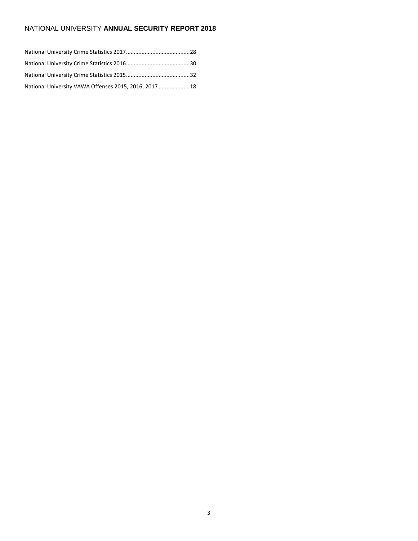| National University VAWA Offenses 2015, 2016, 2017 18 |  |
|-------------------------------------------------------|--|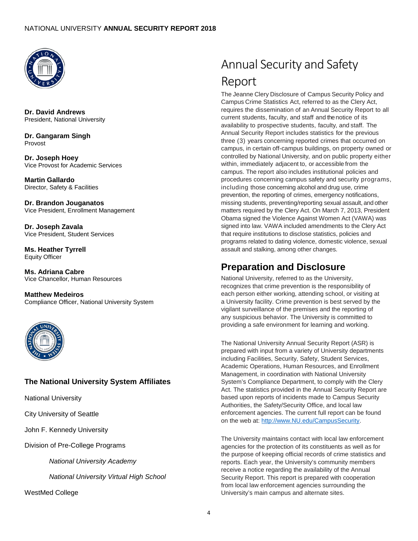

**Dr. David Andrews** President, National University

**Dr. Gangaram Singh** Provost

**Dr. Joseph Hoey** Vice Provost for Academic Services

**Martin Gallardo** Director, Safety & Facilities

**Dr. Brandon Jouganatos** Vice President, Enrollment Management

**Dr. Joseph Zavala** Vice President, Student Services

**Ms. Heather Tyrrell** Equity Officer

**Ms. Adriana Cabre** Vice Chancellor, Human Resources

**Matthew Medeiros** Compliance Officer, National University System



# <span id="page-3-0"></span>**The National University System Affiliates**

National University

City University of Seattle

John F. Kennedy University

Division of Pre-College Programs

*National University Academy*

*National University Virtual High School*

WestMed College

# Annual Security and Safety Report

The Jeanne Clery Disclosure of Campus Security Policy and Campus Crime Statistics Act, referred to as the Clery Act, requires the dissemination of an Annual Security Report to all current students, faculty, and staff and the notice of its availability to prospective students, faculty, and staff. The Annual Security Report includes statistics for the previous three (3) years concerning reported crimes that occurred on campus, in certain off-campus buildings, on property owned or controlled by National University, and on public property either within, immediately adjacent to, or accessible from the campus. The report also includes institutional policies and procedures concerning campus safety and security programs, including those concerning alcohol and drug use, crime prevention, the reporting of crimes, emergency notifications, missing students, preventing/reporting sexual assault, and other matters required by the Clery Act. On March 7, 2013, President Obama signed the Violence Against Women Act (VAWA) was signed into law. VAWA included amendments to the Clery Act that require institutions to disclose statistics, policies and programs related to dating violence, domestic violence, sexual assault and stalking, among other changes.

# <span id="page-3-1"></span>**Preparation and Disclosure**

National University, referred to as the University, recognizes that crime prevention is the responsibility of each person either working, attending school, or visiting at a University facility. Crime prevention is best served by the vigilant surveillance of the premises and the reporting of any suspicious behavior. The University is committed to providing a safe environment for learning and working.

The National University Annual Security Report (ASR) is prepared with input from a variety of University departments including Facilities, Security, Safety, Student Services, Academic Operations, Human Resources, and Enrollment Management, in coordination with National University System's Compliance Department, to comply with the Clery Act. The statistics provided in the Annual Security Report are based upon reports of incidents made to Campus Security Authorities, the Safety/Security Office, and local law enforcement agencies. The current full report can be found on the web at: [http://www.NU.edu/CampusSecurity.](http://www.nu.edu/CampusSecurity)

The University maintains contact with local law enforcement agencies for the protection of its constituents as well as for the purpose of keeping official records of crime statistics and reports. Each year, the University's community members receive a notice regarding the availability of the Annual Security Report. This report is prepared with cooperation from local law enforcement agencies surrounding the University's main campus and alternate sites.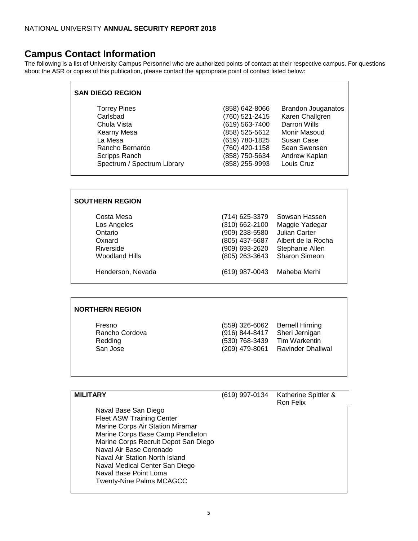# <span id="page-4-0"></span>**Campus Contact Information**

The following is a list of University Campus Personnel who are authorized points of contact at their respective campus. For questions about the ASR or copies of this publication, please contact the appropriate point of contact listed below:

| <b>SAN DIEGO REGION</b>     |                                  |                                     |
|-----------------------------|----------------------------------|-------------------------------------|
| <b>Torrey Pines</b>         | (858) 642-8066                   | <b>Brandon Jouganatos</b>           |
| Carlsbad                    | (760) 521-2415                   | Karen Challgren                     |
| Chula Vista<br>Kearny Mesa  | (619) 563-7400<br>(858) 525-5612 | <b>Darron Wills</b><br>Monir Masoud |
| La Mesa                     | (619) 780-1825                   | Susan Case                          |
| Rancho Bernardo             | (760) 420-1158                   | Sean Swensen                        |
| Scripps Ranch               | (858) 750-5634                   | Andrew Kaplan                       |
| Spectrum / Spectrum Library | (858) 255-9993                   | Louis Cruz                          |
|                             |                                  |                                     |

### **SOUTHERN REGION**

| Costa Mesa            | (714) 625-3379 | Sowsan Hassen        |
|-----------------------|----------------|----------------------|
| Los Angeles           | (310) 662-2100 | Maggie Yadegar       |
| Ontario               | (909) 238-5580 | Julian Carter        |
| Oxnard                | (805) 437-5687 | Albert de la Rocha   |
| Riverside             | (909) 693-2620 | Stephanie Allen      |
| <b>Woodland Hills</b> | (805) 263-3643 | <b>Sharon Simeon</b> |
| Henderson, Nevada     | (619) 987-0043 | Maheba Merhi         |

## **NORTHERN REGION**

| Fresno         | (559) 326-6062   | Bernell Hirning   |
|----------------|------------------|-------------------|
| Rancho Cordova | (916) 844-8417   | Sheri Jernigan    |
| Redding        | (530) 768-3439   | Tim Warkentin     |
| San Jose       | $(209)$ 479-8061 | Ravinder Dhaliwal |

| <b>MILITARY</b>                      | (619) 997-0134 | Katherine Spittler &<br>Ron Felix |
|--------------------------------------|----------------|-----------------------------------|
| Naval Base San Diego                 |                |                                   |
| <b>Fleet ASW Training Center</b>     |                |                                   |
| Marine Corps Air Station Miramar     |                |                                   |
| Marine Corps Base Camp Pendleton     |                |                                   |
| Marine Corps Recruit Depot San Diego |                |                                   |
| Naval Air Base Coronado              |                |                                   |
| Naval Air Station North Island       |                |                                   |
| Naval Medical Center San Diego       |                |                                   |
| Naval Base Point Loma                |                |                                   |
| <b>Twenty-Nine Palms MCAGCC</b>      |                |                                   |
|                                      |                |                                   |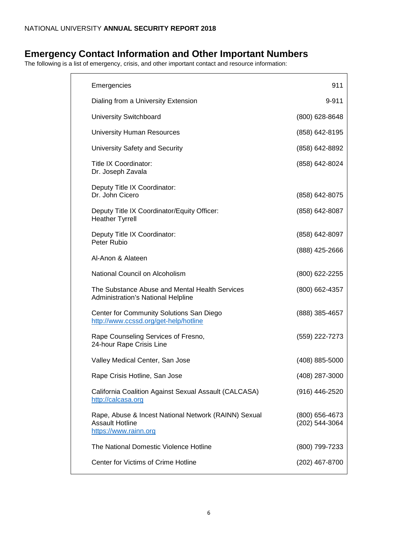# <span id="page-5-0"></span>**Emergency Contact Information and Other Important Numbers**

The following is a list of emergency, crisis, and other important contact and resource information:

| Emergencies                                                                                             | 911                              |
|---------------------------------------------------------------------------------------------------------|----------------------------------|
| Dialing from a University Extension                                                                     | 9-911                            |
| <b>University Switchboard</b>                                                                           | (800) 628-8648                   |
| <b>University Human Resources</b>                                                                       | (858) 642-8195                   |
| University Safety and Security                                                                          | (858) 642-8892                   |
| Title IX Coordinator:<br>Dr. Joseph Zavala                                                              | (858) 642-8024                   |
| Deputy Title IX Coordinator:<br>Dr. John Cicero                                                         | (858) 642-8075                   |
| Deputy Title IX Coordinator/Equity Officer:<br><b>Heather Tyrrell</b>                                   | (858) 642-8087                   |
| Deputy Title IX Coordinator:<br>Peter Rubio                                                             | (858) 642-8097                   |
| Al-Anon & Alateen                                                                                       | (888) 425-2666                   |
| National Council on Alcoholism                                                                          | (800) 622-2255                   |
| The Substance Abuse and Mental Health Services<br><b>Administration's National Helpline</b>             | (800) 662-4357                   |
| Center for Community Solutions San Diego<br>http://www.ccssd.org/get-help/hotline                       | (888) 385-4657                   |
| Rape Counseling Services of Fresno,<br>24-hour Rape Crisis Line                                         | (559) 222-7273                   |
| Valley Medical Center, San Jose                                                                         | (408) 885-5000                   |
| Rape Crisis Hotline, San Jose                                                                           | (408) 287-3000                   |
| California Coalition Against Sexual Assault (CALCASA)<br>http://calcasa.org                             | (916) 446-2520                   |
| Rape, Abuse & Incest National Network (RAINN) Sexual<br><b>Assault Hotline</b><br>https://www.rainn.org | (800) 656-4673<br>(202) 544-3064 |
| The National Domestic Violence Hotline                                                                  | (800) 799-7233                   |
| Center for Victims of Crime Hotline                                                                     | (202) 467-8700                   |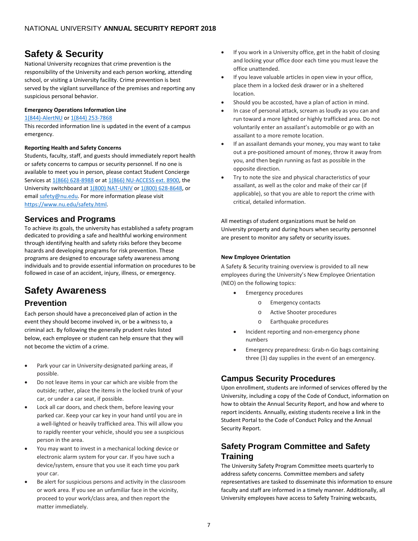# <span id="page-6-0"></span>**Safety & Security**

National University recognizes that crime prevention is the responsibility of the University and each person working, attending school, or visiting a University facility. Crime prevention is best served by the vigilant surveillance of the premises and reporting any suspicious personal behavior.

#### <span id="page-6-1"></span>**Emergency Operations Information Line**

#### [1\(844\)-AlertNU](tel:8442537868) or [1\(844\) 253-7868](tel:8442537868)

This recorded information line is updated in the event of a campus emergency.

#### <span id="page-6-2"></span>**Reporting Health and Safety Concerns**

Students, faculty, staff, and guests should immediately report health or safety concerns to campus or security personnel. If no one is available to meet you in person, please contact Student Concierge Services at [1\(866\) 628-8988](tel:8666288988) or at [1\(866\) NU-ACCESS ext. 8900,](tel:8666822237,8900) the University switchboard a[t 1\(800\) NAT-UNIV](tel:86288648) o[r 1\(800\) 628-8648,](tel:86288648) or email [safety@nu.edu.](mailto:safety@nu.edu) For more information please visit [https://www.nu.edu/safety.html.](https://www.nu.edu/safety.html) 

# <span id="page-6-3"></span>**Services and Programs**

To achieve its goals, the university has established a safety program dedicated to providing a safe and healthful working environment through identifying health and safety risks before they become hazards and developing programs for risk prevention. These programs are designed to encourage safety awareness among individuals and to provide essential information on procedures to be followed in case of an accident, injury, illness, or emergency.

# <span id="page-6-4"></span>**Safety Awareness**

# <span id="page-6-5"></span>**Prevention**

Each person should have a preconceived plan of action in the event they should become involved in, or be a witness to, a criminal act. By following the generally prudent rules listed below, each employee or student can help ensure that they will not become the victim of a crime.

- Park your car in University-designated parking areas, if possible.
- Do not leave items in your car which are visible from the outside; rather, place the items in the locked trunk of your car, or under a car seat, if possible.
- Lock all car doors, and check them, before leaving your parked car. Keep your car key in your hand until you are in a well-lighted or heavily trafficked area. This will allow you to rapidly reenter your vehicle, should you see a suspicious person in the area.
- You may want to invest in a mechanical locking device or electronic alarm system for your car. If you have such a device/system, ensure that you use it each time you park your car.
- Be alert for suspicious persons and activity in the classroom or work area. If you see an unfamiliar face in the vicinity, proceed to your work/class area, and then report the matter immediately.
- If you work in a University office, get in the habit of closing and locking your office door each time you must leave the office unattended.
- If you leave valuable articles in open view in your office, place them in a locked desk drawer or in a sheltered location.
- Should you be accosted, have a plan of action in mind.
- In case of personal attack, scream as loudly as you can and run toward a more lighted or highly trafficked area. Do not voluntarily enter an assailant's automobile or go with an assailant to a more remote location.
- If an assailant demands your money, you may want to take out a pre-positioned amount of money, throw it away from you, and then begin running as fast as possible in the opposite direction.
- Try to note the size and physical characteristics of your assailant, as well as the color and make of their car (if applicable), so that you are able to report the crime with critical, detailed information.

All meetings of student organizations must be held on University property and during hours when security personnel are present to monitor any safety or security issues.

### <span id="page-6-6"></span>**New Employee Orientation**

A Safety & Security training overview is provided to all new employees during the University's New Employee Orientation (NEO) on the following topics:

- Emergency procedures
	- o Emergency contacts
	- o Active Shooter procedures
	- o Earthquake procedures
- Incident reporting and non-emergency phone numbers
- Emergency preparedness: Grab-n-Go bags containing three (3) day supplies in the event of an emergency.

# <span id="page-6-7"></span>**Campus Security Procedures**

Upon enrollment, students are informed of services offered by the University, including a copy of the Code of Conduct, information on how to obtain the Annual Security Report, and how and where to report incidents. Annually, existing students receive a link in the Student Portal to the Code of Conduct Policy and the Annual Security Report.

# <span id="page-6-8"></span>**Safety Program Committee and Safety Training**

The University Safety Program Committee meets quarterly to address safety concerns. Committee members and safety representatives are tasked to disseminate this information to ensure faculty and staff are informed in a timely manner. Additionally, all University employees have access to Safety Training webcasts,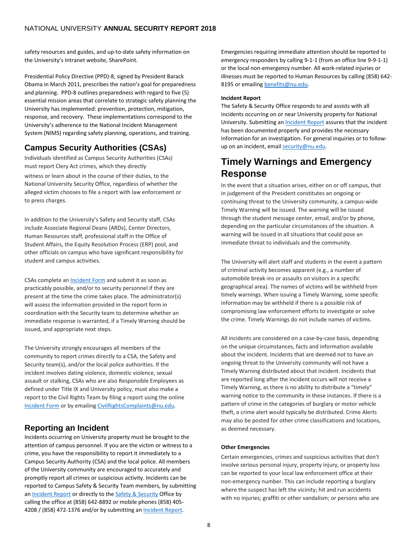safety resources and guides, and up-to-date safety information on the University's Intranet website, SharePoint.

Presidential Policy Directive (PPD)-8, signed by President Barack Obama in March 2011, prescribes the nation's goal for preparedness and planning. PPD-8 outlines preparedness with regard to five (5) essential mission areas that correlate to strategic safety planning the University has implemented: prevention, protection, mitigation, response, and recovery. These implementations correspond to the University's adherence to the National Incident Management System (NIMS) regarding safety planning, operations, and training.

# <span id="page-7-0"></span>**Campus Security Authorities (CSAs)**

Individuals identified as Campus Security Authorities (CSAs) must report Clery Act crimes, which they directly witness or learn about in the course of their duties, to the National University Security Office, regardless of whether the alleged victim chooses to file a report with law enforcement or to press charges.

In addition to the University's Safety and Security staff, CSAs include Associate Regional Deans (ARDs), Center Directors, Human Resources staff, professional staff in the Office of Student Affairs, the Equity Resolution Process (ERP) pool, and other officials on campus who have significant responsibility for student and campus activities.

CSAs complete an **Incident Form** and submit it as soon as practicably possible, and/or to security personnel if they are present at the time the crime takes place. The administrator(s) will assess the information provided in the report form in coordination with the Security team to determine whether an immediate response is warranted, if a Timely Warning should be issued, and appropriate next steps.

The University strongly encourages all members of the community to report crimes directly to a CSA, the Safety and Security team(s), and/or the local police authorities. If the incident involves dating violence, domestic violence, sexual assault or stalking, CSAs who are also Responsible Employees as defined under Title IX and University policy, must also make a report to the Civil Rights Team by filing a report using the online [Incident Form](https://cm.maxient.com/reportingform.php?NationalUniv&layout_id=0) or by emailing [CivilRightsComplaints@nu.edu.](mailto:CivilRightsComplaints@nu.edu)

# <span id="page-7-1"></span>**Reporting an Incident**

Incidents occurring on University property must be brought to the attention of campus personnel. If you are the victim or witness to a crime, you have the responsibility to report it immediately to a Campus Security Authority (CSA) and the local police. All members of the University community are encouraged to accurately and promptly report all crimes or suspicious activity. Incidents can be reported to Campus Safety & Security Team members, by submitting a[n Incident Report](https://cm.maxient.com/reportingform.php?NationalUniv&layout_id=0) or directly to the [Safety & Security](mailto:security@nu.edu) Office by calling the office at (858) 642-8892 or mobile phones (858) 405 4208 / (858) 472-1376 and/or by submitting a[n Incident Report.](https://cm.maxient.com/reportingform.php?NationalUniv&layout_id=0)

Emergencies requiring immediate attention should be reported to emergency responders by calling 9-1-1 (from an office line 9-9-1-1) or the local non-emergency number. All work-related injuries or illnesses must be reported to Human Resources by calling (858) 642 8195 or emailin[g benefits@nu.edu.](mailto:benefits@nu.edu)

#### <span id="page-7-2"></span>**Incident Report**

The Safety & Security Office responds to and assists with all incidents occurring on or near University property for National University. Submitting a[n Incident Report](https://cm.maxient.com/reportingform.php?NationalUniv&layout_id=0) assures that the incident has been documented properly and provides the necessary information for an investigation. For general inquiries or to followup on an incident, email [security@nu.edu.](mailto:security@nu.edu)

# <span id="page-7-3"></span>**Timely Warnings and Emergency Response**

In the event that a situation arises, either on or off campus, that in judgement of the President constitutes an ongoing or continuing threat to the University community, a campus-wide Timely Warning will be issued. The warning will be issued through the student message center, email, and/or by phone, depending on the particular circumstances of the situation. A warning will be issued in all situations that could pose an immediate threat to individuals and the community.

The University will alert staff and students in the event a pattern of criminal activity becomes apparent (e.g., a number of automobile break-ins or assaults on visitors in a specific geographical area). The names of victims will be withheld from timely warnings. When issuing a Timely Warning, some specific information may be withheld if there is a possible risk of compromising law enforcement efforts to investigate or solve the crime. Timely Warnings do not include names of victims.

All incidents are considered on a case-by-case basis, depending on the unique circumstances, facts and information available about the incident. Incidents that are deemed not to have an ongoing threat to the University community will not have a Timely Warning distributed about that incident. Incidents that are reported long after the incident occurs will not receive a Timely Warning, as there is no ability to distribute a "timely" warning notice to the community in these instances. If there is a pattern of crime in the categories of burglary or motor vehicle theft, a crime alert would typically be distributed. Crime Alerts may also be posted for other crime classifications and locations, as deemed necessary.

#### <span id="page-7-4"></span>**Other Emergencies**

Certain emergencies, crimes and suspicious activities that don't involve serious personal injury, property injury, or property loss can be reported to your local law enforcement office at their non-emergency number. This can include reporting a burglary where the suspect has left the vicinity; hit and run accidents with no injuries; graffiti or other vandalism; or persons who are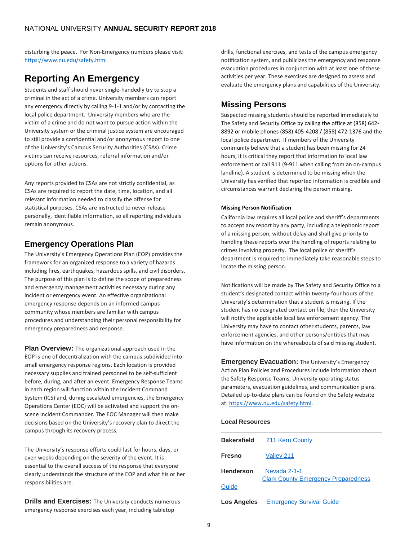disturbing the peace. For Non-Emergency numbers please visit: <https://www.nu.edu/safety.html>

# <span id="page-8-0"></span>**Reporting An Emergency**

Students and staff should never single-handedly try to stop a criminal in the act of a crime. University members can report any emergency directly by calling 9-1-1 and/or by contacting the local police department. University members who are the victim of a crime and do not want to pursue action within the University system or the criminal justice system are encouraged to still provide a confidential and/or anonymous report to one of the University's Campus Security Authorities (CSAs). Crime victims can receive resources, referral information and/or options for other actions.

Any reports provided to CSAs are not strictly confidential, as CSAs are required to report the date, time, location, and all relevant information needed to classify the offense for statistical purposes. CSAs are instructed to never release personally, identifiable information, so all reporting individuals remain anonymous.

# <span id="page-8-1"></span>**Emergency Operations Plan**

The University's Emergency Operations Plan (EOP) provides the framework for an organized response to a variety of hazards including fires, earthquakes, hazardous spills, and civil disorders. The purpose of this plan is to define the scope of preparedness and emergency management activities necessary during any incident or emergency event. An effective organizational emergency response depends on an informed campus community whose members are familiar with campus procedures and understanding their personal responsibility for emergency preparedness and response.

**Plan Overview:** The organizational approach used in the EOP is one of decentralization with the campus subdivided into small emergency response regions. Each location is provided necessary supplies and trained personnel to be self-sufficient before, during, and after an event. Emergency Response Teams in each region will function within the Incident Command System (ICS) and, during escalated emergencies, the Emergency Operations Center (EOC) will be activated and support the onscene Incident Commander. The EOC Manager will then make decisions based on the University's recovery plan to direct the campus through its recovery process.

The University's response efforts could last for hours, days, or even weeks depending on the severity of the event. It is essential to the overall success of the response that everyone clearly understands the structure of the EOP and what his or her responsibilities are.

**Drills and Exercises:** The University conducts numerous emergency response exercises each year, including tabletop

drills, functional exercises, and tests of the campus emergency notification system, and publicizes the emergency and response evacuation procedures in conjunction with at least one of these activities per year. These exercises are designed to assess and evaluate the emergency plans and capabilities of the University.

# <span id="page-8-2"></span>**Missing Persons**

Suspected missing students should be reported immediately to The Safety and Security Office by calling the office at (858) 642- 8892 or mobile phones (858) 405-4208 / (858) 472-1376 and the local police department. If members of the University community believe that a student has been missing for 24 hours, it is critical they report that information to local law enforcement or call 911 (9-911 when calling from an on-campus landline). A student is determined to be missing when the University has verified that reported information is credible and circumstances warrant declaring the person missing.

#### <span id="page-8-3"></span>**Missing Person Notification**

California law requires all local police and sheriff's departments to accept any report by any party, including a telephonic report of a missing person, without delay and shall give priority to handling these reports over the handling of reports relating to crimes involving property. The local police or sheriff's department is required to immediately take reasonable steps to locate the missing person.

Notifications will be made by The Safety and Security Office to a student's designated contact within twenty-four hours of the University's determination that a student is missing. If the student has no designated contact on file, then the University will notify the applicable local law enforcement agency. The University may have to contact other students, parents, law enforcement agencies, and other persons/entities that may have information on the whereabouts of said missing student.

**Emergency Evacuation:** The University's Emergency Action Plan Policies and Procedures include information about the Safety Response Teams, University operating status parameters, evacuation guidelines, and communication plans. Detailed up-to-date plans can be found on the Safety website at: [https://www.nu.edu/safety.html.](https://www.nu.edu/safety.html)

### **Local Resources**

| <b>Bakersfield</b>        | 211 Kern County                                            |
|---------------------------|------------------------------------------------------------|
| <b>Fresno</b>             | Valley 211                                                 |
| <b>Henderson</b><br>Guide | Nevada 2-1-1<br><b>Clark County Emergency Preparedness</b> |
| Los Angeles               | <b>Emergency Survival Guide</b>                            |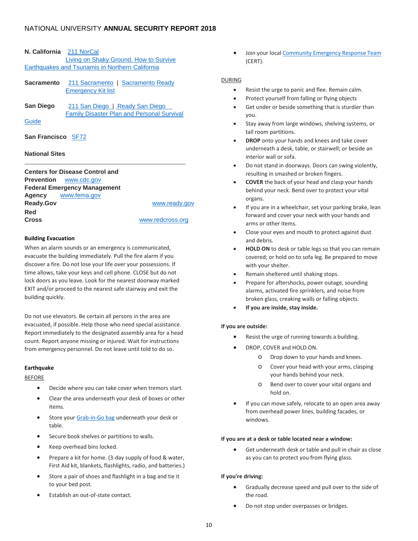|  |  | N. California | 211 NorCal |
|--|--|---------------|------------|
|--|--|---------------|------------|

| Living on Shaky Ground. How to Survive          |
|-------------------------------------------------|
| Earthquakes and Tsunamis in Northern California |
|                                                 |

| Sacramento |                           | 211 Sacramento   Sacramento Ready |
|------------|---------------------------|-----------------------------------|
|            | <b>Emergency Kit list</b> |                                   |

San Diego [211 San Diego](http://211sandiego.org/) | Ready San Diego [Family Disaster Plan and Personal Survival](http://www.readysandiego.org/Resources/Family-Disaster-Plan-English.pdf)  **[Guide](http://www.readysandiego.org/Resources/Family-Disaster-Plan-English.pdf)** 

#### **San Francisco** [SF72](http://www.sf72.org/home)

#### **National Sites**

|                  | <b>Centers for Disease Control and</b> |                  |
|------------------|----------------------------------------|------------------|
|                  | <b>Prevention</b> www.cdc.gov          |                  |
|                  | <b>Federal Emergency Management</b>    |                  |
|                  | Agency www.fema.gov                    |                  |
| <b>Ready.Gov</b> |                                        | www.ready.gov    |
| Red              |                                        |                  |
| <b>Cross</b>     |                                        | www.redcross.org |

#### <span id="page-9-0"></span>**Building Evacuation**

When an alarm sounds or an emergency is communicated, evacuate the building immediately. Pull the fire alarm if you discover a fire. Do not lose your life over your possessions. If time allows, take your keys and cell phone. CLOSE but do not lock doors as you leave. Look for the nearest doorway marked EXIT and/or proceed to the nearest safe stairway and exit the building quickly.

Do not use elevators. Be certain all persons in the area are evacuated, if possible. Help those who need special assistance. Report immediately to the designated assembly area for a head count. Report anyone missing or injured. Wait for instructions from emergency personnel. Do not leave until told to do so.

#### <span id="page-9-1"></span>**Earthquake**

#### BEFORE

- Decide where you can take cover when tremors start.
- Clear the area underneath your desk of boxes or other items.
- Store your [Grab-in-Go bag](https://natuniv.sharepoint.com/sites/Safety/SitePages/Resources.aspx) underneath your desk or table.
- Secure book shelves or partitions to walls.
- Keep overhead bins locked.
- Prepare a kit for home. (3-day supply of food & water, First Aid kit, blankets, flashlights, radio, and batteries.)
- Store a pair of shoes and flashlight in a bag and tie it to your bed post.
- Establish an out-of-state contact.

Join your loca[l Community Emergency Response Team](https://www.fema.gov/community-emergency-response-teams) (CERT).

#### DURING

- Resist the urge to panic and flee. Remain calm.
- Protect yourself from falling or flying objects
- Get under or beside something that is sturdier than you.
- Stay away from large windows, shelving systems, or tall room partitions.
- **DROP** onto your hands and knees and take cover underneath a desk, table, or stairwell; or beside an interior wall or sofa.
- Do not stand in doorways. Doors can swing violently, resulting in smashed or broken fingers.
- **COVER** the back of your head and clasp your hands behind your neck. Bend over to protect your vital organs.
- If you are in a wheelchair, set your parking brake, lean forward and cover your neck with your hands and arms or other items.
- Close your eyes and mouth to protect against dust and debris.
- **HOLD ON** to desk or table legs so that you can remain covered; or hold on to sofa leg. Be prepared to move with your shelter.
- Remain sheltered until shaking stops.
- Prepare for aftershocks, power outage, sounding alarms, activated fire sprinklers, and noise from broken glass, creaking walls or falling objects.
- **If you are inside, stay inside.**

#### **If you are outside:**

- Resist the urge of running towards a building.
	- DROP, COVER and HOLD ON.
		- o Drop down to your hands and knees.
		- o Cover your head with your arms, clasping your hands behind your neck.
		- o Bend over to cover your vital organs and hold on.
- If you can move safely, relocate to an open area away from overhead power lines, building facades, or windows.

#### **If you are at a desk or table located near a window:**

Get underneath desk or table and pull in chair as close as you can to protect you from flying glass.

#### **If you're driving:**

- Gradually decrease speed and pull over to the side of the road.
- Do not stop under overpasses or bridges.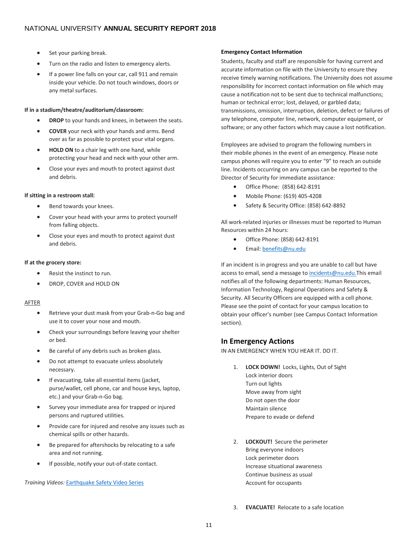- Set your parking break.
- Turn on the radio and listen to emergency alerts.
- If a power line falls on your car, call 911 and remain inside your vehicle. Do not touch windows, doors or any metal surfaces.

#### **If in a stadium/theatre/auditorium/classroom:**

- **DROP** to your hands and knees, in between the seats.
- **COVER** your neck with your hands and arms. Bend over as far as possible to protect your vital organs.
- **HOLD ON** to a chair leg with one hand, while protecting your head and neck with your other arm.
- Close your eyes and mouth to protect against dust and debris.

#### **If sitting in a restroom stall:**

- Bend towards your knees.
- Cover your head with your arms to protect yourself from falling objects.
- Close your eyes and mouth to protect against dust and debris.

#### **If at the grocery store:**

- Resist the instinct to run.
- DROP, COVER and HOLD ON

#### AFTER

- Retrieve your dust mask from your Grab-n-Go bag and use it to cover your nose and mouth.
- Check your surroundings before leaving your shelter or bed.
- Be careful of any debris such as broken glass.
- Do not attempt to evacuate unless absolutely necessary.
- If evacuating, take all essential items (jacket, purse/wallet, cell phone, car and house keys, laptop, etc.) and your Grab-n-Go bag.
- Survey your immediate area for trapped or injured persons and ruptured utilities.
- Provide care for injured and resolve any issues such as chemical spills or other hazards.
- Be prepared for aftershocks by relocating to a safe area and not running.
- If possible, notify your out-of-state contact.

#### *Training Videos:* [Earthquake Safety Video Series](https://www.youtube.com/playlist?list=PLs1gMujRSBY2t7JB4VS-AymFwN-6Lvg20)

#### <span id="page-10-0"></span>**Emergency Contact Information**

Students, faculty and staff are responsible for having current and accurate information on file with the University to ensure they receive timely warning notifications. The University does not assume responsibility for incorrect contact information on file which may cause a notification not to be sent due to technical malfunctions; human or technical error; lost, delayed, or garbled data; transmissions, omission, interruption, deletion, defect or failures of any telephone, computer line, network, computer equipment, or software; or any other factors which may cause a lost notification.

Employees are advised to program the following numbers in their mobile phones in the event of an emergency. Please note campus phones will require you to enter "9" to reach an outside line. Incidents occurring on any campus can be reported to the Director of Security for immediate assistance:

- Office Phone: (858) 642-8191
- Mobile Phone: (619) 405-4208
- Safety & Security Office: (858) 642-8892

All work-related injuries or illnesses must be reported to Human Resources within 24 hours:

- Office Phone: (858) 642-8191
- Email: [benefits@nu.edu](mailto:benefits@nu.edu)

If an incident is in progress and you are unable to call but have access to email, send a message t[o incidents@nu.edu.T](mailto:incidents@nu.edu)his email notifies all of the following departments: Human Resources, Information Technology, Regional Operations and Safety & Security. All Security Officers are equipped with a cell phone. Please see the point of contact for your campus location to obtain your officer's number (see Campus Contact Information section).

### <span id="page-10-1"></span>**In Emergency Actions**

IN AN EMERGENCY WHEN YOU HEAR IT. DO IT.

- 1. **LOCK DOWN!** Locks, Lights, Out of Sight Lock interior doors Turn out lights Move away from sight Do not open the door Maintain silence Prepare to evade or defend
- 2. **LOCKOUT!** Secure the perimeter Bring everyone indoors Lock perimeter doors Increase situational awareness Continue business as usual Account for occupants
- 3. **EVACUATE!** Relocate to a safe location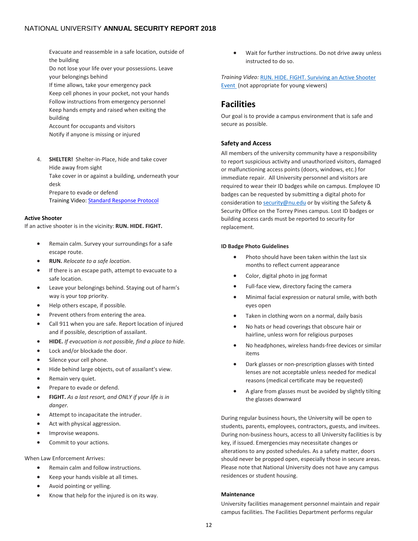Evacuate and reassemble in a safe location, outside of the building

Do not lose your life over your possessions. Leave your belongings behind

If time allows, take your emergency pack Keep cell phones in your pocket, not your hands Follow instructions from emergency personnel Keep hands empty and raised when exiting the building

Account for occupants and visitors Notify if anyone is missing or injured

4. **SHELTER!** Shelter-in-Place, hide and take cover Hide away from sight Take cover in or against a building, underneath your desk Prepare to evade or defend Training Video[: Standard Response Protocol](https://youtu.be/h8NAmZIX9CQ)

#### <span id="page-11-0"></span>**Active Shooter**

If an active shooter is in the vicinity: **RUN. HIDE. FIGHT.**

- Remain calm. Survey your surroundings for a safe escape route.
- **RUN.** *Relocate to a safe location.*
- If there is an escape path, attempt to evacuate to a safe location.
- Leave your belongings behind. Staying out of harm's way is your top priority.
- Help others escape, if possible.
- Prevent others from entering the area.
- Call 911 when you are safe. Report location of injured and if possible, description of assailant.
- **HIDE.** *If evacuation is not possible, find a place to hide.*
- Lock and/or blockade the door.
- Silence your cell phone.
- Hide behind large objects, out of assailant's view.
- Remain very quiet.
- Prepare to evade or defend.
- **FIGHT.** *As a last resort, and ONLY if your life is in danger.*
- Attempt to incapacitate the intruder.
- Act with physical aggression.
- Improvise weapons.
- Commit to your actions.

When Law Enforcement Arrives:

- Remain calm and follow instructions.
- Keep your hands visible at all times.
- Avoid pointing or yelling.
- Know that help for the injured is on its way.

• Wait for further instructions. Do not drive away unless instructed to do so.

*Training Video:* [RUN. HIDE. FIGHT. Surviving an Active Shooter](https://www.youtube.com/watch?v=5VcSwejU2D0)  [Event](https://www.youtube.com/watch?v=5VcSwejU2D0) (not appropriate for young viewers)

# <span id="page-11-1"></span>**Facilities**

Our goal is to provide a campus environment that is safe and secure as possible.

#### <span id="page-11-2"></span>**Safety and Access**

All members of the university community have a responsibility to report suspicious activity and unauthorized visitors, damaged or malfunctioning access points (doors, windows, etc.) for immediate repair. All University personnel and visitors are required to wear their ID badges while on campus. Employee ID badges can be requested by submitting a digital photo for consideration to [security@nu.edu](mailto:security@nu.edu) or by visiting the Safety & Security Office on the Torrey Pines campus. Lost ID badges or building access cards must be reported to security for replacement.

#### **ID Badge Photo Guidelines**

- Photo should have been taken within the last six months to reflect current appearance
- Color, digital photo in jpg format
- Full-face view, directory facing the camera
- Minimal facial expression or natural smile, with both eyes open
- Taken in clothing worn on a normal, daily basis
- No hats or head coverings that obscure hair or hairline, unless worn for religious purposes
- No headphones, wireless hands-free devices or similar items
- Dark glasses or non-prescription glasses with tinted lenses are not acceptable unless needed for medical reasons (medical certificate may be requested)
- A glare from glasses must be avoided by slightly tilting the glasses downward

During regular business hours, the University will be open to students, parents, employees, contractors, guests, and invitees. During non-business hours, access to all University facilities is by key, if issued. Emergencies may necessitate changes or alterations to any posted schedules. As a safety matter, doors should never be propped open, especially those in secure areas. Please note that National University does not have any campus residences or student housing.

#### <span id="page-11-3"></span>**Maintenance**

University facilities management personnel maintain and repair campus facilities. The Facilities Department performs regular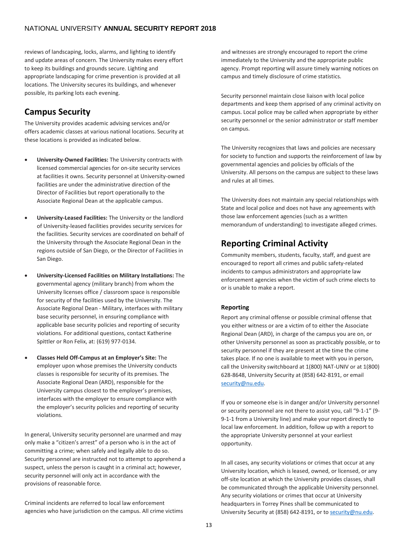reviews of landscaping, locks, alarms, and lighting to identify and update areas of concern. The University makes every effort to keep its buildings and grounds secure. Lighting and appropriate landscaping for crime prevention is provided at all locations. The University secures its buildings, and whenever possible, its parking lots each evening.

# <span id="page-12-0"></span>**Campus Security**

The University provides academic advising services and/or offers academic classes at various national locations. Security at these locations is provided as indicated below.

- **University-Owned Facilities:** The University contracts with licensed commercial agencies for on-site security services at facilities it owns. Security personnel at University-owned facilities are under the administrative direction of the Director of Facilities but report operationally to the Associate Regional Dean at the applicable campus.
- **University-Leased Facilities:** The University or the landlord of University-leased facilities provides security services for the facilities. Security services are coordinated on behalf of the University through the Associate Regional Dean in the regions outside of San Diego, or the Director of Facilities in San Diego.
- **University-Licensed Facilities on Military Installations:** The governmental agency (military branch) from whom the University licenses office / classroom space is responsible for security of the facilities used by the University. The Associate Regional Dean - Military, interfaces with military base security personnel, in ensuring compliance with applicable base security policies and reporting of security violations. For additional questions, contact Katherine Spittler or Ron Felix, at: (619) 977-0134.
- **Classes Held Off-Campus at an Employer's Site:** The employer upon whose premises the University conducts classes is responsible for security of its premises. The Associate Regional Dean (ARD), responsible for the University campus closest to the employer's premises, interfaces with the employer to ensure compliance with the employer's security policies and reporting of security violations.

In general, University security personnel are unarmed and may only make a "citizen's arrest" of a person who is in the act of committing a crime; when safely and legally able to do so. Security personnel are instructed not to attempt to apprehend a suspect, unless the person is caught in a criminal act; however, security personnel will only act in accordance with the provisions of reasonable force.

Criminal incidents are referred to local law enforcement agencies who have jurisdiction on the campus. All crime victims and witnesses are strongly encouraged to report the crime immediately to the University and the appropriate public agency. Prompt reporting will assure timely warning notices on campus and timely disclosure of crime statistics.

Security personnel maintain close liaison with local police departments and keep them apprised of any criminal activity on campus. Local police may be called when appropriate by either security personnel or the senior administrator or staff member on campus.

The University recognizes that laws and policies are necessary for society to function and supports the reinforcement of law by governmental agencies and policies by officials of the University. All persons on the campus are subject to these laws and rules at all times.

The University does not maintain any special relationships with State and local police and does not have any agreements with those law enforcement agencies (such as a written memorandum of understanding) to investigate alleged crimes.

# <span id="page-12-1"></span>**Reporting Criminal Activity**

Community members, students, faculty, staff, and guest are encouraged to report all crimes and public safety-related incidents to campus administrators and appropriate law enforcement agencies when the victim of such crime elects to or is unable to make a report.

### <span id="page-12-2"></span>**Reporting**

Report any criminal offense or possible criminal offense that you either witness or are a victim of to either the Associate Regional Dean (ARD), in charge of the campus you are on, or other University personnel as soon as practicably possible, or to security personnel if they are present at the time the crime takes place. If no one is available to meet with you in person, call the University switchboard at 1(800) NAT-UNIV or at 1(800) 628-8648, University Security at (858) 642-8191, or email security@nu.edu.

If you or someone else is in danger and/or University personnel or security personnel are not there to assist you, call "9-1-1" (9- 9-1-1 from a University line) and make your report directly to local law enforcement. In addition, follow up with a report to the appropriate University personnel at your earliest opportunity.

In all cases, any security violations or crimes that occur at any University location, which is leased, owned, or licensed, or any off-site location at which the University provides classes, shall be communicated through the applicable University personnel. Any security violations or crimes that occur at University headquarters in Torrey Pines shall be communicated to University Security at (858) 642-8191, or to [security@nu.edu.](mailto:security@nu.edu)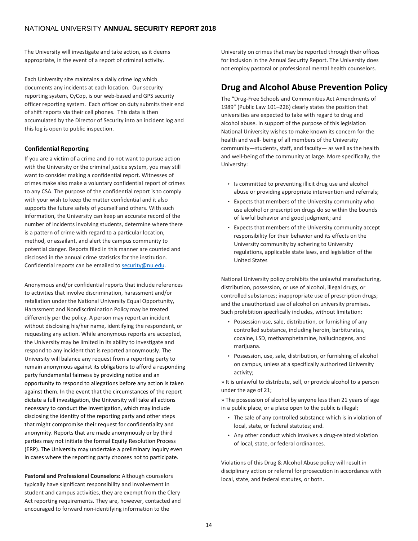The University will investigate and take action, as it deems appropriate, in the event of a report of criminal activity.

Each University site maintains a daily crime log which documents any incidents at each location. Our security reporting system, CyCop, is our web-based and GPS security officer reporting system. Each officer on duty submits their end of shift reports via their cell phones. This data is then accumulated by the Director of Security into an incident log and this log is open to public inspection.

#### <span id="page-13-0"></span>**Confidential Reporting**

If you are a victim of a crime and do not want to pursue action with the University or the criminal justice system, you may still want to consider making a confidential report. Witnesses of crimes make also make a voluntary confidential report of crimes to any CSA. The purpose of the confidential report is to comply with your wish to keep the matter confidential and it also supports the future safety of yourself and others. With such information, the University can keep an accurate record of the number of incidents involving students, determine where there is a pattern of crime with regard to a particular location, method, or assailant, and alert the campus community to potential danger. Reports filed in this manner are counted and disclosed in the annual crime statistics for the institution. Confidential reports can be emailed t[o security@nu.edu.](mailto:security@nu.edu)

Anonymous and/or confidential reports that include references to activities that involve discrimination, harassment and/or retaliation under the National University Equal Opportunity, Harassment and Nondiscrimination Policy may be treated differently per the policy. A person may report an incident without disclosing his/her name, identifying the respondent, or requesting any action. While anonymous reports are accepted, the University may be limited in its ability to investigate and respond to any incident that is reported anonymously. The University will balance any request from a reporting party to remain anonymous against its obligations to afford a responding party fundamental fairness by providing notice and an opportunity to respond to allegations before any action is taken against them. In the event that the circumstances of the report dictate a full investigation, the University will take all actions necessary to conduct the investigation, which may include disclosing the identity of the reporting party and other steps that might compromise their request for confidentiality and anonymity. Reports that are made anonymously or by third parties may not initiate the formal Equity Resolution Process (ERP). The University may undertake a preliminary inquiry even in cases where the reporting party chooses not to participate.

**Pastoral and Professional Counselors:** Although counselors typically have significant responsibility and involvement in student and campus activities, they are exempt from the Clery Act reporting requirements. They are, however, contacted and encouraged to forward non-identifying information to the

University on crimes that may be reported through their offices for inclusion in the Annual Security Report. The University does not employ pastoral or professional mental health counselors.

# <span id="page-13-1"></span>**Drug and Alcohol Abuse Prevention Policy**

The "Drug-Free Schools and Communities Act Amendments of 1989" (Public Law 101–226) clearly states the position that universities are expected to take with regard to drug and alcohol abuse. In support of the purpose of this legislation National University wishes to make known its concern for the health and well- being of all members of the University community—students, staff, and faculty— as well as the health and well-being of the community at large. More specifically, the University:

- Is committed to preventing illicit drug use and alcohol abuse or providing appropriate intervention and referrals;
- Expects that members of the University community who use alcohol or prescription drugs do so within the bounds of lawful behavior and good judgment; and
- Expects that members of the University community accept responsibility for their behavior and its effects on the University community by adhering to University regulations, applicable state laws, and legislation of the United States

National University policy prohibits the unlawful manufacturing, distribution, possession, or use of alcohol, illegal drugs, or controlled substances; inappropriate use of prescription drugs; and the unauthorized use of alcohol on university premises. Such prohibition specifically includes, without limitation:

- Possession use, sale, distribution, or furnishing of any controlled substance, including heroin, barbiturates, cocaine, LSD, methamphetamine, hallucinogens, and marijuana.
- Possession, use, sale, distribution, or furnishing of alcohol on campus, unless at a specifically authorized University activity;

» It is unlawful to distribute, sell, or provide alcohol to a person under the age of 21;

» The possession of alcohol by anyone less than 21 years of age in a public place, or a place open to the public is illegal;

- The sale of any controlled substance which is in violation of local, state, or federal statutes; and.
- Any other conduct which involves a drug-related violation of local, state, or federal ordinances.

Violations of this Drug & Alcohol Abuse policy will result in disciplinary action or referral for prosecution in accordance with local, state, and federal statutes, or both.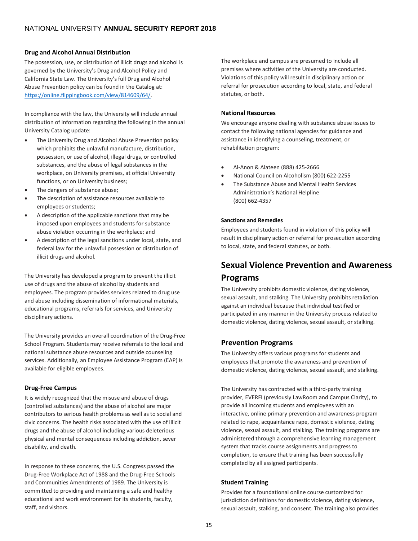#### <span id="page-14-0"></span>**Drug and Alcohol Annual Distribution**

The possession, use, or distribution of illicit drugs and alcohol is governed by the University's Drug and Alcohol Policy and California State Law. The University's full Drug and Alcohol Abuse Prevention policy can be found in the Catalog at: [https://online.flippingbook.com/view/814609/64/.](https://online.flippingbook.com/view/814609/64/)

In compliance with the law, the University will include annual distribution of information regarding the following in the annual University Catalog update:

- The University Drug and Alcohol Abuse Prevention policy which prohibits the unlawful manufacture, distribution, possession, or use of alcohol, illegal drugs, or controlled substances, and the abuse of legal substances in the workplace, on University premises, at official University functions, or on University business;
- The dangers of substance abuse;
- The description of assistance resources available to employees or students;
- A description of the applicable sanctions that may be imposed upon employees and students for substance abuse violation occurring in the workplace; and
- A description of the legal sanctions under local, state, and federal law for the unlawful possession or distribution of illicit drugs and alcohol.

The University has developed a program to prevent the illicit use of drugs and the abuse of alcohol by students and employees. The program provides services related to drug use and abuse including dissemination of informational materials, educational programs, referrals for services, and University disciplinary actions.

The University provides an overall coordination of the Drug-Free School Program. Students may receive referrals to the local and national substance abuse resources and outside counseling services. Additionally, an Employee Assistance Program (EAP) is available for eligible employees.

### <span id="page-14-1"></span>**Drug-Free Campus**

It is widely recognized that the misuse and abuse of drugs (controlled substances) and the abuse of alcohol are major contributors to serious health problems as well as to social and civic concerns. The health risks associated with the use of illicit drugs and the abuse of alcohol including various deleterious physical and mental consequences including addiction, sever disability, and death.

In response to these concerns, the U.S. Congress passed the Drug-Free Workplace Act of 1988 and the Drug-Free Schools and Communities Amendments of 1989. The University is committed to providing and maintaining a safe and healthy educational and work environment for its students, faculty, staff, and visitors.

The workplace and campus are presumed to include all premises where activities of the University are conducted. Violations of this policy will result in disciplinary action or referral for prosecution according to local, state, and federal statutes, or both.

#### <span id="page-14-2"></span>**National Resources**

We encourage anyone dealing with substance abuse issues to contact the following national agencies for guidance and assistance in identifying a counseling, treatment, or rehabilitation program:

- Al-Anon & Alateen (888) 425-2666
- National Council on Alcoholism (800) 622-2255
- The Substance Abuse and Mental Health Services Administration's National Helpline (800) 662-4357

#### <span id="page-14-3"></span>**Sanctions and Remedies**

Employees and students found in violation of this policy will result in disciplinary action or referral for prosecution according to local, state, and federal statutes, or both.

# <span id="page-14-4"></span>**Sexual Violence Prevention and Awareness Programs**

The University prohibits domestic violence, dating violence, sexual assault, and stalking. The University prohibits retaliation against an individual because that individual testified or participated in any manner in the University process related to domestic violence, dating violence, sexual assault, or stalking.

### <span id="page-14-5"></span>**Prevention Programs**

The University offers various programs for students and employees that promote the awareness and prevention of domestic violence, dating violence, sexual assault, and stalking.

The University has contracted with a third-party training provider, EVERFI (previously LawRoom and Campus Clarity), to provide all incoming students and employees with an interactive, online primary prevention and awareness program related to rape, acquaintance rape, domestic violence, dating violence, sexual assault, and stalking. The training programs are administered through a comprehensive learning management system that tracks course assignments and progress to completion, to ensure that training has been successfully completed by all assigned participants.

### <span id="page-14-6"></span>**Student Training**

Provides for a foundational online course customized for jurisdiction definitions for domestic violence, dating violence, sexual assault, stalking, and consent. The training also provides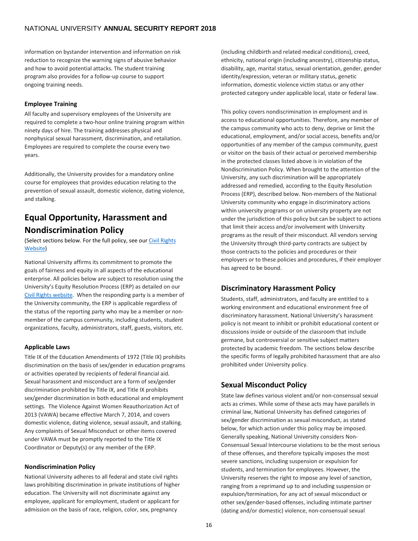information on bystander intervention and information on risk reduction to recognize the warning signs of abusive behavior and how to avoid potential attacks. The student training program also provides for a follow-up course to support ongoing training needs.

#### <span id="page-15-0"></span>**Employee Training**

All faculty and supervisory employees of the University are required to complete a two-hour online training program within ninety days of hire. The training addresses physical and nonphysical sexual harassment, discrimination, and retaliation. Employees are required to complete the course every two years.

Additionally, the University provides for a mandatory online course for employees that provides education relating to the prevention of sexual assault, domestic violence, dating violence, and stalking.

# <span id="page-15-1"></span>**Equal Opportunity, Harassment and Nondiscrimination Policy**

(Select sections below. For the full policy, see our Civil Rights [Website\)](https://www.nu.edu/OurPrograms/studentservices/AcademicPoliciesandP/Civil-Rights-Policies-Procedures.html)

National University affirms its commitment to promote the goals of fairness and equity in all aspects of the educational enterprise. All policies below are subject to resolution using the University's Equity Resolution Process (ERP) as detailed on our [Civil Rights website.](https://www.nu.edu/OurPrograms/studentservices/AcademicPoliciesandP/Civil-Rights-Policies-Procedures.html) When the responding party is a member of the University community, the ERP is applicable regardless of the status of the reporting party who may be a member or nonmember of the campus community, including students, student organizations, faculty, administrators, staff, guests, visitors, etc.

### <span id="page-15-2"></span>**Applicable Laws**

Title IX of the Education Amendments of 1972 (Title IX) prohibits discrimination on the basis of sex/gender in education programs or activities operated by recipients of federal financial aid. Sexual harassment and misconduct are a form of sex/gender discrimination prohibited by Title IX, and Title IX prohibits sex/gender discrimination in both educational and employment settings. The Violence Against Women Reauthorization Act of 2013 (VAWA) became effective March 7, 2014, and covers domestic violence, dating violence, sexual assault, and stalking. Any complaints of Sexual Misconduct or other items covered under VAWA must be promptly reported to the Title IX Coordinator or Deputy(s) or any member of the ERP.

#### <span id="page-15-3"></span>**Nondiscrimination Policy**

National University adheres to all federal and state civil rights laws prohibiting discrimination in private institutions of higher education. The University will not discriminate against any employee, applicant for employment, student or applicant for admission on the basis of race, religion, color, sex, pregnancy

(including childbirth and related medical conditions), creed, ethnicity, national origin (including ancestry), citizenship status, disability, age, marital status, sexual orientation, gender, gender identity/expression, veteran or military status, genetic information, domestic violence victim status or any other protected category under applicable local, state or federal law.

This policy covers nondiscrimination in employment and in access to educational opportunities. Therefore, any member of the campus community who acts to deny, deprive or limit the educational, employment, and/or social access, benefits and/or opportunities of any member of the campus community, guest or visitor on the basis of their actual or perceived membership in the protected classes listed above is in violation of the Nondiscrimination Policy. When brought to the attention of the University, any such discrimination will be appropriately addressed and remedied, according to the Equity Resolution Process (ERP), described below. Non-members of the National University community who engage in discriminatory actions within university programs or on university property are not under the jurisdiction of this policy but can be subject to actions that limit their access and/or involvement with University programs as the result of their misconduct. All vendors serving the University through third-party contracts are subject by those contracts to the policies and procedures or their employers or to these policies and procedures, if their employer has agreed to be bound.

### <span id="page-15-4"></span>**Discriminatory Harassment Policy**

Students, staff, administrators, and faculty are entitled to a working environment and educational environment free of discriminatory harassment. National University's harassment policy is not meant to inhibit or prohibit educational content or discussions inside or outside of the classroom that include germane, but controversial or sensitive subject matters protected by academic freedom. The sections below describe the specific forms of legally prohibited harassment that are also prohibited under University policy.

### <span id="page-15-5"></span>**Sexual Misconduct Policy**

State law defines various violent and/or non-consensual sexual acts as crimes. While some of these acts may have parallels in criminal law, National University has defined categories of sex/gender discrimination as sexual misconduct, as stated below, for which action under this policy may be imposed. Generally speaking, National University considers Non-Consensual Sexual Intercourse violations to be the most serious of these offenses, and therefore typically imposes the most severe sanctions, including suspension or expulsion for students, and termination for employees. However, the University reserves the right to impose any level of sanction, ranging from a reprimand up to and including suspension or expulsion/termination, for any act of sexual misconduct or other sex/gender-based offenses, including intimate partner (dating and/or domestic) violence, non-consensual sexual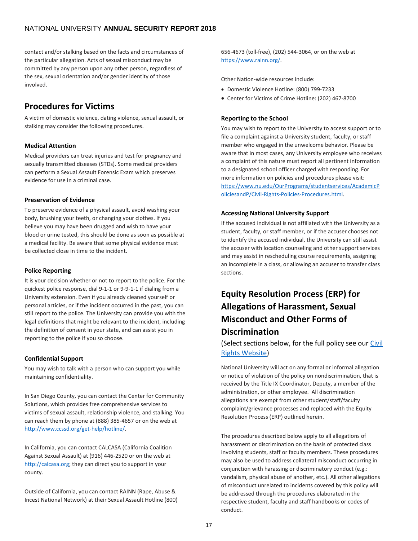contact and/or stalking based on the facts and circumstances of the particular allegation. Acts of sexual misconduct may be committed by any person upon any other person, regardless of the sex, sexual orientation and/or gender identity of those involved.

# <span id="page-16-0"></span>**Procedures for Victims**

A victim of domestic violence, dating violence, sexual assault, or stalking may consider the following procedures.

### <span id="page-16-1"></span>**Medical Attention**

Medical providers can treat injuries and test for pregnancy and sexually transmitted diseases (STDs). Some medical providers can perform a Sexual Assault Forensic Exam which preserves evidence for use in a criminal case.

#### <span id="page-16-2"></span>**Preservation of Evidence**

To preserve evidence of a physical assault, avoid washing your body, brushing your teeth, or changing your clothes. If you believe you may have been drugged and wish to have your blood or urine tested, this should be done as soon as possible at a medical facility. Be aware that some physical evidence must be collected close in time to the incident.

### <span id="page-16-3"></span>**Police Reporting**

It is your decision whether or not to report to the police. For the quickest police response, dial 9-1-1 or 9-9-1-1 if dialing from a University extension. Even if you already cleaned yourself or personal articles, or if the incident occurred in the past, you can still report to the police. The University can provide you with the legal definitions that might be relevant to the incident, including the definition of consent in your state, and can assist you in reporting to the police if you so choose.

### <span id="page-16-4"></span>**Confidential Support**

You may wish to talk with a person who can support you while maintaining confidentiality.

In San Diego County, you can contact the Center for Community Solutions, which provides free comprehensive services to victims of sexual assault, relationship violence, and stalking. You can reach them by phone at (888) 385-4657 or on the web at [http://www.ccssd.org/get-help/hotline/.](http://www.ccssd.org/get-help/hotline/)

In California, you can contact CALCASA (California Coalition Against Sexual Assault) at (916) 446-2520 or on the web at [http://calcasa.org;](http://calcasa.org/) they can direct you to support in your county.

Outside of California, you can contact RAINN (Rape, Abuse & Incest National Network) at their Sexual Assault Hotline (800) 656-4673 (toll-free), (202) 544-3064, or on the web at [https://www.rainn.org/.](https://www.rainn.org/)

Other Nation-wide resources include:

- Domestic Violence Hotline: (800) 799-7233
- Center for Victims of Crime Hotline: (202) 467-8700

## <span id="page-16-5"></span>**Reporting to the School**

You may wish to report to the University to access support or to file a complaint against a University student, faculty, or staff member who engaged in the unwelcome behavior. Please be aware that in most cases, any University employee who receives a complaint of this nature must report all pertinent information to a designated school officer charged with responding. For more information on policies and procedures please visit: [https://www.nu.edu/OurPrograms/studentservices/AcademicP](https://www.nu.edu/OurPrograms/studentservices/AcademicPoliciesandP/Civil-Rights-Policies-Procedures.html) [oliciesandP/Civil-Rights-Policies-Procedures.html.](https://www.nu.edu/OurPrograms/studentservices/AcademicPoliciesandP/Civil-Rights-Policies-Procedures.html) 

## <span id="page-16-6"></span>**Accessing National University Support**

If the accused individual is not affiliated with the University as a student, faculty, or staff member, or if the accuser chooses not to identify the accused individual, the University can still assist the accuser with location counseling and other support services and may assist in rescheduling course requirements, assigning an incomplete in a class, or allowing an accuser to transfer class sections.

# <span id="page-16-7"></span>**Equity Resolution Process (ERP) for Allegations of Harassment, Sexual Misconduct and Other Forms of Discrimination**

(Select sections below, for the full policy see our [Civil](https://www.nu.edu/OurPrograms/studentservices/AcademicPoliciesandP/Civil-Rights-Policies-Procedures.html)  [Rights Website\)](https://www.nu.edu/OurPrograms/studentservices/AcademicPoliciesandP/Civil-Rights-Policies-Procedures.html)

National University will act on any formal or informal allegation or notice of violation of the policy on nondiscrimination, that is received by the Title IX Coordinator, Deputy, a member of the administration, or other employee. All discrimination allegations are exempt from other student/staff/faculty complaint/grievance processes and replaced with the Equity Resolution Process (ERP) outlined herein.

The procedures described below apply to all allegations of harassment or discrimination on the basis of protected class involving students, staff or faculty members. These procedures may also be used to address collateral misconduct occurring in conjunction with harassing or discriminatory conduct (e.g.: vandalism, physical abuse of another, etc.). All other allegations of misconduct unrelated to incidents covered by this policy will be addressed through the procedures elaborated in the respective student, faculty and staff handbooks or codes of conduct.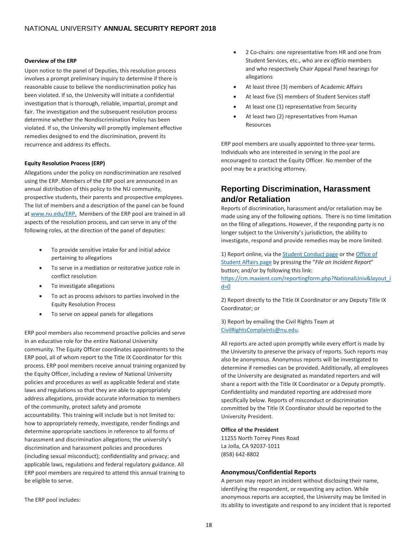#### <span id="page-17-0"></span>**Overview of the ERP**

Upon notice to the panel of Deputies, this resolution process involves a prompt preliminary inquiry to determine if there is reasonable cause to believe the nondiscrimination policy has been violated. If so, the University will initiate a confidential investigation that is thorough, reliable, impartial, prompt and fair. The investigation and the subsequent resolution process determine whether the Nondiscrimination Policy has been violated. If so, the University will promptly implement effective remedies designed to end the discrimination, prevent its recurrence and address its effects.

#### <span id="page-17-1"></span>**Equity Resolution Process (ERP)**

Allegations under the policy on nondiscrimination are resolved using the ERP. Members of the ERP pool are announced in an annual distribution of this policy to the NU community, prospective students, their parents and prospective employees. The list of members and a description of the panel can be found a[t www.nu.edu/ERP.](http://www.nu.edu/ERP) Members of the ERP pool are trained in all aspects of the resolution process, and can serve in any of the following roles, at the direction of the panel of deputies:

- To provide sensitive intake for and initial advice pertaining to allegations
- To serve in a mediation or restorative justice role in conflict resolution
- To investigate allegations
- To act as process advisors to parties involved in the Equity Resolution Process
- To serve on appeal panels for allegations

ERP pool members also recommend proactive policies and serve in an educative role for the entire National University community. The Equity Officer coordinates appointments to the ERP pool, all of whom report to the Title IX Coordinator for this process. ERP pool members receive annual training organized by the Equity Officer, including a review of National University policies and procedures as well as applicable federal and state laws and regulations so that they are able to appropriately address allegations, provide accurate information to members of the community, protect safety and promote accountability. This training will include but is not limited to: how to appropriately remedy, investigate, render findings and determine appropriate sanctions in reference to all forms of harassment and discrimination allegations; the university's discrimination and harassment policies and procedures (including sexual misconduct); confidentiality and privacy; and applicable laws, regulations and federal regulatory guidance. All ERP pool members are required to attend this annual training to be eligible to serve.

• 2 Co-chairs: one representative from HR and one from Student Services, etc., who are *ex officio* members and who respectively Chair Appeal Panel hearings for allegations

- At least three (3) members of Academic Affairs
- At least five (5) members of Student Services staff
- At least one (1) representative from Security
- At least two (2) representatives from Human Resources

ERP pool members are usually appointed to three-year terms. Individuals who are interested in serving in the pool are encouraged to contact the Equity Officer. No member of the pool may be a practicing attorney.

# <span id="page-17-2"></span>**Reporting Discrimination, Harassment and/or Retaliation**

Reports of discrimination, harassment and/or retaliation may be made using any of the following options. There is no time limitation on the filing of allegations. However, if the responding party is no longer subject to the University's jurisdiction, the ability to investigate, respond and provide remedies may be more limited:

1) Report online, via th[e Student Conduct page](https://www.nu.edu/OurPrograms/studentservices/StudentConduct.html) or th[e Office of](https://www.nu.edu/OurPrograms/studentservices/StudentAffairs.html)  [Student Affairs page](https://www.nu.edu/OurPrograms/studentservices/StudentAffairs.html) by pressing the "*File an Incident Report*" button; and/or by following this link:

[https://cm.maxient.com/reportingform.php?NationalUniv&layout\\_i](https://cm.maxient.com/reportingform.php?NationalUniv&layout_id=0) [d=0](https://cm.maxient.com/reportingform.php?NationalUniv&layout_id=0)

2) Report directly to the Title IX Coordinator or any Deputy Title IX Coordinator; or

3) Report by emailing the Civil Rights Team at [CivilRightsComplaints@nu.edu.](mailto:CivilRightsComplaints@nu.edu)

All reports are acted upon promptly while every effort is made by the University to preserve the privacy of reports. Such reports may also be anonymous. Anonymous reports will be investigated to determine if remedies can be provided. Additionally, all employees of the University are designated as mandated reporters and will share a report with the Title IX Coordinator or a Deputy promptly. Confidentiality and mandated reporting are addressed more specifically below. Reports of misconduct or discrimination committed by the Title IX Coordinator should be reported to the University President.

#### **Office of the President**

11255 North Torrey Pines Road La Jolla, CA 92037-1011 (858) 642-8802

### <span id="page-17-3"></span>**Anonymous/Confidential Reports**

A person may report an incident without disclosing their name, identifying the respondent, or requesting any action. While anonymous reports are accepted, the University may be limited in its ability to investigate and respond to any incident that is reported

The ERP pool includes: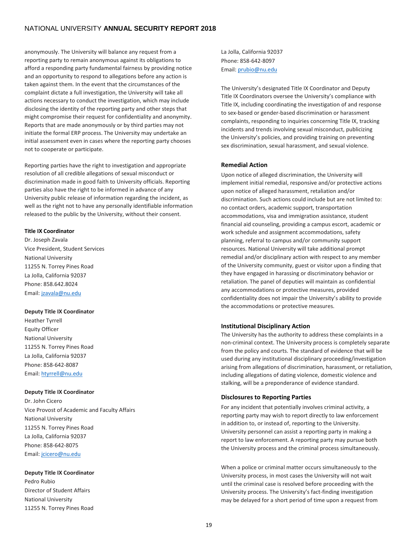anonymously. The University will balance any request from a reporting party to remain anonymous against its obligations to afford a responding party fundamental fairness by providing notice and an opportunity to respond to allegations before any action is taken against them. In the event that the circumstances of the complaint dictate a full investigation, the University will take all actions necessary to conduct the investigation, which may include disclosing the identity of the reporting party and other steps that might compromise their request for confidentiality and anonymity. Reports that are made anonymously or by third parties may not initiate the formal ERP process. The University may undertake an initial assessment even in cases where the reporting party chooses not to cooperate or participate.

Reporting parties have the right to investigation and appropriate resolution of all credible allegations of sexual misconduct or discrimination made in good faith to University officials. Reporting parties also have the right to be informed in advance of any University public release of information regarding the incident, as well as the right not to have any personally identifiable information released to the public by the University, without their consent.

#### <span id="page-18-0"></span>**Title IX Coordinator**

Dr. Joseph Zavala Vice President, Student Services National University 11255 N. Torrey Pines Road La Jolla, California 92037 Phone: 858.642.8024 Email[: jzavala@nu.edu](mailto:jzavala@nu.edu)

#### **Deputy Title IX Coordinator**

Heather Tyrrell Equity Officer National University 11255 N. Torrey Pines Road La Jolla, California 92037 Phone: 858-642-8087 Email[: htyrrell@nu.edu](mailto:htyrrell@nu.edu)

#### **Deputy Title IX Coordinator**

Dr. John Cicero Vice Provost of Academic and Faculty Affairs National University 11255 N. Torrey Pines Road La Jolla, California 92037 Phone: 858-642-8075 Email[: jcicero@nu.edu](mailto:jcicero@nu.edu)

#### **Deputy Title IX Coordinator**

Pedro Rubio Director of Student Affairs National University 11255 N. Torrey Pines Road La Jolla, California 92037 Phone: 858-642-8097 Email[: prubio@nu.edu](mailto:prubio@nu.edu) 

The University's designated Title IX Coordinator and Deputy Title IX Coordinators oversee the University's compliance with Title IX, including coordinating the investigation of and response to sex-based or gender-based discrimination or harassment complaints, responding to inquiries concerning Title IX, tracking incidents and trends involving sexual misconduct, publicizing the University's policies, and providing training on preventing sex discrimination, sexual harassment, and sexual violence.

#### <span id="page-18-1"></span>**Remedial Action**

Upon notice of alleged discrimination, the University will implement initial remedial, responsive and/or protective actions upon notice of alleged harassment, retaliation and/or discrimination. Such actions could include but are not limited to: no contact orders, academic support, transportation accommodations, visa and immigration assistance, student financial aid counseling, providing a campus escort, academic or work schedule and assignment accommodations, safety planning, referral to campus and/or community support resources. National University will take additional prompt remedial and/or disciplinary action with respect to any member of the University community, guest or visitor upon a finding that they have engaged in harassing or discriminatory behavior or retaliation. The panel of deputies will maintain as confidential any accommodations or protective measures, provided confidentiality does not impair the University's ability to provide the accommodations or protective measures.

#### <span id="page-18-2"></span>**Institutional Disciplinary Action**

The University has the authority to address these complaints in a non-criminal context. The University process is completely separate from the policy and courts. The standard of evidence that will be used during any institutional disciplinary proceeding/investigation arising from allegations of discrimination, harassment, or retaliation, including allegations of dating violence, domestic violence and stalking, will be a preponderance of evidence standard.

#### <span id="page-18-3"></span>**Disclosures to Reporting Parties**

For any incident that potentially involves criminal activity, a reporting party may wish to report directly to law enforcement in addition to, or instead of, reporting to the University. University personnel can assist a reporting party in making a report to law enforcement. A reporting party may pursue both the University process and the criminal process simultaneously.

When a police or criminal matter occurs simultaneously to the University process, in most cases the University will not wait until the criminal case is resolved before proceeding with the University process. The University's fact-finding investigation may be delayed for a short period of time upon a request from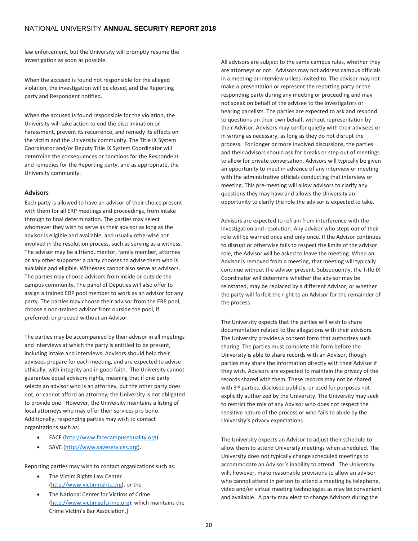law enforcement, but the University will promptly resume the investigation as soon as possible.

When the accused is found not responsible for the alleged violation, the investigation will be closed, and the Reporting party and Respondent notified.

When the accused is found responsible for the violation, the University will take action to end the discrimination or harassment, prevent its recurrence, and remedy its effects on the victim and the University community. The Title IX System Coordinator and/or Deputy Title IX System Coordinator will determine the consequences or sanctions for the Respondent and remedies for the Reporting party, and as appropriate, the University community.

#### **Advisors**

Each party is allowed to have an advisor of their choice present with them for all ERP meetings and proceedings, from intake through to final determination. The parties may select whomever they wish to serve as their advisor as long as the advisor is eligible and available, and usually otherwise not involved in the resolution process, such as serving as a witness. The advisor may be a friend, mentor, family member, attorney or any other supporter a party chooses to advise them who is available and eligible. Witnesses cannot also serve as advisors. The parties may choose advisors from inside or outside the campus community. The panel of Deputies will also offer to assign a trained ERP pool member to work as an advisor for any party. The parties may choose their advisor from the ERP pool, choose a non-trained advisor from outside the pool, if preferred, or proceed without an Advisor.

The parties may be accompanied by their advisor in all meetings and interviews at which the party is entitled to be present, including intake and interviews. Advisors should help their advisees prepare for each meeting, and are expected to advise ethically, with integrity and in good faith. The University cannot guarantee equal advisory rights, meaning that if one party selects an advisor who is an attorney, but the other party does not, or cannot afford an attorney, the University is not obligated to provide one. However, the University maintains a listing of local attorneys who may offer their services pro bono. Additionally, responding parties may wish to contact organizations such as:

- FACE [\(http://www.facecampusequality.org\)](http://www.facecampusequality.org/)
- SAVE [\(http://www.saveservices.org\)](http://www.saveservices.org/).

Reporting parties may wish to contact organizations such as:

- The Victim Rights Law Center [\(http://www.victimrights.org\)](http://www.victimrights.org/), or the
- The National Center for Victims of Crime [\(http://www.victimsofcrime.org\)](http://www.victimsofcrime.org/), which maintains the Crime Victim's Bar Association.]

All advisors are subject to the same campus rules, whether they are attorneys or not. Advisors may not address campus officials in a meeting or interview unless invited to. The advisor may not make a presentation or represent the reporting party or the responding party during any meeting or proceeding and may not speak on behalf of the advisee to the investigators or hearing panelists. The parties are expected to ask and respond to questions on their own behalf, without representation by their Advisor. Advisors may confer quietly with their advisees or in writing as necessary, as long as they do not disrupt the process. For longer or more involved discussions, the parties and their advisors should ask for breaks or step out of meetings to allow for private conversation. Advisors will typically be given an opportunity to meet in advance of any interview or meeting with the administrative officials conducting that interview or meeting. This pre-meeting will allow advisors to clarify any questions they may have and allows the University an opportunity to clarify the role the advisor is expected to take.

Advisors are expected to refrain from interference with the investigation and resolution. Any advisor who steps out of their role will be warned once and only once. If the Advisor continues to disrupt or otherwise fails to respect the limits of the advisor role, the Advisor will be asked to leave the meeting. When an Advisor is removed from a meeting, that meeting will typically continue without the advisor present. Subsequently, the Title IX Coordinator will determine whether the advisor may be reinstated, may be replaced by a different Advisor, or whether the party will forfeit the right to an Advisor for the remainder of the process.

The University expects that the parties will wish to share documentation related to the allegations with their advisors. The University provides a consent form that authorizes such sharing. The parties must complete this form before the University is able to share records with an Advisor, though parties may share the information directly with their Advisor if they wish. Advisors are expected to maintain the privacy of the records shared with them. These records may not be shared with 3<sup>rd</sup> parties, disclosed publicly, or used for purposes not explicitly authorized by the University. The University may seek to restrict the role of any Advisor who does not respect the sensitive nature of the process or who fails to abide by the University's privacy expectations.

The University expects an Advisor to adjust their schedule to allow them to attend University meetings when scheduled. The University does not typically change scheduled meetings to accommodate an Advisor's inability to attend. The University will, however, make reasonable provisions to allow an advisor who cannot attend in person to attend a meeting by telephone, video and/or virtual meeting technologies as may be convenient and available. A party may elect to change Advisors during the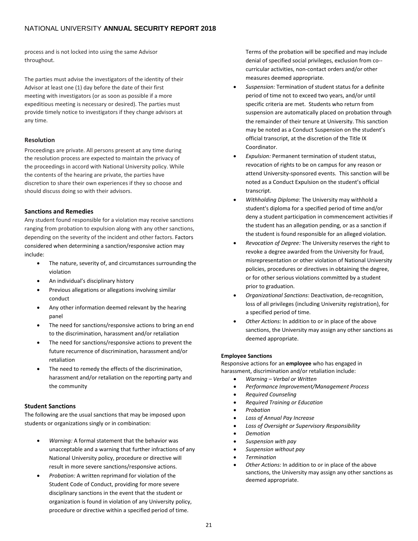process and is not locked into using the same Advisor throughout.

The parties must advise the investigators of the identity of their Advisor at least one (1) day before the date of their first meeting with investigators (or as soon as possible if a more expeditious meeting is necessary or desired). The parties must provide timely notice to investigators if they change advisors at any time.

#### **Resolution**

Proceedings are private. All persons present at any time during the resolution process are expected to maintain the privacy of the proceedings in accord with National University policy. While the contents of the hearing are private, the parties have discretion to share their own experiences if they so choose and should discuss doing so with their advisors.

#### <span id="page-20-0"></span>**Sanctions and Remedies**

Any student found responsible for a violation may receive sanctions ranging from probation to expulsion along with any other sanctions, depending on the severity of the incident and other factors. Factors considered when determining a sanction/responsive action may include:

- The nature, severity of, and circumstances surrounding the violation
- An individual's disciplinary history
- Previous allegations or allegations involving similar conduct
- Any other information deemed relevant by the hearing panel
- The need for sanctions/responsive actions to bring an end to the discrimination, harassment and/or retaliation
- The need for sanctions/responsive actions to prevent the future recurrence of discrimination, harassment and/or retaliation
- The need to remedy the effects of the discrimination, harassment and/or retaliation on the reporting party and the community

#### <span id="page-20-1"></span>**Student Sanctions**

The following are the usual sanctions that may be imposed upon students or organizations singly or in combination:

- *Warning:* A formal statement that the behavior was unacceptable and a warning that further infractions of any National University policy, procedure or directive will result in more severe sanctions/responsive actions.
- *Probation:* A written reprimand for violation of the Student Code of Conduct, providing for more severe disciplinary sanctions in the event that the student or organization is found in violation of any University policy, procedure or directive within a specified period of time.

Terms of the probation will be specified and may include denial of specified social privileges, exclusion from co- curricular activities, non-contact orders and/or other measures deemed appropriate.

- *Suspension:* Termination of student status for a definite period of time not to exceed two years, and/or until specific criteria are met. Students who return from suspension are automatically placed on probation through the remainder of their tenure at University. This sanction may be noted as a Conduct Suspension on the student's official transcript, at the discretion of the Title IX Coordinator.
- *Expulsion:* Permanent termination of student status, revocation of rights to be on campus for any reason or attend University-sponsored events. This sanction will be noted as a Conduct Expulsion on the student's official transcript.
- *Withholding Diploma*: The University may withhold a student's diploma for a specified period of time and/or deny a student participation in commencement activities if the student has an allegation pending, or as a sanction if the student is found responsible for an alleged violation.
- *Revocation of Degree:* The University reserves the right to revoke a degree awarded from the University for fraud, misrepresentation or other violation of National University policies, procedures or directives in obtaining the degree, or for other serious violations committed by a student prior to graduation.
- *Organizational Sanctions*: Deactivation, de-recognition, loss of all privileges (including University registration), for a specified period of time.
- *Other Actions:* In addition to or in place of the above sanctions, the University may assign any other sanctions as deemed appropriate.

#### **Employee Sanctions**

Responsive actions for an **employee** who has engaged in harassment, discrimination and/or retaliation include:

- *Warning – Verbal or Written*
- *Performance Improvement/Management Process*
- *Required Counseling*
- *Required Training or Education*
- *Probation*
- *Loss of Annual Pay Increase*
- *Loss of Oversight or Supervisory Responsibility*
- *Demotion*
- *Suspension with pay*
- *Suspension without pay*
- *Termination*
- *Other Actions:* In addition to or in place of the above sanctions, the University may assign any other sanctions as deemed appropriate.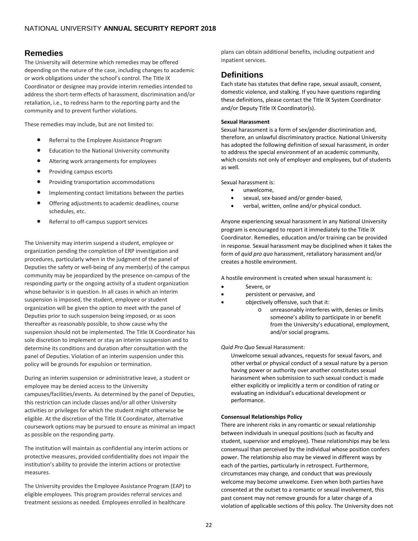# <span id="page-21-0"></span>**Remedies**

The University will determine which remedies may be offered depending on the nature of the case, including changes to academic or work obligations under the school's control. The Title IX Coordinator or designee may provide interim remedies intended to address the short-term effects of harassment, discrimination and/or retaliation, i.e., to redress harm to the reporting party and the community and to prevent further violations.

These remedies may include, but are not limited to:

- Referral to the Employee Assistance Program
- Education to the National University community
- Altering work arrangements for employees
- Providing campus escorts
- Providing transportation accommodations
- Implementing contact limitations between the parties
- Offering adjustments to academic deadlines, course schedules, etc.
- Referral to off-campus support services

The University may interim suspend a student, employee or organization pending the completion of ERP investigation and procedures, particularly when in the judgment of the panel of Deputies the safety or well-being of any member(s) of the campus community may be jeopardized by the presence on-campus of the responding party or the ongoing activity of a student organization whose behavior is in question. In all cases in which an interim suspension is imposed, the student, employee or student organization will be given the option to meet with the panel of Deputies prior to such suspension being imposed, or as soon thereafter as reasonably possible, to show cause why the suspension should not be implemented. The Title IX Coordinator has sole discretion to implement or stay an interim suspension and to determine its conditions and duration after consultation with the panel of Deputies. Violation of an interim suspension under this policy will be grounds for expulsion or termination.

During an interim suspension or administrative leave, a student or employee may be denied access to the University campuses/facilities/events. As determined by the panel of Deputies, this restriction can include classes and/or all other University activities or privileges for which the student might otherwise be eligible. At the discretion of the Title IX Coordinator, alternative coursework options may be pursued to ensure as minimal an impact as possible on the responding party.

The institution will maintain as confidential any interim actions or protective measures, provided confidentiality does not impair the institution's ability to provide the interim actions or protective measures.

The University provides the Employee Assistance Program (EAP) to eligible employees. This program provides referral services and treatment sessions as needed. Employees enrolled in healthcare

plans can obtain additional benefits, including outpatient and inpatient services.

# <span id="page-21-1"></span>**Definitions**

Each state has statutes that define rape, sexual assault, consent, domestic violence, and stalking. If you have questions regarding these definitions, please contact the Title IX System Coordinator and/or Deputy Title IX Coordinator(s).

#### <span id="page-21-2"></span>**Sexual Harassment**

Sexual harassment is a form of sex/gender discrimination and, therefore, an unlawful discriminatory practice. National University has adopted the following definition of sexual harassment, in order to address the special environment of an academic community, which consists not only of employer and employees, but of students as well.

Sexual harassment is:

- unwelcome,
- sexual, sex-based and/or gender-based,
- verbal, written, online and/or physical conduct.

Anyone experiencing sexual harassment in any National University program is encouraged to report it immediately to the Title IX Coordinator. Remedies, education and/or training can be provided in response. Sexual harassment may be disciplined when it takes the form of *quid pro quo* harassment, retaliatory harassment and/or creates a hostile environment.

A hostile environment is created when sexual harassment is:

- Severe, or
- persistent or pervasive, and
- objectively offensive, such that it:
	- o unreasonably interferes with, denies or limits someone's ability to participate in or benefit from the University's educational, employment, and/or social programs.

#### *Quid Pro Quo* Sexual Harassment:

Unwelcome sexual advances, requests for sexual favors, and other verbal or physical conduct of a sexual nature by a person having power or authority over another constitutes sexual harassment when submission to such sexual conduct is made either explicitly or implicitly a term or condition of rating or evaluating an individual's educational development or performance.

#### <span id="page-21-3"></span>**Consensual Relationships Policy**

There are inherent risks in any romantic or sexual relationship between individuals in unequal positions (such as faculty and student, supervisor and employee). These relationships may be less consensual than perceived by the individual whose position confers power. The relationship also may be viewed in different ways by each of the parties, particularly in retrospect. Furthermore, circumstances may change, and conduct that was previously welcome may become unwelcome. Even when both parties have consented at the outset to a romantic or sexual involvement, this past consent may not remove grounds for a later charge of a violation of applicable sections of this policy. The University does not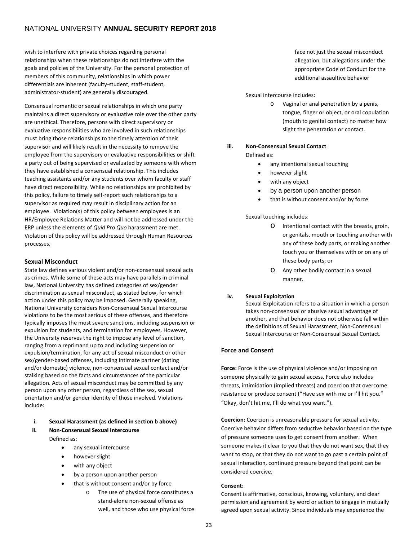wish to interfere with private choices regarding personal relationships when these relationships do not interfere with the goals and policies of the University. For the personal protection of members of this community, relationships in which power differentials are inherent (faculty-student, staff-student, administrator-student) are generally discouraged.

Consensual romantic or sexual relationships in which one party maintains a direct supervisory or evaluative role over the other party are unethical. Therefore, persons with direct supervisory or evaluative responsibilities who are involved in such relationships must bring those relationships to the timely attention of their supervisor and will likely result in the necessity to remove the employee from the supervisory or evaluative responsibilities or shift a party out of being supervised or evaluated by someone with whom they have established a consensual relationship. This includes teaching assistants and/or any students over whom faculty or staff have direct responsibility. While no relationships are prohibited by this policy, failure to timely self-report such relationships to a supervisor as required may result in disciplinary action for an employee. Violation(s) of this policy between employees is an HR/Employee Relations Matter and will not be addressed under the ERP unless the elements of *Quid Pro Quo* harassment are met. Violation of this policy will be addressed through Human Resources processes.

#### <span id="page-22-0"></span>**Sexual Misconduct**

State law defines various violent and/or non-consensual sexual acts as crimes. While some of these acts may have parallels in criminal law, National University has defined categories of sex/gender discrimination as sexual misconduct, as stated below, for which action under this policy may be imposed. Generally speaking, National University considers Non-Consensual Sexual Intercourse violations to be the most serious of these offenses, and therefore typically imposes the most severe sanctions, including suspension or expulsion for students, and termination for employees. However, the University reserves the right to impose any level of sanction, ranging from a reprimand up to and including suspension or expulsion/termination, for any act of sexual misconduct or other sex/gender-based offenses, including intimate partner (dating and/or domestic) violence, non-consensual sexual contact and/or stalking based on the facts and circumstances of the particular allegation. Acts of sexual misconduct may be committed by any person upon any other person, regardless of the sex, sexual orientation and/or gender identity of those involved. Violations include:

#### **i. Sexual Harassment (as defined in section b above)**

- **ii. Non-Consensual Sexual Intercourse** Defined as:
	- any sexual intercourse
	- however slight
	- with any object
	- by a person upon another person
	- that is without consent and/or by force
		- o The use of physical force constitutes a stand-alone non-sexual offense as well, and those who use physical force

face not just the sexual misconduct allegation, but allegations under the appropriate Code of Conduct for the additional assaultive behavior

Sexual intercourse includes:

o Vaginal or anal penetration by a penis, tongue, finger or object, or oral copulation (mouth to genital contact) no matter how slight the penetration or contact.

### **iii. Non-Consensual Sexual Contact**

- Defined as:
	- any intentional sexual touching
	- however slight
	- with any object
	- by a person upon another person
	- that is without consent and/or by force

#### Sexual touching includes:

- o Intentional contact with the breasts, groin, or genitals, mouth or touching another with any of these body parts, or making another touch you or themselves with or on any of these body parts; or
- o Any other bodily contact in a sexual manner.

#### **iv. Sexual Exploitation**

Sexual Exploitation refers to a situation in which a person takes non-consensual or abusive sexual advantage of another, and that behavior does not otherwise fall within the definitions of Sexual Harassment, Non-Consensual Sexual Intercourse or Non-Consensual Sexual Contact.

#### **Force and Consent**

**Force:** Force is the use of physical violence and/or imposing on someone physically to gain sexual access. Force also includes threats, intimidation (implied threats) and coercion that overcome resistance or produce consent ("Have sex with me or I'll hit you." "Okay, don't hit me, I'll do what you want.").

**Coercion:** Coercion is unreasonable pressure for sexual activity. Coercive behavior differs from seductive behavior based on the type of pressure someone uses to get consent from another. When someone makes it clear to you that they do not want sex, that they want to stop, or that they do not want to go past a certain point of sexual interaction, continued pressure beyond that point can be considered coercive.

#### <span id="page-22-1"></span>**Consent:**

Consent is affirmative, conscious, knowing, voluntary, and clear permission and agreement by word or action to engage in mutually agreed upon sexual activity. Since individuals may experience the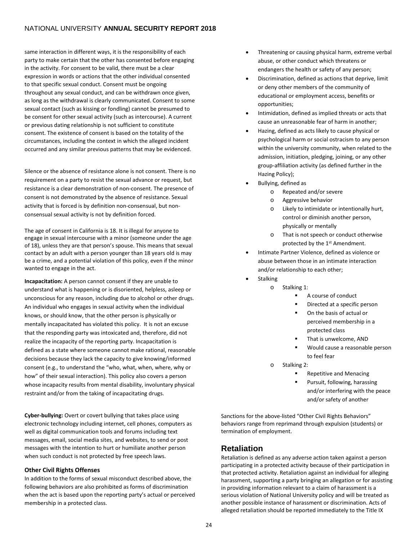same interaction in different ways, it is the responsibility of each party to make certain that the other has consented before engaging in the activity. For consent to be valid, there must be a clear expression in words or actions that the other individual consented to that specific sexual conduct. Consent must be ongoing throughout any sexual conduct, and can be withdrawn once given, as long as the withdrawal is clearly communicated. Consent to some sexual contact (such as kissing or fondling) cannot be presumed to be consent for other sexual activity (such as intercourse). A current or previous dating relationship is not sufficient to constitute consent. The existence of consent is based on the totality of the circumstances, including the context in which the alleged incident occurred and any similar previous patterns that may be evidenced.

Silence or the absence of resistance alone is not consent. There is no requirement on a party to resist the sexual advance or request, but resistance is a clear demonstration of non-consent. The presence of consent is not demonstrated by the absence of resistance. Sexual activity that is forced is by definition non-consensual, but nonconsensual sexual activity is not by definition forced.

The age of consent in California is 18. It is illegal for anyone to engage in sexual intercourse with a minor (someone under the age of 18), unless they are that person's spouse. This means that sexual contact by an adult with a person younger than 18 years old is may be a crime, and a potential violation of this policy, even if the minor wanted to engage in the act.

**Incapacitation:** A person cannot consent if they are unable to understand what is happening or is disoriented, helpless, asleep or unconscious for any reason, including due to alcohol or other drugs. An individual who engages in sexual activity when the individual knows, or should know, that the other person is physically or mentally incapacitated has violated this policy. It is not an excuse that the responding party was intoxicated and, therefore, did not realize the incapacity of the reporting party. Incapacitation is defined as a state where someone cannot make rational, reasonable decisions because they lack the capacity to give knowing/informed consent (e.g., to understand the "who, what, when, where, why or how" of their sexual interaction). This policy also covers a person whose incapacity results from mental disability, involuntary physical restraint and/or from the taking of incapacitating drugs.

**Cyber-bullying:** Overt or covert bullying that takes place using electronic technology including internet, cell phones, computers as well as digital communication tools and forums including text messages, email, social media sites, and websites, to send or post messages with the intention to hurt or humiliate another person when such conduct is not protected by free speech laws.

#### <span id="page-23-0"></span>**Other Civil Rights Offenses**

In addition to the forms of sexual misconduct described above, the following behaviors are also prohibited as forms of discrimination when the act is based upon the reporting party's actual or perceived membership in a protected class.

- Threatening or causing physical harm, extreme verbal abuse, or other conduct which threatens or endangers the health or safety of any person;
- Discrimination, defined as actions that deprive, limit or deny other members of the community of educational or employment access, benefits or opportunities;
- Intimidation, defined as implied threats or acts that cause an unreasonable fear of harm in another;
- Hazing, defined as acts likely to cause physical or psychological harm or social ostracism to any person within the university community, when related to the admission, initiation, pledging, joining, or any other group-affiliation activity (as defined further in the Hazing Policy);
- Bullying, defined as
	- o Repeated and/or severe
	- o Aggressive behavior
	- o Likely to intimidate or intentionally hurt, control or diminish another person, physically or mentally
	- o That is not speech or conduct otherwise protected by the 1st Amendment.
- Intimate Partner Violence, defined as violence or abuse between those in an intimate interaction and/or relationship to each other;
- **Stalking** 
	- o Stalking 1:
		- A course of conduct
		- Directed at a specific person
		- On the basis of actual or perceived membership in a protected class
		- That is unwelcome, AND
		- Would cause a reasonable person to feel fear
	- o Stalking 2:
		- Repetitive and Menacing
		- Pursuit, following, harassing and/or interfering with the peace and/or safety of another

Sanctions for the above-listed "Other Civil Rights Behaviors" behaviors range from reprimand through expulsion (students) or termination of employment.

# <span id="page-23-1"></span>**Retaliation**

Retaliation is defined as any adverse action taken against a person participating in a protected activity because of their participation in that protected activity. Retaliation against an individual for alleging harassment, supporting a party bringing an allegation or for assisting in providing information relevant to a claim of harassment is a serious violation of National University policy and will be treated as another possible instance of harassment or discrimination. Acts of alleged retaliation should be reported immediately to the Title IX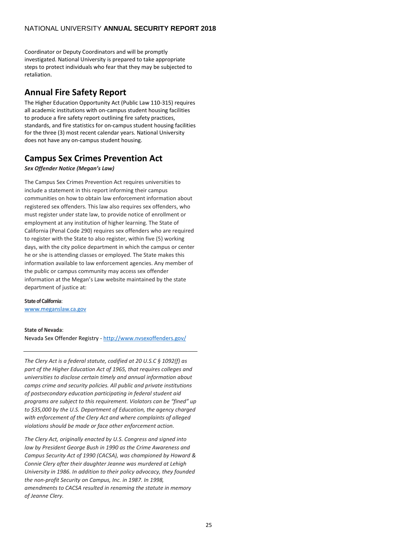Coordinator or Deputy Coordinators and will be promptly investigated. National University is prepared to take appropriate steps to protect individuals who fear that they may be subjected to retaliation.

# <span id="page-24-0"></span>**Annual Fire Safety Report**

The Higher Education Opportunity Act (Public Law 110-315) requires all academic institutions with on-campus student housing facilities to produce a fire safety report outlining fire safety practices, standards, and fire statistics for on-campus student housing facilities for the three (3) most recent calendar years. National University does not have any on-campus student housing.

# <span id="page-24-1"></span>**Campus Sex Crimes Prevention Act**

### *Sex Offender Notice (Megan's Law)*

The Campus Sex Crimes Prevention Act requires universities to include a statement in this report informing their campus communities on how to obtain law enforcement information about registered sex offenders. This law also requires sex offenders, who must register under state law, to provide notice of enrollment or employment at any institution of higher learning. The State of California (Penal Code 290) requires sex offenders who are required to register with the State to also register, within five (5) working days, with the city police department in which the campus or center he or she is attending classes or employed. The State makes this information available to law enforcement agencies. Any member of the public or campus community may access sex offender information at the Megan's Law website maintained by the state department of justice at:

### **State of California**:

www.meganslaw.ca.gov

#### **State of Nevada**:

Nevada Sex Offender Registry - <http://www.nvsexoffenders.gov/>

*The Clery Act is a federal statute, codified at 20 U.S.C § 1092(f) as part of the Higher Education Act of 1965, that requires colleges and universities to disclose certain timely and annual information about camps crime and security policies. All public and private institutions of postsecondary education participating in federal student aid programs are subject to this requirement. Violators can be "fined" up to \$35,000 by the U.S. Department of Education, the agency charged with enforcement of the Clery Act and where complaints of alleged violations should be made or face other enforcement action.*

*The Clery Act, originally enacted by U.S. Congress and signed into law by President George Bush in 1990 as the Crime Awareness and Campus Security Act of 1990 (CACSA), was championed by Howard & Connie Clery after their daughter Jeanne was murdered at Lehigh University in 1986. In addition to their policy advocacy, they founded the non-profit Security on Campus, Inc. in 1987. In 1998, amendments to CACSA resulted in renaming the statute in memory of Jeanne Clery.*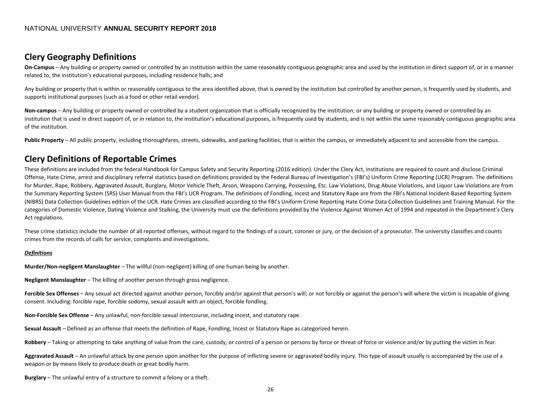# **Clery Geography Definitions**

**On-Campus** – Any building or property owned or controlled by an institution within the same reasonably contiguous geographic area and used by the institution in direct support of, or in a manner related to, the institution's educational purposes, including residence halls; and

Any building or property that is within or reasonably contiguous to the area identified above, that is owned by the institution but controlled by another person, is frequently used by students, and supports institutional purposes (such as a food or other retail vendor).

Non-campus – Any building or property owned or controlled by a student organization that is officially recognized by the institution; or any building or property owned or controlled by an institution that is used in direct support of, or in relation to, the institution's educational purposes, is frequently used by students, and is not within the same reasonably contiguous geographic area of the institution.

Public Property – All public property, including thoroughfares, streets, sidewalks, and parking facilities, that is within the campus, or immediately adjacent to and accessible from the campus.

# **Clery Definitions of Reportable Crimes**

<span id="page-25-0"></span>These definitions are included from the federal Handbook for Campus Safety and Security Reporting (2016 edition). Under the Clery Act, institutions are required to count and disclose Criminal Offense, Hate Crime, arrest and disciplinary referral statistics based on definitions provided by the Federal Bureau of Investigation's (FBI's) Uniform Crime Reporting (UCR) Program. The definitions for Murder, Rape, Robbery, Aggravated Assault, Burglary, Motor Vehicle Theft, Arson, Weapons Carrying, Possessing, Etc. Law Violations, Drug Abuse Violations, and Liquor Law Violations are from the Summary Reporting System (SRS) User Manual from the FBI's UCR Program. The definitions of Fondling, Incest and Statutory Rape are from the FBI's National Incident-Based Reporting System (NIBRS) Data Collection Guidelines edition of the UCR. Hate Crimes are classified according to the FBI's Uniform Crime Reporting Hate Crime Data Collection Guidelines and Training Manual. For the categories of Domestic Violence, Dating Violence and Stalking, the University must use the definitions provided by the Violence Against Women Act of 1994 and repeated in the Department's Clery Act regulations.

These crime statistics include the number of all reported offenses, without regard to the findings of a court, coroner or jury, or the decision of a prosecutor. The university classifies and counts crimes from the records of calls for service, complaints and investigations.

#### *Definitions*

**Murder/Non-negligent Manslaughter** – The willful (non-negligent) killing of one human being by another.

<span id="page-25-1"></span>**Negligent Manslaughter** – The killing of another person through gross negligence.

Forcible Sex Offenses – Any sexual act directed against another person, forcibly and/or against that person's will; or not forcibly or against the person's will where the victim is incapable of giving consent. Including: forcible rape, forcible sodomy, sexual assault with an object, forcible fondling.

**Non-Forcible Sex Offense** – Any unlawful, non-forcible sexual intercourse, including incest, and statutory rape.

**Sexual Assault** – Defined as an offense that meets the definition of Rape, Fondling, Incest or Statutory Rape as categorized herein.

Robbery – Taking or attempting to take anything of value from the care, custody, or control of a person or persons by force or threat of force or violence and/or by putting the victim in fear.

Aggravated Assault – An unlawful attack by one person upon another for the purpose of inflicting severe or aggravated bodily injury. This type of assault usually is accompanied by the use of a weapon or by means likely to produce death or great bodily harm.

**Burglary** – The unlawful entry of a structure to commit a felony or a theft.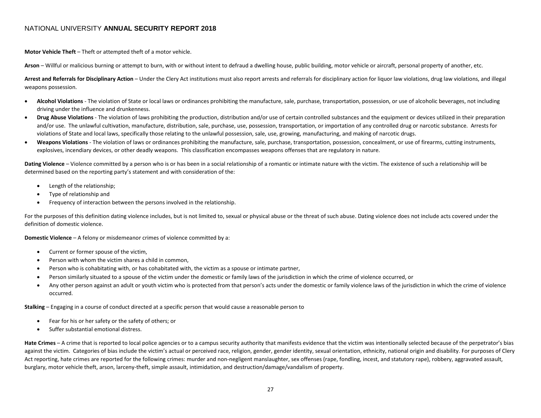**Motor Vehicle Theft** – Theft or attempted theft of a motor vehicle.

**Arson** – Willful or malicious burning or attempt to burn, with or without intent to defraud a dwelling house, public building, motor vehicle or aircraft, personal property of another, etc.

Arrest and Referrals for Disciplinary Action – Under the Clery Act institutions must also report arrests and referrals for disciplinary action for liquor law violations, drug law violations, and illegal weapons possession.

- **Alcohol Violations** The violation of State or local laws or ordinances prohibiting the manufacture, sale, purchase, transportation, possession, or use of alcoholic beverages, not including driving under the influence and drunkenness.
- Drug Abuse Violations The violation of laws prohibiting the production, distribution and/or use of certain controlled substances and the equipment or devices utilized in their preparation and/or use. The unlawful cultivation, manufacture, distribution, sale, purchase, use, possession, transportation, or importation of any controlled drug or narcotic substance. Arrests for violations of State and local laws, specifically those relating to the unlawful possession, sale, use, growing, manufacturing, and making of narcotic drugs.
- **Weapons Violations** The violation of laws or ordinances prohibiting the manufacture, sale, purchase, transportation, possession, concealment, or use of firearms, cutting instruments, explosives, incendiary devices, or other deadly weapons. This classification encompasses weapons offenses that are regulatory in nature.

Dating Violence - Violence committed by a person who is or has been in a social relationship of a romantic or intimate nature with the victim. The existence of such a relationship will be determined based on the reporting party's statement and with consideration of the:

- Length of the relationship;
- Type of relationship and
- Frequency of interaction between the persons involved in the relationship.

For the purposes of this definition dating violence includes, but is not limited to, sexual or physical abuse or the threat of such abuse. Dating violence does not include acts covered under the definition of domestic violence.

**Domestic Violence** – A felony or misdemeanor crimes of violence committed by a:

- Current or former spouse of the victim,
- Person with whom the victim shares a child in common,
- Person who is cohabitating with, or has cohabitated with, the victim as a spouse or intimate partner,
- Person similarly situated to a spouse of the victim under the domestic or family laws of the jurisdiction in which the crime of violence occurred, or
- Any other person against an adult or youth victim who is protected from that person's acts under the domestic or family violence laws of the jurisdiction in which the crime of violence occurred.

**Stalking** – Engaging in a course of conduct directed at a specific person that would cause a reasonable person to

- Fear for his or her safety or the safety of others; or
- Suffer substantial emotional distress.

Hate Crimes – A crime that is reported to local police agencies or to a campus security authority that manifests evidence that the victim was intentionally selected because of the perpetrator's bias against the victim. Categories of bias include the victim's actual or perceived race, religion, gender, gender identity, sexual orientation, ethnicity, national origin and disability. For purposes of Clery Act reporting, hate crimes are reported for the following crimes: murder and non-negligent manslaughter, sex offenses (rape, fondling, incest, and statutory rape), robbery, aggravated assault, burglary, motor vehicle theft, arson, larceny-theft, simple assault, intimidation, and destruction/damage/vandalism of property.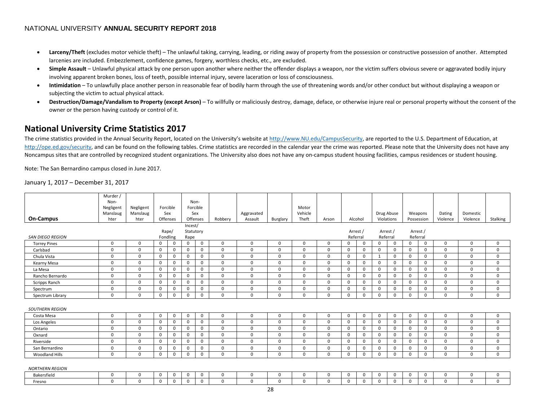- Larceny/Theft (excludes motor vehicle theft) The unlawful taking, carrying, leading, or riding away of property from the possession or constructive possession of another. Attempted larcenies are included. Embezzlement, confidence games, forgery, worthless checks, etc., are excluded.
- Simple Assault Unlawful physical attack by one person upon another where neither the offender displays a weapon, nor the victim suffers obvious severe or aggravated bodily injury involving apparent broken bones, loss of teeth, possible internal injury, severe laceration or loss of consciousness.
- **Intimidation**  To unlawfully place another person in reasonable fear of bodily harm through the use of threatening words and/or other conduct but without displaying a weapon or subjecting the victim to actual physical attack.
- Destruction/Damage/Vandalism to Property (except Arson) To willfully or maliciously destroy, damage, deface, or otherwise injure real or personal property without the consent of the owner or the person having custody or control of it.

# **National University Crime Statistics 2017**

The crime statistics provided in the Annual Security Report, located on the University's website a[t http://www.NU.edu/CampusSecurity,](http://www.nu.edu/CampusSecurity) are reported to the U.S. Department of Education, at [http://ope.ed.gov/security,](http://ope.ed.gov/security) and can be found on the following tables. Crime statistics are recorded in the calendar year the crime was reported. Please note that the University does not have any Noncampus sites that are controlled by recognized student organizations. The University also does not have any on-campus student housing facilities, campus residences or student housing.

Note: The San Bernardino campus closed in June 2017.

January 1, 2017 – December 31, 2017

<span id="page-27-0"></span>

|                         | Murder /              |                       |             |             |           |             |             |                       |             |                  |              |          |             |              |             |                       |          |                    |                      |             |
|-------------------------|-----------------------|-----------------------|-------------|-------------|-----------|-------------|-------------|-----------------------|-------------|------------------|--------------|----------|-------------|--------------|-------------|-----------------------|----------|--------------------|----------------------|-------------|
|                         | Non-                  |                       |             |             | Non-      |             |             |                       |             |                  |              |          |             |              |             |                       |          |                    |                      |             |
|                         | Negligent<br>Manslaug | Negligent<br>Manslaug | Forcible    | Sex         | Sex       | Forcible    |             |                       |             | Motor<br>Vehicle |              |          |             | Drug Abuse   |             |                       |          |                    |                      |             |
| <b>On-Campus</b>        | hter                  | hter                  |             | Offenses    | Offenses  |             | Robberv     | Aggravated<br>Assault | Burglary    | Theft            | Arson        | Alcohol  |             | Violations   |             | Weapons<br>Possession |          | Dating<br>Violence | Domestic<br>Violence | Stalking    |
|                         |                       |                       |             |             | Incest/   |             |             |                       |             |                  |              |          |             |              |             |                       |          |                    |                      |             |
|                         |                       |                       | Rape/       |             | Statutory |             |             |                       |             |                  |              | Arrest / |             | Arrest /     |             | Arrest /              |          |                    |                      |             |
| <b>SAN DIEGO REGION</b> |                       |                       | Fondling    |             | Rape      |             |             |                       |             |                  |              | Referral |             | Referral     |             | Referral              |          |                    |                      |             |
| <b>Torrey Pines</b>     | $\Omega$              | $\Omega$              | 0           | 0           | 0         | $\mathbf 0$ | $\Omega$    | $\Omega$              | $\Omega$    | $\Omega$         | $\Omega$     | $\Omega$ | 0           | 0            | 0           | 0                     | $\Omega$ | $\Omega$           | $\Omega$             | $\mathbf 0$ |
| Carlsbad                | $\Omega$              | $\Omega$              | $\mathbf 0$ | $\mathbf 0$ | 0         | $\mathbf 0$ | $\mathbf 0$ | $\Omega$              | $\Omega$    | $\Omega$         | $\Omega$     | $\Omega$ | 0           | 0            | $\mathbf 0$ | $\mathbf 0$           | $\Omega$ | $\Omega$           | $\Omega$             | $\Omega$    |
| Chula Vista             | $\mathbf 0$           | $\mathbf 0$           | $\mathbf 0$ | 0           | 0         | $\mathbf 0$ | $\mathbf 0$ | $\Omega$              | $\mathbf 0$ | $\mathbf 0$      | 0            | 0        | $\mathbf 0$ | $\mathbf{1}$ | $\mathbf 0$ | $\mathbf 0$           | 0        | $\mathbf 0$        | $\Omega$             | 0           |
| Kearny Mesa             | $\Omega$              | $\Omega$              | $\Omega$    | $\mathbf 0$ | 0         | $\mathbf 0$ | $\mathbf 0$ | $\Omega$              | $\Omega$    | $\mathbf{0}$     | $\Omega$     | $\Omega$ | $\Omega$    | 0            | $\Omega$    | 0                     | $\Omega$ | $\Omega$           | $\Omega$             | $\Omega$    |
| La Mesa                 | $\Omega$              | $\Omega$              | $\Omega$    | $\mathbf 0$ | $\Omega$  | $\mathbf 0$ | $\Omega$    | $\Omega$              | $\Omega$    | $\Omega$         | $\Omega$     | $\Omega$ | $\Omega$    | 0            | $\Omega$    | $\Omega$              | $\Omega$ | $\Omega$           | $\Omega$             | $\Omega$    |
| Rancho Bernardo         | 0                     | $\Omega$              | 0           | $\mathbf 0$ | 0         | $\mathbf 0$ | $\mathbf 0$ | $\Omega$              | $\Omega$    | $\mathbf{0}$     | $\mathbf 0$  | $\Omega$ | 0           | 0            | $\mathbf 0$ | 0                     | $\Omega$ | $\Omega$           | $\Omega$             | $\mathbf 0$ |
| Scripps Ranch           | $\Omega$              | $\Omega$              | $\Omega$    | $\mathbf 0$ | $\Omega$  | $\mathbf 0$ | $\Omega$    | $\Omega$              | $\Omega$    | $\Omega$         | $\Omega$     | $\Omega$ | $\Omega$    | 0            | $\Omega$    | 0                     | $\Omega$ | $\Omega$           | $\Omega$             | $\Omega$    |
| Spectrum                | $\Omega$              | 0                     | $\mathbf 0$ | 0           | 0         | $\mathbf 0$ | $\mathbf 0$ | $\Omega$              | $\Omega$    | $\mathbf{0}$     | 0            | $\Omega$ | 0           | 0            | 0           | 0                     | $\Omega$ | $\Omega$           | 0                    | 0           |
| Spectrum Library        | $\Omega$              | $\mathbf 0$           | $\Omega$    | $\mathbf 0$ | $\Omega$  | $\mathbf 0$ | $\mathbf 0$ | $\Omega$              | $\Omega$    | 0                | $\mathbf 0$  | $\Omega$ | $\Omega$    | 0            | $\Omega$    | $\mathbf 0$           | $\Omega$ | $\mathbf 0$        | $\mathbf 0$          | 0           |
|                         |                       |                       |             |             |           |             |             |                       |             |                  |              |          |             |              |             |                       |          |                    |                      |             |
| <b>SOUTHERN REGION</b>  |                       |                       |             |             |           |             |             |                       |             |                  |              |          |             |              |             |                       |          |                    |                      |             |
| Costa Mesa              | $\Omega$              | $\Omega$              | $\Omega$    | $\mathbf 0$ | 0         | 0           | $\Omega$    | $\Omega$              | $\Omega$    | $\Omega$         | $\Omega$     | $\Omega$ | $\Omega$    | 0            | 0           | 0                     | $\Omega$ | $\Omega$           | $\Omega$             | 0           |
| Los Angeles             | $\Omega$              | $\Omega$              | $\mathbf 0$ | $\mathbf 0$ | 0         | $\mathbf 0$ | $\mathbf 0$ | $\Omega$              | $\Omega$    | $\mathbf 0$      | $\Omega$     | $\Omega$ | 0           | 0            | $\mathbf 0$ | $\mathbf 0$           | $\Omega$ | $\mathbf 0$        | $\Omega$             | $\Omega$    |
| Ontario                 | $\Omega$              | $\Omega$              | $\Omega$    | $\mathbf 0$ | 0         | $\mathbf 0$ | $\mathbf 0$ | $\Omega$              | $\Omega$    | $\Omega$         | $\Omega$     | $\Omega$ | $\mathbf 0$ | 0            | 0           | 0                     | $\Omega$ | $\Omega$           | $\Omega$             | $\Omega$    |
| Oxnard                  | $\Omega$              | $\Omega$              | $\Omega$    | $\mathbf 0$ | 0         | $\mathbf 0$ | $\mathbf 0$ | $\Omega$              | $\Omega$    | $\Omega$         | $\Omega$     | $\Omega$ | $\Omega$    | 0            | 0           | $\mathbf 0$           | $\Omega$ | $\Omega$           | $\Omega$             | $\mathbf 0$ |
| Riverside               | $\Omega$              | $\Omega$              | $\Omega$    | $\mathbf 0$ | 0         | $\mathbf 0$ | $\mathbf 0$ | $\Omega$              | $\Omega$    | $\mathbf 0$      | 0            | $\Omega$ | $\Omega$    | 0            | $\Omega$    | $\mathbf 0$           | $\Omega$ | $\Omega$           | $\Omega$             | $\Omega$    |
| San Bernardino          | 0                     | $\Omega$              | 0           | 0           | 0         | 0           | 0           | $\Omega$              | $\mathbf 0$ | $\mathbf{0}$     | 0            | $\Omega$ | 0           | 0            | 0           | 0                     | $\Omega$ | $\mathbf 0$        | $\Omega$             | 0           |
| Woodland Hills          | $\mathbf 0$           | 0                     | 0           | $\mathbf 0$ | 0         | 0           | 0           | 0                     | $\mathbf 0$ | $\mathbf 0$      | $\mathbf{0}$ | 0        | 0           | 0            | 0           | 0                     | $\Omega$ | $\mathbf 0$        | 0                    | 0           |
|                         |                       |                       |             |             |           |             |             |                       |             |                  |              |          |             |              |             |                       |          |                    |                      |             |
| <b>NORTHERN REGION</b>  |                       |                       |             |             |           |             |             |                       |             |                  |              |          |             |              |             |                       |          |                    |                      |             |
| Bakersfield             | 0                     | $\Omega$              | 0           | 0           | 0         | 0           | $\mathbf 0$ | $\Omega$              | $\Omega$    | $\mathbf{0}$     | $\Omega$     | $\Omega$ | 0           | 0            | 0           | 0                     | $\Omega$ | $\Omega$           | $\Omega$             | 0           |
| Fresno                  | $\Omega$              | $\Omega$              | $\mathbf 0$ | 0           | 0         | $\mathbf 0$ | $\mathbf 0$ | $\Omega$              | $\Omega$    | 0                | $\Omega$     | $\Omega$ | 0           | 0            | 0           | 0                     | $\Omega$ | $\Omega$           | $\Omega$             | $\Omega$    |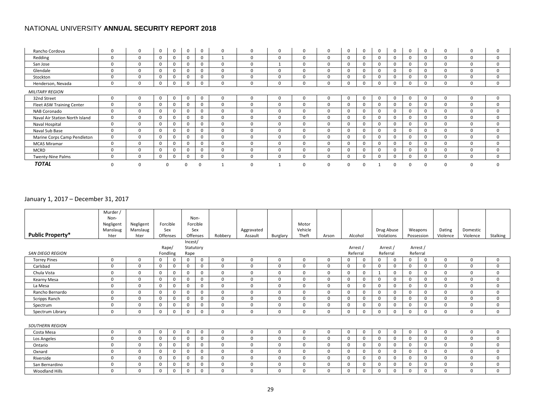| Rancho Cordova                 | 0           | $\Omega$ | $\mathbf 0$  | 0            | 0           | 0           | 0        | 0            | $\mathbf{0}$ | $\Omega$ | $\Omega$     | 0           | 0        | $\Omega$ | 0            |          | $\Omega$ | $\Omega$     | $\Omega$     | $\Omega$     |
|--------------------------------|-------------|----------|--------------|--------------|-------------|-------------|----------|--------------|--------------|----------|--------------|-------------|----------|----------|--------------|----------|----------|--------------|--------------|--------------|
| Redding                        | 0           | 0        | $\mathbf{0}$ | $\mathbf{0}$ | $\mathbf 0$ | $\mathbf 0$ |          | 0            | $\mathbf{0}$ | 0        | $\mathbf{0}$ | $\Omega$    | 0        |          | $\Omega$     | $\Omega$ |          | 0            | $\Omega$     | $\Omega$     |
| San Jose                       | 0           | 0        | $\mathbf{0}$ | $\mathbf{0}$ | $\mathbf 0$ | $\mathbf 0$ | 0        | 0            |              | 0        | 0            | $\Omega$    | 0        |          | $\mathbf{U}$ | $\Omega$ |          | 0            | $\Omega$     | $\Omega$     |
| Glendale                       | $\Omega$    | 0        | $\Omega$     | $\Omega$     | $\Omega$    | $\Omega$    | $\Omega$ | 0            | $\Omega$     | 0        | $\Omega$     | $\Omega$    | $\Omega$ |          | n.           |          |          | 0            | $\Omega$     | $\Omega$     |
| Stockton                       | 0           | 0        | $\Omega$     | $\mathbf{0}$ | $\Omega$    | $\mathbf 0$ | 0        | 0            | 0            | 0        | $\Omega$     | $\Omega$    | $\Omega$ |          | $\mathbf{U}$ |          |          | 0            | $\Omega$     | $\Omega$     |
| Henderson, Nevada              | 0           | 0        | $\mathbf{0}$ | $\mathbf{0}$ | $\mathbf 0$ | 0           | 0        | 0            | 0            | 0        | 0            | 0           | 0        |          |              |          |          | 0            | $\mathbf{0}$ | $\mathbf{0}$ |
| <b>MILITARY REGION</b>         |             |          |              |              |             |             |          |              |              |          |              |             |          |          |              |          |          |              |              |              |
| 32nd Street                    | 0           | $\Omega$ | $\mathbf 0$  | 0            | $\mathbf 0$ | 0           | 0        | 0            | 0            | 0        | $\Omega$     | $\mathbf 0$ | 0        | $\Omega$ | 0            | $\Omega$ | $\Omega$ | $\Omega$     | $\Omega$     | 0            |
| Fleet ASW Training Center      | 0           | 0        | $\mathbf{0}$ | $\mathbf{0}$ | $\mathbf 0$ | $\mathbf 0$ | 0        | 0            | 0            | $\Omega$ | $\Omega$     | $\Omega$    | 0        |          | $\Omega$     | $\Omega$ |          | $\Omega$     | $\Omega$     | $\Omega$     |
| NAB Coronado                   | 0           | 0        | $\mathbf{0}$ | $\mathbf{0}$ | 0           | $\mathbf 0$ | 0        | 0            | 0            | 0        | 0            | 0           | 0        |          | 0            | $\Omega$ | $\Omega$ | $\Omega$     | $\Omega$     | 0            |
| Naval Air Station North Island | 0           | 0        | $\mathbf{0}$ | $\mathbf{0}$ | $\mathbf 0$ | $\mathbf 0$ | $\Omega$ | <sup>0</sup> | $\Omega$     | $\Omega$ | $\Omega$     | $\Omega$    | $\Omega$ |          | $\Omega$     | $\Omega$ |          | <sup>0</sup> | $\Omega$     | $\Omega$     |
| Naval Hospital                 | $\mathbf 0$ | 0        | $\mathbf{0}$ | $\mathbf{0}$ | $\mathbf 0$ | $\mathbf 0$ | 0        | 0            | 0            | 0        | $\Omega$     | $\mathbf 0$ | 0        |          | $\Omega$     | $\Omega$ | $\Omega$ | $\Omega$     | $\Omega$     | $\mathbf 0$  |
| Naval Sub Base                 | 0           | 0        | $\mathbf{0}$ | 0            | $\mathbf 0$ | $\mathbf 0$ | 0        | 0            | 0            | 0        | 0            | 0           | 0        |          | U            | $\Omega$ | $\Omega$ | $\Omega$     | $\Omega$     | 0            |
| Marine Corps Camp Pendleton    | 0           | 0        | $\mathbf{0}$ | $\mathbf{0}$ | $\mathbf 0$ | $\mathbf 0$ | 0        | 0            | 0            | 0        | $\Omega$     | $\Omega$    | 0        |          |              |          |          | $\Omega$     | $\Omega$     | 0            |
| <b>MCAS Miramar</b>            | 0           | 0        | $\mathbf{0}$ | $\mathbf{0}$ | $\mathbf 0$ | $\mathbf 0$ | 0        | 0            | 0            | $\Omega$ | $\Omega$     | $\mathbf 0$ | 0        |          | $\Omega$     | $\Omega$ | $\Omega$ | $\Omega$     | $\Omega$     | $\Omega$     |
| <b>MCRD</b>                    | 0           | 0        | $\mathbf{0}$ | $\mathbf{0}$ | $\mathbf 0$ | $\mathbf 0$ | 0        | 0            | 0            | 0        | 0            | 0           | 0        |          |              |          | 0        | 0            | $\mathbf 0$  | 0            |
| Twenty-Nine Palms              | 0           | 0        | $\mathbf{0}$ | $\mathbf{0}$ | $\mathbf 0$ | 0           | 0        | 0            | 0            | $\Omega$ | $\Omega$     | $\Omega$    | $\Omega$ |          | 0            |          |          | $\Omega$     | $\Omega$     | $\Omega$     |
| <b>TOTAL</b>                   | $\Omega$    |          |              |              |             |             |          |              |              | $\Omega$ | $\Omega$     |             |          |          |              |          |          | $\Omega$     | $\Omega$     | $\Omega$     |

## January 1, 2017 – December 31, 2017

|                         | Murder /<br>Non-<br>Negligent<br>Manslaug | Negligent<br>Manslaug |              | Forcible<br>Sex |                              | Non-<br>Forcible<br>Sex |          | Aggravated |             | Motor<br>Vehicle |          |              |             | Drug Abuse  |          |          | Weapons    | Dating   | Domestic |             |
|-------------------------|-------------------------------------------|-----------------------|--------------|-----------------|------------------------------|-------------------------|----------|------------|-------------|------------------|----------|--------------|-------------|-------------|----------|----------|------------|----------|----------|-------------|
| <b>Public Property*</b> | hter                                      | hter                  |              | Offenses        | Offenses                     |                         | Robbery  | Assault    | Burglary    | Theft            | Arson    |              | Alcohol     | Violations  |          |          | Possession | Violence | Violence | Stalking    |
| <b>SAN DIEGO REGION</b> |                                           |                       | Rape/        | Fondling        | Incest/<br>Statutory<br>Rape |                         |          |            |             |                  |          | Referral     | Arrest /    | Referral    | Arrest / | Referral | Arrest /   |          |          |             |
| <b>Torrey Pines</b>     | 0                                         | 0                     | $\mathbf{0}$ | 0               | $\mathbf 0$                  | 0                       | 0        | 0          | $\Omega$    | $\Omega$         | $\Omega$ | $\mathbf 0$  | $\mathbf 0$ | 0           | 0        | 0        | $\Omega$   | $\Omega$ | $\Omega$ | $\mathbf 0$ |
| Carlsbad                | 0                                         | $\mathbf{0}$          | $\mathbf 0$  | $\mathbf{0}$    | $\mathbf 0$                  | 0                       | 0        | 0          | $\mathbf 0$ | $\Omega$         | $\Omega$ | 0            | 0           | $\mathbf 0$ | 0        | 0        | 0          | $\Omega$ | $\Omega$ | 0           |
| Chula Vista             | 0                                         | $\Omega$              | 0            | $\Omega$        | $\mathbf 0$                  | 0                       | 0        | 0          | 0           | $\Omega$         | $\Omega$ | $\mathbf 0$  | 0           |             | 0        | 0        | 0          | $\Omega$ | $\Omega$ | $\Omega$    |
| Kearny Mesa             | 0                                         | $\mathbf{0}$          | $\mathbf{0}$ | $\mathbf 0$     | $\mathbf 0$                  | 0                       | 0        | 0          | $\mathbf 0$ | $\Omega$         | $\Omega$ | $\mathbf 0$  | 0           | $\mathbf 0$ | 0        | 0        | 0          | $\Omega$ | $\Omega$ | 0           |
| La Mesa                 | 0                                         | 0                     | $\mathbf{0}$ | $\mathbf 0$     | $\mathbf 0$                  | 0                       | 0        | 0          | 0           | $\Omega$         | $\Omega$ | $\mathbf{0}$ | 0           | $\mathbf 0$ | 0        | 0        | 0          | $\Omega$ | $\Omega$ | $\mathbf 0$ |
| Rancho Bernardo         | 0                                         | $\Omega$              | $\mathbf 0$  | $\mathbf 0$     | $\mathbf 0$                  | 0                       | 0        | 0          | 0           | $\Omega$         | $\Omega$ | $\mathbf 0$  | 0           | $\mathbf 0$ | $\Omega$ | 0        | $\Omega$   | $\Omega$ | $\Omega$ | $\mathbf 0$ |
| Scripps Ranch           | 0                                         | 0                     | 0            | $\mathbf 0$     | 0                            | 0                       | 0        | 0          | 0           | $\mathbf 0$      | 0        | $\mathbf 0$  | 0           | $\mathbf 0$ | 0        | 0        | 0          | 0        | 0        | $\mathbf 0$ |
| Spectrum                | 0                                         | 0                     | 0            | $\Omega$        | $\mathbf 0$                  | $\Omega$                | 0        | 0          | $\Omega$    | $\Omega$         | $\Omega$ | $\mathbf 0$  | 0           | $\Omega$    | $\Omega$ | $\Omega$ | $\Omega$   | $\Omega$ | $\Omega$ | $\Omega$    |
| Spectrum Library        | 0                                         | $\Omega$              | $\mathbf{0}$ | $\Omega$        | $\mathbf 0$                  | $\Omega$                | 0        | $\Omega$   | 0           | $\Omega$         | $\Omega$ | $\mathbf 0$  | $\mathbf 0$ | $\Omega$    | $\Omega$ | $\Omega$ | $\Omega$   | $\Omega$ | $\Omega$ | $\Omega$    |
| <b>SOUTHERN REGION</b>  |                                           |                       |              |                 |                              |                         |          |            |             |                  |          |              |             |             |          |          |            |          |          |             |
| Costa Mesa              | $\Omega$                                  | $\Omega$              | $\mathbf 0$  | 0               | $\mathbf 0$                  | 0                       | $\Omega$ | $\Omega$   | $\Omega$    | $\Omega$         | $\Omega$ | $\mathbf{0}$ | $\mathbf 0$ | $\mathbf 0$ | $\Omega$ | 0        | $\Omega$   | $\Omega$ | $\Omega$ | $\Omega$    |
| Los Angeles             | $\Omega$                                  | $\Omega$              | $\mathbf{0}$ | $\mathbf 0$     | $\mathbf 0$                  | 0                       | 0        | $\Omega$   | $\Omega$    | $\Omega$         | $\Omega$ | $\mathbf{0}$ | 0           | $\mathbf 0$ | $\Omega$ | 0        | $\Omega$   | $\Omega$ | $\Omega$ | $\Omega$    |
| Ontario                 | $\Omega$                                  | $\Omega$              | $\mathbf{0}$ | $\mathbf 0$     | $\mathbf 0$                  | 0                       | 0        | $\Omega$   | $\Omega$    | $\Omega$         | $\Omega$ | $\mathbf{0}$ | 0           | $\mathbf 0$ | 0        | 0        | $\Omega$   | $\Omega$ | $\Omega$ | $\mathbf 0$ |
| Oxnard                  | 0                                         | 0                     | $\mathbf 0$  | $\mathbf 0$     | $\mathbf 0$                  | 0                       | 0        | 0          | 0           | 0                | 0        | 0            | 0           | $\mathbf 0$ | 0        | 0        | 0          | 0        | 0        | $\mathbf 0$ |
| Riverside               | 0                                         | 0                     | $\mathbf{0}$ | $\mathbf 0$     | $\mathbf 0$                  | 0                       | 0        | 0          | 0           | $\Omega$         | $\Omega$ | $\mathbf 0$  | 0           | $\mathbf 0$ | 0        | 0        | 0          | $\Omega$ | $\Omega$ | 0           |
| San Bernardino          | $\Omega$                                  | $\Omega$              | $\mathbf{0}$ | $\Omega$        | $\mathbf 0$                  | $\Omega$                | 0        | $\Omega$   | $\Omega$    | $\Omega$         | $\Omega$ | $\Omega$     | 0           | $\Omega$    | $\Omega$ | $\Omega$ | $\Omega$   | $\Omega$ | $\Omega$ | $\Omega$    |
| <b>Woodland Hills</b>   | 0                                         | 0                     | $\mathbf 0$  | 0               | 0                            | 0                       | 0        | 0          | 0           | 0                | 0        | 0            | 0           | $\mathbf 0$ | 0        | 0        | 0          | 0        | 0        | 0           |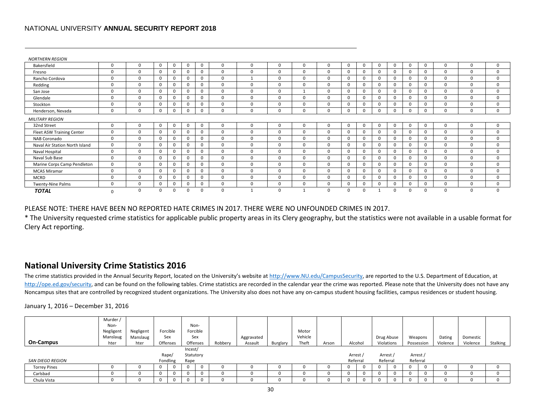| <b>NORTHERN REGION</b>         |          |          |   |              |              |             |          |          |              |              |          |              |              |          |              |          |              |             |          |          |
|--------------------------------|----------|----------|---|--------------|--------------|-------------|----------|----------|--------------|--------------|----------|--------------|--------------|----------|--------------|----------|--------------|-------------|----------|----------|
| Bakersfield                    | $\Omega$ | 0        | 0 | $\mathbf{0}$ | $\mathbf 0$  | $\mathbf 0$ | 0        | 0        | $\mathbf{0}$ | 0            | $\Omega$ | 0            | $\Omega$     | 0        | $\mathbf 0$  | 0        | 0            | $\mathbf 0$ | 0        | 0        |
| Fresno                         | $\Omega$ | $\Omega$ |   | $\Omega$     | $\mathbf 0$  | 0           | U        | 0        | $\Omega$     | <sup>0</sup> | $\Omega$ | 0            | $\Omega$     | $\Omega$ | $\Omega$     | $\Omega$ | <sup>0</sup> | $\Omega$    | $\Omega$ | 0        |
| Rancho Cordova                 | $\Omega$ | $\Omega$ |   | $\Omega$     | $\mathsf{o}$ | 0           | 0        |          | $\mathbf{0}$ | 0            | $\Omega$ | 0            |              | $\Omega$ | 0            | 0        | 0            | $\Omega$    | 0        | 0        |
| Redding                        | $\Omega$ | $\Omega$ |   | $\Omega$     | $\mathbf 0$  | 0           | O        | $\Omega$ | $\Omega$     | 0            | $\Omega$ | 0            | $\Omega$     | $\Omega$ | $\Omega$     | $\Omega$ | <sup>0</sup> | $\Omega$    | $\Omega$ | 0        |
| San Jose                       | $\Omega$ | $\Omega$ |   | $\Omega$     | $\mathbf 0$  | 0           | $\Omega$ | $\Omega$ | $\mathbf{0}$ |              | $\Omega$ | $\Omega$     |              | $\Omega$ | $\Omega$     | $\Omega$ | $\Omega$     | $\Omega$    | $\Omega$ | 0        |
| Glendale                       | $\Omega$ | $\Omega$ |   | $\Omega$     | $\mathbf 0$  | $\mathbf 0$ |          | $\Omega$ | $\Omega$     | <sup>0</sup> | $\Omega$ | 0            | $\Omega$     | $\Omega$ | $\Omega$     | $\Omega$ | $\Omega$     | $\Omega$    | $\Omega$ | 0        |
| Stockton                       | $\Omega$ | $\Omega$ |   | 0            | $\mathbf 0$  | 0           | $\Omega$ | 0        | $\mathbf{0}$ | 0            | $\Omega$ | 0            | $\Omega$     | 0        | 0            | 0        | $\Omega$     | $\Omega$    | 0        | 0        |
| Henderson, Nevada              | $\Omega$ | 0        |   | $\Omega$     | 0            | 0           | 0        | 0        | 0            | $\Omega$     | $\Omega$ | $\Omega$     | $\Omega$     | $\Omega$ | 0            | $\Omega$ | $\Omega$     | $\Omega$    | 0        | 0        |
| <b>MILITARY REGION</b>         |          |          |   |              |              |             |          |          |              |              |          |              |              |          |              |          |              |             |          |          |
| 32nd Street                    | $\Omega$ | 0        | 0 | $\mathbf 0$  | $\mathbf 0$  | $\mathbf 0$ | 0        | 0        | $\mathbf{0}$ | 0            | $\Omega$ | $\mathbf{0}$ | $\Omega$     | 0        | $\mathbf{0}$ | 0        | $\mathbf{0}$ | $\Omega$    | 0        | 0        |
| Fleet ASW Training Center      | $\Omega$ | $\Omega$ |   | $\Omega$     | $\mathbf 0$  | 0           | U        | $\Omega$ | $\Omega$     | 0            | $\Omega$ | 0            |              | $\Omega$ | $\Omega$     | $\Omega$ | <sup>0</sup> | $\Omega$    | $\Omega$ | 0        |
| NAB Coronado                   | $\Omega$ | $\Omega$ | 0 | $\Omega$     | $\mathbf 0$  | $\mathbf 0$ | 0        | $\Omega$ | $\mathbf{0}$ | 0            | $\Omega$ | $\Omega$     | <sup>o</sup> | $\Omega$ | $\Omega$     | $\Omega$ | 0            | $\Omega$    | 0        | 0        |
| Naval Air Station North Island | $\Omega$ | $\Omega$ |   | $\Omega$     | $\mathbf 0$  | 0           | 0        | $\Omega$ | $\Omega$     | 0            | $\Omega$ | <sup>0</sup> | $\Omega$     | $\Omega$ | $\Omega$     | $\Omega$ | $\Omega$     | $\Omega$    | $\Omega$ | 0        |
| Naval Hospital                 | $\Omega$ | $\Omega$ |   | $\Omega$     | $\mathbf 0$  | $\mathbf 0$ | $\Omega$ | $\Omega$ | $\Omega$     | 0            | $\Omega$ | 0            | $\Omega$     | $\Omega$ | $\Omega$     | $\Omega$ | $\Omega$     | $\Omega$    | $\Omega$ | 0        |
| Naval Sub Base                 | $\Omega$ | $\Omega$ |   | $\mathbf{0}$ | $\mathbf 0$  | $\mathbf 0$ | $\Omega$ | 0        | $\mathbf{0}$ | 0            | $\Omega$ | 0            | $\Omega$     | 0        | 0            | 0        | $\Omega$     | $\Omega$    | 0        | 0        |
| Marine Corps Camp Pendleton    | $\Omega$ | $\Omega$ |   | $\Omega$     | $\mathbf 0$  | $\mathbf 0$ | $\Omega$ | $\Omega$ | $\Omega$     | 0            | $\Omega$ | $\Omega$     | $\Omega$     | 0        | $\Omega$     | $\Omega$ | $\Omega$     | $\Omega$    | $\Omega$ | 0        |
| <b>MCAS Miramar</b>            | $\Omega$ | $\Omega$ |   | 0            | $\mathsf{o}$ | $\mathbf 0$ | $\Omega$ | $\Omega$ | $\mathbf{0}$ | 0            | $\Omega$ | 0            | $\Omega$     | 0        | 0            | 0        | 0            | $\Omega$    | 0        | 0        |
| <b>MCRD</b>                    | $\Omega$ | $\Omega$ |   | 0            | $\mathbf 0$  | $\mathbf 0$ | $\Omega$ | $\Omega$ | $\Omega$     | 0            | $\Omega$ | $\Omega$     | $\Omega$     | 0        | $\Omega$     | $\Omega$ | $\Omega$     | $\Omega$    | 0        | 0        |
| Twenty-Nine Palms              | $\Omega$ | 0        |   | $\Omega$     | $\mathbf 0$  | 0           | 0        | 0        | 0            | 0            | $\Omega$ | $\mathbf{0}$ | <sup>n</sup> | 0        | $\mathbf{0}$ | 0        | 0            | $\mathbf 0$ | 0        | 0        |
| <b>TOTAL</b>                   | $\Omega$ | $\Omega$ |   | $\Omega$     | $\Omega$     | $\Omega$    | 0        |          | $\Omega$     |              | $\Omega$ | $\Omega$     |              |          | $\Omega$     | $\Omega$ | $\Omega$     | $\Omega$    | $\Omega$ | $\Omega$ |

PLEASE NOTE: THERE HAVE BEEN NO REPORTED HATE CRIMES IN 2017. THERE WERE NO UNFOUNDED CRIMES IN 2017.

\* The University requested crime statistics for applicable public property areas in its Clery geography, but the statistics were not available in a usable format for Clery Act reporting.

# **National University Crime Statistics 2016**

The crime statistics provided in the Annual Security Report, located on the University's website a[t http://www.NU.edu/CampusSecurity,](http://www.nu.edu/CampusSecurity) are reported to the U.S. Department of Education, at [http://ope.ed.gov/security,](http://ope.ed.gov/security) and can be found on the following tables. Crime statistics are recorded in the calendar year the crime was reported. Please note that the University does not have any Noncampus sites that are controlled by recognized student organizations. The University also does not have any on-campus student housing facilities, campus residences or student housing.

<span id="page-29-0"></span>

|                     | Murder /  |           |       |          |           |          |         |            |          |         |       |          |          |            |            |          |              |          |          |          |
|---------------------|-----------|-----------|-------|----------|-----------|----------|---------|------------|----------|---------|-------|----------|----------|------------|------------|----------|--------------|----------|----------|----------|
|                     | Non-      |           |       |          | Non-      |          |         |            |          |         |       |          |          |            |            |          |              |          |          |          |
|                     | Negligent | Negligent |       | Forcible |           | Forcible |         |            |          | Motor   |       |          |          |            |            |          |              |          |          |          |
|                     | Manslaug  | Manslaug  |       | Sex      |           | Sex      |         | Aggravated |          | Vehicle |       |          |          | Drug Abuse |            |          | Weapons      | Dating   | Domestic |          |
| <b>On-Campus</b>    | hter      | hter      |       | Offenses | Offenses  |          | Robbery | Assault    | Burglary | Theft   | Arson |          | Alcohol  |            | Violations |          | Possession   | Violence | Violence | Stalking |
|                     |           |           |       |          | Incest/   |          |         |            |          |         |       |          |          |            |            |          |              |          |          |          |
|                     |           |           | Rape/ |          | Statutory |          |         |            |          |         |       | Arrest   |          | Arrest /   |            |          | Arrest /     |          |          |          |
| SAN DIEGO REGION    |           |           |       | Fondling | Rape      |          |         |            |          |         |       | Referral |          | Referral   |            | Referral |              |          |          |          |
| <b>Torrey Pines</b> |           |           |       |          |           |          | 0       |            | U        |         |       |          | 0        |            | 0          |          | 0            |          |          |          |
| Carlsbad            |           |           |       |          |           |          |         |            |          |         |       |          | 0        |            | 0          |          | 0            |          |          |          |
| Chula Vista         |           |           |       |          |           |          |         |            |          |         |       |          | $\Omega$ |            | $\Omega$   |          | <sup>0</sup> |          |          |          |

January 1, 2016 – December 31, 2016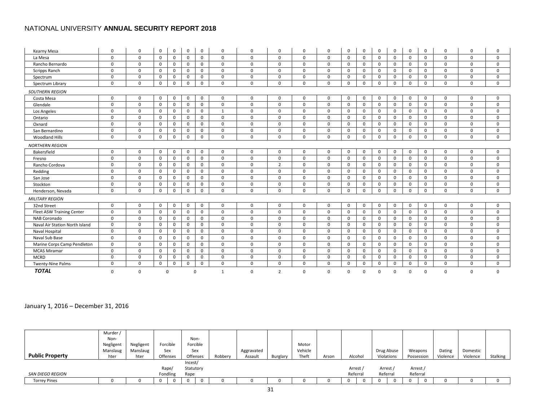| Kearny Mesa                      | 0           | 0           | 0           | 0            | 0            | $\mathbf 0$  | 0            | 0            | 0              | 0            | $\mathbf 0$ | 0              | 0            | 0            | 0            | $\mathbf 0$ | 0           | 0           | 0           | $\mathbf 0$  |
|----------------------------------|-------------|-------------|-------------|--------------|--------------|--------------|--------------|--------------|----------------|--------------|-------------|----------------|--------------|--------------|--------------|-------------|-------------|-------------|-------------|--------------|
| La Mesa                          | 0           | 0           | $\mathbf 0$ | $\mathbf 0$  | $\mathbf 0$  | $\mathbf 0$  | $\mathbf 0$  | 0            | $\mathbf 0$    | $\mathbf 0$  | $\mathbf 0$ | 0              | 0            | $\mathbf 0$  | 0            | $\mathbf 0$ | 0           | $\mathbf 0$ | 0           | $\mathbf 0$  |
| Rancho Bernardo                  | $\mathbf 0$ | $\Omega$    | $\mathbf 0$ | $\mathbf 0$  | $\mathbf 0$  | $\mathbf 0$  | $\mathbf 0$  | $\Omega$     | $\Omega$       | $\Omega$     | $\mathbf 0$ | 0              | 0            | $\mathsf{o}$ | 0            | $\mathbf 0$ | 0           | $\mathbf 0$ | $\Omega$    | $\mathbf 0$  |
| Scripps Ranch                    | 0           | $\Omega$    | 0           | $\mathbf 0$  | 0            | $\mathbf 0$  | $\mathbf 0$  | $\Omega$     | $\Omega$       | $\Omega$     | $\mathbf 0$ | $\Omega$       | 0            | $\mathbf 0$  | 0            | $\mathbf 0$ | 0           | $\Omega$    | $\Omega$    | $\mathbf 0$  |
| Spectrum                         | $\mathbf 0$ | $\Omega$    | 0           | $\mathbf 0$  | 0            | $\mathbf 0$  | $\mathbf 0$  | $\Omega$     | $\Omega$       | $\Omega$     | $\mathbf 0$ | 0              | 0            | $\mathbf 0$  | 0            | $\mathbf 0$ | 0           | $\Omega$    | $\Omega$    | $\Omega$     |
| Spectrum Library                 | $\mathbf 0$ | $\mathbf 0$ | 0           | $\mathbf 0$  | 0            | $\mathbf 0$  | $\mathsf{o}$ | $\mathbf 0$  | $\mathbf 0$    | $\mathbf 0$  | $\mathbf 0$ | 0              | $\mathbf{0}$ | $\mathsf{o}$ | $\mathbf 0$  | 0           | $\mathbf 0$ | $\mathbf 0$ | $\mathbf 0$ | $\mathbf 0$  |
| <b>SOUTHERN REGION</b>           |             |             |             |              |              |              |              |              |                |              |             |                |              |              |              |             |             |             |             |              |
| Costa Mesa                       | 0           | $\Omega$    | 0           | $\mathbf{0}$ | 0            | $\mathbf 0$  | $\mathbf 0$  | $\Omega$     | $\Omega$       | $\Omega$     | $\mathbf 0$ | 0              | 0            | $\mathbf 0$  | 0            | $\mathbf 0$ | 0           | $\Omega$    | $\Omega$    | $\Omega$     |
| Glendale                         | $\mathbf 0$ | $\Omega$    | 0           | $\mathbf 0$  | 0            | $\mathbf 0$  | $\mathbf 0$  | $\Omega$     | $\Omega$       | $\Omega$     | $\mathbf 0$ | 0              | 0            | $\mathbf 0$  | 0            | 0           | $\mathbf 0$ | $\Omega$    | $\Omega$    | $\mathbf 0$  |
| Los Angeles                      | $\mathbf 0$ | 0           | $\mathbf 0$ | $\mathbf 0$  | $\mathbf{0}$ | $\mathbf 0$  | 1            | $\Omega$     | $\mathbf 0$    | $\Omega$     | $\mathbf 0$ | 0              | 0            | $\mathbf 0$  | 0            | $\mathbf 0$ | 0           | $\mathbf 0$ | $\Omega$    | $\mathbf 0$  |
| Ontario                          | 0           | 0           | $\mathbf 0$ | $\mathbf 0$  | $\mathbf 0$  | $\mathbf 0$  | $\mathbf 0$  | $\Omega$     | $\mathbf 0$    | $\mathbf 0$  | $\mathbf 0$ | 0              | 0            | $\mathbf 0$  | 0            | $\mathbf 0$ | 0           | $\mathbf 0$ | 0           | $\mathbf 0$  |
| Oxnard                           | 0           | $\Omega$    | 0           | $\mathbf 0$  | $\mathbf{0}$ | 0            | 0            | $\Omega$     | $\Omega$       | $\mathbf 0$  | 0           | 0              | 0            | $\mathbf 0$  | 0            | $\mathbf 0$ | 0           | $\Omega$    | $\Omega$    | $\mathbf 0$  |
| San Bernardino                   | $\mathbf 0$ | 0           | $\mathbf 0$ | $\mathbf 0$  | 0            | $\mathbf 0$  | $\mathbf 0$  | $\mathbf{0}$ | $\mathbf 0$    | $\mathbf 0$  | $\mathbf 0$ | 0              | 0            | $\mathbf 0$  | 0            | $\mathbf 0$ | 0           | $\mathbf 0$ | 0           | $\mathbf 0$  |
| Woodland Hills                   | $\mathbf 0$ | 0           | 0           | $\mathbf 0$  | 0            | $\mathbf 0$  | 0            | $\mathbf{0}$ | $\mathbf 0$    | $\mathbf 0$  | $\mathbf 0$ | 0              | 0            | $\mathsf{o}$ | 0            | $\mathbf 0$ | 0           | $\mathbf 0$ | 0           | $\mathbf 0$  |
| <b>NORTHERN REGION</b>           |             |             |             |              |              |              |              |              |                |              |             |                |              |              |              |             |             |             |             |              |
| Bakersfield                      | 0           | $\Omega$    | 0           | $\mathbf 0$  | 0            | $\mathbf 0$  | $\mathbf 0$  | $\Omega$     | $\Omega$       | $\mathbf 0$  | $\mathbf 0$ | 0              | 0            | $\mathbf 0$  | $\mathbf 0$  | $\mathbf 0$ | 0           | $\Omega$    | $\Omega$    | $\mathbf 0$  |
| Fresno                           | $\mathbf 0$ | $\mathbf 0$ | $\mathbf 0$ | $\mathbf 0$  | $\mathbf{0}$ | $\mathbf{0}$ | $\mathbf 0$  | $\mathbf 0$  | $\mathbf 0$    | $\mathbf 0$  | $\mathbf 0$ | 0              | $\mathbf 0$  | $\mathbf 0$  | $\mathbf{0}$ | $\mathbf 0$ | 0           | $\mathbf 0$ | 0           | $\mathbf 0$  |
| Rancho Cordova                   | $\mathbf 0$ | $\mathbf 0$ | $\mathbf 0$ | $\mathbf{0}$ | $\mathbf 0$  | $\mathbf 0$  | $\mathbf 0$  | $\mathbf 0$  | $\overline{2}$ | $\mathbf 0$  | $\mathbf 0$ | 0              | $\mathbf 0$  | $\mathbf 0$  | 0            | $\mathbf 0$ | 0           | $\mathbf 0$ | $\mathbf 0$ | $\mathbf 0$  |
| Redding                          | $\mathbf 0$ | $\Omega$    | 0           | $\mathbf 0$  | $\mathbf 0$  | $\mathbf 0$  | $\mathbf 0$  | $\Omega$     | $\Omega$       | $\Omega$     | $\mathbf 0$ | $\Omega$       | 0            | $\mathbf 0$  | 0            | $\mathbf 0$ | 0           | $\Omega$    | $\Omega$    | $\Omega$     |
| San Jose                         | $\mathbf 0$ | $\Omega$    | 0           | $\mathbf 0$  | $\mathbf{0}$ | $\mathbf 0$  | $\mathbf 0$  | $\Omega$     | $\Omega$       | $\Omega$     | $\mathbf 0$ | $\Omega$       | 0            | $\mathbf 0$  | 0            | $\mathbf 0$ | 0           | $\Omega$    | $\Omega$    | $\Omega$     |
| Stockton                         | $\mathbf 0$ | 0           | $\mathbf 0$ | $\mathbf 0$  | $\mathbf 0$  | $\mathbf 0$  | $\mathbf 0$  | $\mathbf 0$  | $\mathbf 0$    | $\mathbf 0$  | $\mathbf 0$ | 0              | 0            | $\mathbf 0$  | 0            | 0           | $\mathbf 0$ | $\mathbf 0$ | $\mathbf 0$ | $\mathbf 0$  |
| Henderson, Nevada                | $\mathbf 0$ | $\Omega$    | 0           | $\mathbf 0$  | 0            | $\mathbf 0$  | $\mathbf 0$  | $\Omega$     | $\Omega$       | $\mathbf 0$  | $\mathbf 0$ | $\mathbf 0$    | $\mathbf{0}$ | $\mathsf{o}$ | $\mathbf 0$  | $\mathbf 0$ | 0           | $\Omega$    | $\mathbf 0$ | $\mathbf 0$  |
| <b>MILITARY REGION</b>           |             |             |             |              |              |              |              |              |                |              |             |                |              |              |              |             |             |             |             |              |
| 32nd Street                      | $\mathbf 0$ | $\Omega$    | $\mathbf 0$ | $\mathbf 0$  | 0            | $\mathbf 0$  | $\mathbf 0$  | $\Omega$     | $\Omega$       | $\Omega$     | $\mathbf 0$ | 0              | 0            | $\mathbf 0$  | $\mathbf 0$  | 0           | $\mathbf 0$ | $\Omega$    | $\Omega$    | $\mathbf 0$  |
| <b>Fleet ASW Training Center</b> | 0           | $\Omega$    | $\mathbf 0$ | $\mathbf 0$  | 0            | $\mathbf 0$  | $\mathbf 0$  | $\Omega$     | $\Omega$       | $\Omega$     | $\mathbf 0$ | 0              | 0            | $\mathbf 0$  | 0            | $\mathbf 0$ | 0           | $\Omega$    | $\Omega$    | $\mathbf 0$  |
| NAB Coronado                     | $\mathbf 0$ | $\mathbf 0$ | $\mathbf 0$ | $\mathbf 0$  | $\mathbf{0}$ | $\mathbf{0}$ | $\mathbf 0$  | $\Omega$     | $\mathbf 0$    | $\mathbf 0$  | $\mathbf 0$ | 0              | $\mathbf 0$  | $\mathbf 0$  | $\mathbf 0$  | $\mathbf 0$ | $\mathbf 0$ | $\mathbf 0$ | $\Omega$    | $\mathbf 0$  |
| Naval Air Station North Island   | $\mathbf 0$ | 0           | 0           | $\mathbf 0$  | 0            | $\mathbf 0$  | 0            | $\mathbf{0}$ | $\Omega$       | $\mathbf 0$  | $\mathbf 0$ | 0              | 0            | $\mathbf 0$  | 0            | $\mathbf 0$ | 0           | $\mathbf 0$ | $\Omega$    | $\mathbf 0$  |
| Naval Hospital                   | $\mathbf 0$ | $\mathbf 0$ | $\mathbf 0$ | $\mathbf 0$  | $\mathbf 0$  | $\mathbf 0$  | $\mathbf 0$  | $\mathbf{0}$ | $\mathbf 0$    | $\mathbf{0}$ | $\mathbf 0$ | 0              | $\mathbf 0$  | $\mathbf 0$  | $\mathbf 0$  | $\mathbf 0$ | 0           | $\mathbf 0$ | 0           | $\mathbf 0$  |
| Naval Sub Base                   | $\mathbf 0$ | $\mathbf 0$ | 0           | $\mathbf{0}$ | $\mathbf 0$  | $\mathbf 0$  | $\mathbf 0$  | $\Omega$     | $\mathbf 0$    | $\Omega$     | $\mathbf 0$ | $\mathbf 0$    | $\mathbf 0$  | $\mathbf 0$  | 0            | $\mathbf 0$ | 0           | $\mathbf 0$ | 0           | $\mathbf 0$  |
| Marine Corps Camp Pendleton      | 0           | 0           | 0           | $\mathbf 0$  | 0            | $\mathbf 0$  | $\mathbf 0$  | $\Omega$     | $\mathbf 0$    | $\mathbf 0$  | $\mathbf 0$ | $\overline{0}$ | $\mathbf 0$  | $\mathsf{o}$ | $\mathbf 0$  | 0           | $\mathbf 0$ | $\mathbf 0$ | 0           | $\mathbf 0$  |
| <b>MCAS Miramar</b>              | $\mathbf 0$ | $\Omega$    | 0           | $\mathbf 0$  | 0            | $\mathbf 0$  | $\mathbf 0$  | $\Omega$     | $\Omega$       | $\Omega$     | $\mathbf 0$ | 0              | 0            | $\mathbf 0$  | 0            | $\mathbf 0$ | 0           | $\Omega$    | $\Omega$    | $\mathbf 0$  |
| <b>MCRD</b>                      | $\mathbf 0$ | 0           | $\mathbf 0$ | $\mathbf 0$  | 0            | $\mathbf 0$  | $\mathbf 0$  | $\Omega$     | $\Omega$       | $\Omega$     | 0           | 0              | 0            | $\mathbf 0$  | 0            | $\mathbf 0$ | 0           | $\mathbf 0$ | $\mathbf 0$ | $\mathbf{0}$ |
| Twenty-Nine Palms                | $\mathbf 0$ | $\Omega$    | 0           | $\mathbf 0$  | 0            | $\mathbf 0$  | $\mathbf 0$  | $\Omega$     | $\Omega$       | $\Omega$     | $\mathbf 0$ | 0              | $\mathbf{0}$ | $\mathsf{o}$ | 0            | 0           | 0           | $\Omega$    | $\Omega$    | $\mathbf 0$  |
| <b>TOTAL</b>                     | 0           | 0           | 0           |              | 0            |              | 1            | $\Omega$     | 2              | $\mathbf 0$  | 0           | $\Omega$       | 0            | $\mathbf 0$  | $\Omega$     | $\Omega$    | 0           | $\Omega$    | 0           | $\mathbf 0$  |

# January 1, 2016 – December 31, 2016

|                        | Murder /  |           |          |           |              |            |          |         |       |          |            |            |          |          |          |
|------------------------|-----------|-----------|----------|-----------|--------------|------------|----------|---------|-------|----------|------------|------------|----------|----------|----------|
|                        | Non-      |           |          | Non-      |              |            |          |         |       |          |            |            |          |          |          |
|                        | Negligent | Negligent | Forcible | Forcible  |              |            |          | Motor   |       |          |            |            |          |          |          |
|                        | Manslaug  | Manslaug  | Sex      | Sex       |              | Aggravated |          | Vehicle |       |          | Drug Abuse | Weapons    | Dating   | Domestic |          |
| <b>Public Property</b> | hter      | hter      | Offenses | Offenses  | Robbery      | Assault    | Burglary | Theft   | Arson | Alcohol  | Violations | Possession | Violence | Violence | Stalking |
|                        |           |           |          | Incest/   |              |            |          |         |       |          |            |            |          |          |          |
|                        |           |           | Rape/    | Statutory |              |            |          |         |       | Arrest   | Arrest /   | Arrest     |          |          |          |
| SAN DIEGO REGION       |           |           | Fondling | Rape      |              |            |          |         |       | Referral | Referral   | Referral   |          |          |          |
| <b>Torrey Pines</b>    |           |           | 0        | 0         | $\mathbf{I}$ |            |          |         |       |          |            | 0<br>0     |          |          |          |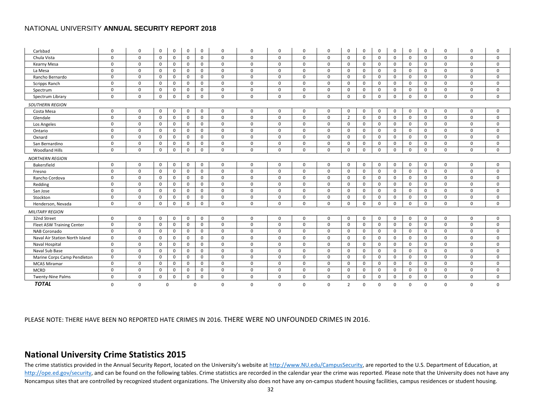| Carlsbad                       | 0           | 0           | 0            | 0            | 0            | 0           | 0            | 0            | 0            | 0           | 0            | 0              | 0           | 0            | 0            | 0            | 0           | 0            | 0           | 0           |
|--------------------------------|-------------|-------------|--------------|--------------|--------------|-------------|--------------|--------------|--------------|-------------|--------------|----------------|-------------|--------------|--------------|--------------|-------------|--------------|-------------|-------------|
| Chula Vista                    | $\mathbf 0$ | $\mathbf 0$ | $\mathsf{O}$ | $\mathbf 0$  | $\mathbf 0$  | $\mathbf 0$ | $\mathsf{o}$ | $\mathbf 0$  | $\mathbf 0$  | 0           | $\mathbf 0$  | $\Omega$       | $\mathbf 0$ | $\mathbf 0$  | $\mathbf 0$  | $\mathbf 0$  | $\mathbf 0$ | $\mathbf 0$  | $\mathbf 0$ | $\mathbf 0$ |
| Kearny Mesa                    | 0           | 0           | $\mathbf 0$  | $\mathbf{0}$ | 0            | 0           | $\mathbf 0$  | $\mathbf 0$  | $\mathbf 0$  | 0           | 0            | $\Omega$       | $\mathbf 0$ | 0            | 0            | $\mathbf 0$  | 0           | 0            | 0           | 0           |
| La Mesa                        | 0           | 0           | $\mathbf 0$  | $\mathbf{0}$ | 0            | 0           | $\mathbf 0$  | $\mathbf 0$  | $\mathbf 0$  | 0           | 0            | $\Omega$       | 0           | 0            | $\Omega$     | $\mathbf 0$  | 0           | 0            | 0           | 0           |
| Rancho Bernardo                | $\Omega$    | $\Omega$    | $\mathbf 0$  | $\mathbf 0$  | $\mathbf 0$  | $\mathbf 0$ | $\mathbf 0$  | $\mathbf 0$  | $\mathbf 0$  | 0           | $\Omega$     | $\Omega$       | $\mathbf 0$ | $\mathbf 0$  | $\Omega$     | $\mathbf 0$  | $\Omega$    | $\mathbf 0$  | $\mathbf 0$ | $\mathbf 0$ |
| Scripps Ranch                  | $\mathbf 0$ | $\mathbf 0$ | $\mathbf 0$  | $\mathbf 0$  | $\mathbf 0$  | $\mathbf 0$ | $\mathbf 0$  | $\mathbf 0$  | $\mathbf 0$  | 0           | $\mathbf 0$  | $\mathbf 0$    | $\mathbf 0$ | $\mathbf 0$  | $\mathbf 0$  | $\mathbf 0$  | $\mathbf 0$ | $\mathbf 0$  | $\mathbf 0$ | $\mathbf 0$ |
| Spectrum                       | $\mathbf 0$ | $\mathbf 0$ | $\mathsf{O}$ | 0            | $\mathbf 0$  | 0           | $\mathsf{o}$ | $\mathsf{o}$ | $\mathbf 0$  | 0           | 0            | $\mathbf 0$    | 0           | $\mathbf 0$  | $\mathbf 0$  | $\mathsf{o}$ | $\mathbf 0$ | $\mathbf 0$  | $\mathbf 0$ | $\mathbf 0$ |
| Spectrum Library               | $\mathbf 0$ | 0           | $\mathbf{0}$ | $\mathbf 0$  | $\mathbf 0$  | $\mathbf 0$ | $\mathbf 0$  | $\mathbf 0$  | $\mathbf 0$  | 0           | 0            | $\mathbf 0$    | $\mathbf 0$ | $\mathbf 0$  | $\mathbf 0$  | $\mathbf 0$  | $\mathbf 0$ | $\mathbf 0$  | $\mathbf 0$ | $\mathbf 0$ |
| <b>SOUTHERN REGION</b>         |             |             |              |              |              |             |              |              |              |             |              |                |             |              |              |              |             |              |             |             |
| Costa Mesa                     | $\mathbf 0$ | 0           | $\mathbf 0$  | $\mathbf{0}$ | 0            | 0           | $\mathbf 0$  | $\mathbf{0}$ | $\mathbf{0}$ | $\mathbf 0$ | $\Omega$     | 0              | $\mathbf 0$ | $\mathbf 0$  | $\Omega$     | $\mathbf 0$  | $\mathbf 0$ | $\mathbf 0$  | $\mathbf 0$ | $\mathbf 0$ |
| Glendale                       | $\mathbf 0$ | $\Omega$    | $\mathbf 0$  | 0            | $\mathbf{0}$ | $\mathbf 0$ | $\mathbf 0$  | $\mathbf 0$  | $\mathbf 0$  | $\Omega$    | $\mathbf 0$  | $\overline{2}$ | $\mathbf 0$ | $\mathbf 0$  | $\mathbf{0}$ | $\mathbf 0$  | $\mathbf 0$ | $\mathbf 0$  | $\mathbf 0$ | $\mathbf 0$ |
| Los Angeles                    | $\Omega$    | $\Omega$    | $\mathbf 0$  | 0            | $\mathbf{0}$ | $\mathbf 0$ | $\mathbf 0$  | $\mathbf 0$  | $\mathbf 0$  | $\Omega$    | $\Omega$     | 0              | $\mathbf 0$ | $\mathbf 0$  | $\mathbf{0}$ | $\mathbf 0$  | $\mathbf 0$ | $\mathbf 0$  | $\Omega$    | $\Omega$    |
| Ontario                        | $\mathbf 0$ | 0           | $\mathbf 0$  | 0            | $\mathbf 0$  | $\mathbf 0$ | $\mathbf 0$  | $\mathbf 0$  | $\mathbf 0$  | 0           | $\mathbf{0}$ | 0              | $\mathbf 0$ | $\mathbf 0$  | $\mathbf{0}$ | $\mathbf 0$  | 0           | $\mathbf 0$  | $\mathbf 0$ | $\mathbf 0$ |
| Oxnard                         | $\mathbf 0$ | $\mathbf 0$ | $\mathsf{O}$ | 0            | 0            | $\mathbf 0$ | $\mathbf 0$  | $\mathsf{o}$ | $\mathbf 0$  | 0           | $\mathbf 0$  | 0              | 0           | $\mathbf 0$  | $\mathbf{0}$ | $\mathbf 0$  | $\mathbf 0$ | $\mathbf 0$  | $\mathbf 0$ | $\mathbf 0$ |
| San Bernardino                 | 0           | 0           | $\mathsf{O}$ | 0            | 0            | 0           | 0            | 0            | $\mathbf 0$  | 0           | 0            | 0              | 0           | 0            | 0            | $\mathsf{o}$ | 0           | $\mathbf 0$  | $\mathbf 0$ | $\mathbf 0$ |
| <b>Woodland Hills</b>          | 0           | 0           | $\mathbf{0}$ | 0            | 0            | 0           | 0            | $\mathbf 0$  | $\mathbf 0$  | $\mathbf 0$ | $\mathbf{0}$ | 0              | 0           | 0            | $\mathbf{0}$ | $\mathbf 0$  | 0           | 0            | 0           | $\mathbf 0$ |
| <b>NORTHERN REGION</b>         |             |             |              |              |              |             |              |              |              |             |              |                |             |              |              |              |             |              |             |             |
| Bakersfield                    | $\mathbf 0$ | $\mathbf 0$ | $\mathsf{O}$ | $\mathbf 0$  | $\mathbf 0$  | $\mathbf 0$ | $\mathbf 0$  | $\mathbf 0$  | $\mathbf 0$  | 0           | 0            | $\mathbf 0$    | $\mathbf 0$ | $\mathbf 0$  | $\mathbf{0}$ | $\mathbf 0$  | $\mathbf 0$ | $\mathbf 0$  | $\mathbf 0$ | $\mathbf 0$ |
| Fresno                         | $\mathbf 0$ | $\mathbf 0$ | $\mathbf 0$  | $\mathbf 0$  | $\mathbf{0}$ | $\mathbf 0$ | $\mathbf 0$  | $\mathbf 0$  | $\mathbf 0$  | $\mathbf 0$ | $\mathbf 0$  | $\mathbf 0$    | $\mathbf 0$ | $\mathbf 0$  | $\mathbf{0}$ | $\mathbf 0$  | $\mathbf 0$ | $\mathbf 0$  | $\mathbf 0$ | $\mathbf 0$ |
| Rancho Cordova                 | $\mathbf 0$ | 0           | $\mathbf{0}$ | $\mathbf{0}$ | $\mathbf{0}$ | $\mathbf 0$ | $\mathbf 0$  | $\mathbf{0}$ | $\mathbf 0$  | $\mathbf 0$ | $\mathbf 0$  | $\mathbf 0$    | $\mathbf 0$ | $\mathbf 0$  | $\mathbf{0}$ | $\mathbf 0$  | $\mathbf 0$ | $\mathbf 0$  | $\mathbf 0$ | $\mathbf 0$ |
| Redding                        | $\mathbf 0$ | 0           | $\mathbf 0$  | $\mathbf 0$  | 0            | 0           | $\mathsf{o}$ | $\mathbf 0$  | $\mathbf 0$  | 0           | $\mathbf{0}$ | 0              | $\mathbf 0$ | $\mathbf 0$  | $\mathbf{0}$ | $\mathbf 0$  | 0           | $\mathbf 0$  | 0           | $\mathbf 0$ |
| San Jose                       | $\mathbf 0$ | 0           | $\mathsf{O}$ | $\mathbf 0$  | $\mathbf 0$  | $\mathbf 0$ | 0            | 0            | $\mathbf 0$  | $\mathbf 0$ | $\mathbf 0$  | $\mathbf 0$    | $\mathbf 0$ | $\mathbf 0$  | $\mathbf 0$  | $\mathbf 0$  | $\mathbf 0$ | $\mathbf 0$  | $\mathbf 0$ | $\mathbf 0$ |
| Stockton                       | $\mathbf 0$ | 0           | $\mathsf{O}$ | $\mathbf 0$  | $\mathbf 0$  | $\mathbf 0$ | $\mathbf 0$  | $\mathbf 0$  | $\mathbf 0$  | $\mathbf 0$ | $\mathbf 0$  | $\mathbf 0$    | 0           | $\mathbf 0$  | $\mathbf{0}$ | $\mathbf 0$  | $\mathbf 0$ | $\mathbf 0$  | $\mathbf 0$ | $\mathbf 0$ |
| Henderson, Nevada              | $\Omega$    | 0           | $\mathbf 0$  | $\mathbf 0$  | $\mathbf 0$  | $\mathbf 0$ | $\mathbf 0$  | $\mathbf 0$  | $\mathbf 0$  | $\mathbf 0$ | 0            | $\Omega$       | $\mathbf 0$ | $\mathbf 0$  | $\Omega$     | $\mathbf 0$  | $\mathbf 0$ | $\mathbf 0$  | $\mathbf 0$ | $\mathbf 0$ |
| <b>MILITARY REGION</b>         |             |             |              |              |              |             |              |              |              |             |              |                |             |              |              |              |             |              |             |             |
| 32nd Street                    | $\mathbf 0$ | 0           | $\mathbf 0$  | $\mathbf 0$  | 0            | $\mathbf 0$ | $\mathbf 0$  | $\mathbf 0$  | $\mathbf 0$  | 0           | $\mathbf 0$  | 0              | 0           | $\mathbf 0$  | $\mathbf{0}$ | $\mathbf 0$  | $\mathbf 0$ | $\mathbf{0}$ | $\mathbf 0$ | $\mathbf 0$ |
| Fleet ASW Training Center      | $\mathbf 0$ | 0           | $\mathbf 0$  | 0            | 0            | 0           | $\mathsf{o}$ | $\mathsf{o}$ | $\mathbf 0$  | 0           | $\mathbf 0$  | $\mathbf 0$    | 0           | $\mathsf{o}$ | $\mathbf 0$  | $\mathbf 0$  | $\mathbf 0$ | $\mathbf 0$  | $\mathbf 0$ | $\mathbf 0$ |
| NAB Coronado                   | $\mathbf 0$ | 0           | $\mathbf{0}$ | $\mathbf 0$  | 0            | 0           | $\mathbf 0$  | $\mathsf{o}$ | $\mathbf 0$  | 0           | 0            | 0              | 0           | $\mathbf 0$  | $\mathbf{0}$ | $\mathbf 0$  | 0           | $\mathbf 0$  | $\mathbf 0$ | 0           |
| Naval Air Station North Island | 0           | 0           | $\mathbf 0$  | $\mathbf 0$  | 0            | 0           | $\mathbf 0$  | $\mathbf 0$  | $\mathbf 0$  | 0           | 0            | 0              | 0           | 0            | $\mathbf{0}$ | $\mathbf 0$  | 0           | 0            | $\mathbf 0$ | 0           |
| Naval Hospital                 | $\mathbf 0$ | $\Omega$    | $\mathbf 0$  | $\mathbf 0$  | 0            | 0           | $\mathbf 0$  | $\mathsf{o}$ | $\mathbf 0$  | $\mathbf 0$ | 0            | 0              | 0           | $\mathbf 0$  | $\mathbf 0$  | $\mathbf 0$  | 0           | $\mathbf{0}$ | $\Omega$    | 0           |
| Naval Sub Base                 | $\mathbf 0$ | 0           | $\mathbf 0$  | $\mathbf{0}$ | 0            | 0           | $\mathsf{o}$ | $\mathbf 0$  | $\mathbf 0$  | $\mathbf 0$ | 0            | $\Omega$       | $\mathbf 0$ | $\mathbf 0$  | $\mathbf{0}$ | $\mathbf 0$  | 0           | $\mathbf 0$  | $\mathbf 0$ | $\mathbf 0$ |
| Marine Corps Camp Pendleton    | 0           | 0           | $\mathbf 0$  | $\mathbf{0}$ | $\mathbf 0$  | 0           | $\mathbf 0$  | $\mathbf 0$  | $\mathbf 0$  | $\mathbf 0$ | 0            | $\Omega$       | $\mathbf 0$ | $\mathbf 0$  | $\Omega$     | $\mathbf 0$  | 0           | 0            | $\mathbf 0$ | 0           |
| <b>MCAS Miramar</b>            | $\mathbf 0$ | 0           | $\mathbf 0$  | $\mathbf{0}$ | $\mathbf 0$  | 0           | $\mathsf{o}$ | $\mathbf 0$  | $\mathbf 0$  | $\mathbf 0$ | $\mathbf{0}$ | 0              | $\mathbf 0$ | $\mathbf 0$  | $\mathbf{0}$ | $\mathbf 0$  | 0           | 0            | $\mathbf 0$ | $\mathbf 0$ |
| <b>MCRD</b>                    | $\mathbf 0$ | $\mathbf 0$ | $\mathsf{O}$ | 0            | 0            | $\mathbf 0$ | $\mathsf{o}$ | $\mathsf{o}$ | $\mathbf 0$  | 0           | 0            | 0              | 0           | 0            | $\mathbf 0$  | $\mathsf{o}$ | $\mathbf 0$ | $\mathbf 0$  | $\mathbf 0$ | $\mathbf 0$ |
| <b>Twenty-Nine Palms</b>       | $\mathbf 0$ | 0           | $\mathbf 0$  | 0            | 0            | 0           | 0            | $\mathbf 0$  | $\mathbf 0$  | 0           | $\mathbf 0$  | $\mathbf 0$    | 0           | $\mathbf 0$  | $\Omega$     | $\mathsf{o}$ | 0           | $\mathbf 0$  | $\mathbf 0$ | $\mathbf 0$ |
| <b>TOTAL</b>                   | $\mathbf 0$ | 0           |              | 0            |              | 0           | $\Omega$     | 0            | 0            | 0           | 0            | 2              | 0           | 0            | $\Omega$     | $\Omega$     | 0           | $\mathbf 0$  | $\mathbf 0$ | $\mathbf 0$ |

PLEASE NOTE: THERE HAVE BEEN NO REPORTED HATE CRIMES IN 2016. THERE WERE NO UNFOUNDED CRIMES IN 2016.

# **National University Crime Statistics 2015**

<span id="page-31-0"></span>The crime statistics provided in the Annual Security Report, located on the University's website a[t http://www.NU.edu/CampusSecurity,](http://www.nu.edu/CampusSecurity) are reported to the U.S. Department of Education, at [http://ope.ed.gov/security,](http://ope.ed.gov/security) and can be found on the following tables. Crime statistics are recorded in the calendar year the crime was reported. Please note that the University does not have any Noncampus sites that are controlled by recognized student organizations. The University also does not have any on-campus student housing facilities, campus residences or student housing.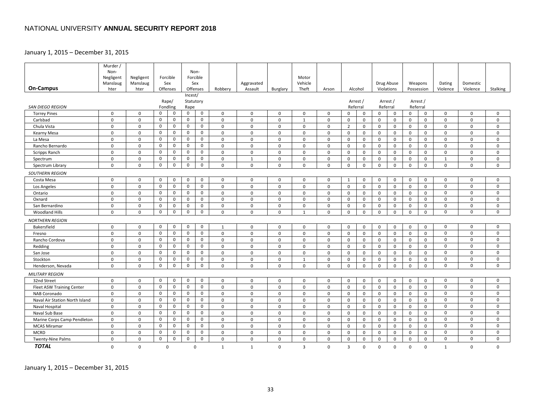### January 1, 2015 – December 31, 2015

|                                  | Murder /      |                            |                  |                |                     |                  |                            |              |               |                  |                            |                            |                              |                  |                         |                  |                            |                  |                         |                            |
|----------------------------------|---------------|----------------------------|------------------|----------------|---------------------|------------------|----------------------------|--------------|---------------|------------------|----------------------------|----------------------------|------------------------------|------------------|-------------------------|------------------|----------------------------|------------------|-------------------------|----------------------------|
|                                  | Non-          |                            |                  |                |                     | Non-             |                            |              |               |                  |                            |                            |                              |                  |                         |                  |                            |                  |                         |                            |
|                                  | Negligent     | Negligent                  |                  | Forcible       |                     | Forcible         |                            |              |               | Motor            |                            |                            |                              |                  |                         |                  |                            |                  |                         |                            |
|                                  | Manslaug      | Manslaug                   |                  | Sex            |                     | Sex              |                            | Aggravated   |               | Vehicle          |                            |                            |                              |                  | Drug Abuse              |                  | Weapons                    | Dating           | Domestic                |                            |
| <b>On-Campus</b>                 | hter          | hter                       |                  | Offenses       |                     | Offenses         | Robbery                    | Assault      | Burglary      | Theft            | Arson                      |                            | Alcohol                      |                  | Violations              |                  | Possession                 | Violence         | Violence                | Stalking                   |
|                                  |               |                            |                  |                | Incest/             |                  |                            |              |               |                  |                            |                            |                              |                  |                         |                  |                            |                  |                         |                            |
| <b>SAN DIEGO REGION</b>          |               |                            |                  | Rape/          | Statutory           |                  |                            |              |               |                  |                            |                            | Arrest /<br>Referral         |                  | Arrest /                |                  | Arrest /<br>Referral       |                  |                         |                            |
| <b>Torrey Pines</b>              | 0             | $\mathbf 0$                | $\mathsf{O}$     | Fondling<br>0  | Rape<br>$\mathbf 0$ | $\mathbf 0$      | $\mathbf 0$                | $\mathsf{O}$ | $\mathbf 0$   | 0                | $\Omega$                   | $\Omega$                   | $\mathbf 0$                  | $\mathbf 0$      | Referral<br>$\mathbf 0$ | $\Omega$         | $\mathbf 0$                | 0                | $\mathbf 0$             | $\mathbf 0$                |
| Carlsbad                         | 0             | $\mathbf 0$                | $\mathsf{O}$     | 0              | 0                   | 0                | $\mathbf 0$                | $\mathbf 0$  | 0             | $\mathbf{1}$     | $\mathbf 0$                | $\mathbf 0$                | $\mathbf 0$                  | $\mathbf 0$      | $\mathbf 0$             | $\mathbf 0$      | $\mathbf 0$                | 0                | 0                       | $\mathbf 0$                |
| Chula Vista                      | 0             | 0                          | $\mathbf 0$      | 0              | 0                   | $\mathbf 0$      | $\mathbf 0$                | $\mathsf{O}$ | $\mathsf{O}$  | 0                | $\mathsf{O}$               | $\overline{2}$             | $\mathbf 0$                  | 0                | 0                       | 0                | 0                          | 0                | $\mathbf 0$             | 0                          |
| Kearny Mesa                      | $\mathbf 0$   | $\mathbf 0$                | $\mathsf{O}$     | 0              | $\mathbf 0$         | $\mathbf 0$      | $\mathbf 0$                | $\mathbf 0$  | $\mathbf 0$   | $\mathbf 0$      | $\mathbf 0$                | $\mathbf 0$                | $\mathbf 0$                  | $\mathbf 0$      | $\mathbf 0$             | $\mathbf 0$      | $\mathbf 0$                | $\mathbf 0$      | $\mathbf 0$             | $\mathbf 0$                |
| La Mesa                          | $\mathbf 0$   | 0                          | 0                | 0              | 0                   | 0                | $\mathbf 0$                | 0            | $\mathbf 0$   | 0                | 0                          | 0                          | $\mathbf 0$                  | 0                | $\mathbf 0$             | 0                | 0                          | 0                | 0                       | 0                          |
| Rancho Bernardo                  | $\mathbf 0$   | $\mathbf 0$                | $\mathsf{O}$     | 0              | $\mathbf 0$         | $\Omega$         | $\mathbf 0$                | $\mathsf{O}$ | $\mathbf 0$   | 0                | $\mathbf 0$                | $\mathbf 0$                | $\mathsf{o}$                 | $\mathbf 0$      | 0                       | $\mathbf 0$      | $\mathbf 0$                | 0                | $\mathbf 0$             | $\mathbf 0$                |
| Scripps Ranch                    | $\Omega$      | $\mathbf 0$                | $\mathsf 0$      | 0              | 0                   | $\mathbf 0$      | $\mathbf 0$                | $\mathbf 0$  | $\mathbf 0$   | $\Omega$         | $\Omega$                   | $\Omega$                   | $\mathbf 0$                  | $\Omega$         | $\mathbf 0$             | $\Omega$         | $\mathbf 0$                | $\mathbf 0$      | $\Omega$                | $\Omega$                   |
| Spectrum                         | 0             | 0                          | $\mathsf{O}$     | 0              | 0                   | 0                | $\mathsf 0$                | $\mathbf{1}$ | $\mathsf{O}$  | 0                | 0                          | 0                          | $\mathsf 0$                  | 0                | 0                       | 0                | $\mathbf 0$                | $\mathbf{1}$     | 0                       | 0                          |
| Spectrum Library                 | 0             | $\mathbf 0$                | $\mathbf 0$      | 0              | $\mathsf 0$         | $\mathbf 0$      | $\mathbf 0$                | $\mathsf{O}$ | 0             | 0                | 0                          | $\mathbf 0$                | $\mathsf 0$                  | $\mathbf 0$      | 0                       | $\mathbf 0$      | $\mathbf 0$                | 0                | 0                       | $\mathbf 0$                |
|                                  |               |                            |                  |                |                     |                  |                            |              |               |                  |                            |                            |                              |                  |                         |                  |                            |                  |                         |                            |
| <b>SOUTHERN REGION</b>           | 0             | 0                          | $\mathbf 0$      | 0              | 0                   | $\mathbf 0$      | $\mathbf 0$                | $\mathsf{O}$ | 0             | 0                | $\mathbf 0$                | $\mathbf{1}$               | $\mathsf{o}$                 | 0                |                         | $\mathbf 0$      | 0                          | 0                | 0                       | $\mathbf 0$                |
| Costa Mesa                       | 0             |                            | $\mathsf 0$      | 0              | $\mathsf{O}$        | $\mathbf 0$      | $\mathsf 0$                | $\mathsf 0$  | $\mathsf 0$   | 0                | $\mathsf 0$                | $\mathsf{O}$               |                              |                  | 0<br>$\mathsf{O}$       | $\mathbf 0$      |                            | $\mathbf 0$      | $\mathbf 0$             | $\mathbf 0$                |
| Los Angeles<br>Ontario           | 0             | $\mathsf 0$<br>$\mathbf 0$ | $\mathsf{O}$     | 0              | 0                   | $\mathbf 0$      | $\mathbf 0$                | $\mathsf{O}$ | $\mathbf 0$   | 0                | $\mathbf 0$                | $\mathbf 0$                | $\mathsf{o}$<br>$\mathsf{o}$ | 0<br>$\mathbf 0$ | $\mathbf 0$             | $\mathbf 0$      | $\mathbf 0$<br>$\mathbf 0$ | $\mathbf 0$      | $\mathbf 0$             | $\mathbf 0$                |
|                                  | 0             | 0                          | $\mathsf 0$      | 0              | 0                   | $\mathbf 0$      | $\mathbf 0$                | 0            | 0             | 0                | $\mathbf 0$                | $\mathbf 0$                | $\mathbf 0$                  | $\mathbf 0$      | $\mathbf 0$             | 0                | 0                          | 0                | $\Omega$                | $\mathbf 0$                |
| Oxnard<br>San Bernardino         | 0             | 0                          | $\mathsf{o}$     | 0              | $\mathsf{O}$        | $\mathbf 0$      | $\mathbf 0$                | $\mathsf{O}$ | $\mathsf{O}$  | 0                | $\mathbf 0$                | $\mathbf 0$                | $\mathsf{o}$                 | $\mathbf 0$      | 0                       | $\mathbf 0$      | $\mathbf 0$                | $\mathbf 0$      | $\Omega$                | $\mathbf 0$                |
| <b>Woodland Hills</b>            | $\mathbf 0$   | $\mathbf 0$                | $\mathsf 0$      | 0              | $\mathsf 0$         | $\mathsf{O}$     | $\mathbf 0$                | $\mathbf 0$  | 0             | $\mathbf{1}$     | $\Omega$                   | $\mathbf 0$                | $\mathbf 0$                  | $\mathbf 0$      | $\mathsf{O}$            | $\mathbf 0$      | $\mathbf 0$                | 0                | 0                       | $\mathbf 0$                |
|                                  |               |                            |                  |                |                     |                  |                            |              |               |                  |                            |                            |                              |                  |                         |                  |                            |                  |                         |                            |
| <b>NORTHERN REGION</b>           |               |                            |                  |                |                     |                  |                            |              |               |                  |                            |                            |                              |                  |                         |                  |                            |                  |                         |                            |
| Bakersfield                      | $\mathbf 0$   | $\mathbf 0$                | $\mathsf{o}$     | 0              | 0                   | $\mathsf{O}$     | 1                          | $\mathbf 0$  | $\mathbf 0$   | 0                | $\mathbf 0$                | $\mathbf 0$                | $\mathbf 0$                  | $\mathbf 0$      | 0                       | $\mathbf 0$      | $\mathbf 0$                | $\mathbf 0$      | 0                       | $\mathbf 0$                |
| Fresno                           | $\mathbf 0$   | $\mathbf 0$                | $\mathsf 0$      | 0              | $\mathbf 0$         | $\mathbf 0$      | $\mathbf 0$                | $\mathbf 0$  | $\mathbf 0$   | $\mathbf 0$      | $\mathbf 0$                | $\mathbf 0$                | $\mathbf 0$                  | $\mathbf 0$      | $\mathbf 0$             | $\mathbf 0$      | $\mathbf 0$                | $\mathbf 0$      | $\mathbf 0$             | $\mathbf 0$                |
| Rancho Cordova                   | 0             | 0                          | $\mathbf 0$      | 0              | $\mathbf 0$         | 0                | $\mathsf 0$                | $\mathsf{O}$ | 0             | 0                | $\mathbf 0$                | $\mathbf 0$                | $\mathbf 0$                  | 0                | 0                       | 0                | 0                          | 0                | $\Omega$<br>$\mathbf 0$ | $\mathbf 0$<br>$\mathbf 0$ |
| Redding                          | 0             | 0                          | $\mathsf{O}$     | 0              | 0                   | 0                | $\mathbf 0$                | $\mathsf{O}$ | $\mathbf 0$   | 0                | $\mathbf 0$                | $\mathsf 0$                | $\mathbf 0$                  | 0                | $\mathsf{O}$            | $\mathbf 0$      | $\mathbf 0$                | 0                |                         |                            |
| San Jose                         | $\mathbf 0$   | $\mathbf 0$                | 0<br>$\mathsf 0$ | 0<br>0         | 0<br>$\mathbf 0$    | $\mathbf 0$<br>0 | $\mathbf 0$                | 0<br>0       | $\mathbf 0$   | 0                | $\mathbf 0$<br>$\mathbf 0$ | $\mathbf 0$<br>$\mathbf 0$ | $\mathbf 0$                  | 0                | $\mathbf 0$             | $\mathbf 0$      | 0                          | $\mathbf 0$<br>0 | $\mathbf 0$<br>$\Omega$ | 0<br>$\mathbf 0$           |
| Stockton<br>Henderson, Nevada    | 0<br>$\Omega$ | 0<br>$\Omega$              | $\mathsf{o}$     | 0              | $\mathsf{O}$        | $\mathbf 0$      | $\mathbf 0$<br>$\mathbf 0$ | $\mathbf 0$  | 0<br>$\Omega$ | 1<br>$\mathbf 0$ | $\Omega$                   | $\mathbf 0$                | $\mathsf{o}$<br>$\mathbf 0$  | 0<br>$\mathbf 0$ | 0<br>$\mathsf{O}$       | 0<br>$\mathbf 0$ | 0<br>$\mathbf 0$           | $\mathbf 0$      | $\mathbf 0$             | $\mathbf 0$                |
|                                  |               |                            |                  |                |                     |                  |                            |              |               |                  |                            |                            |                              |                  |                         |                  |                            |                  |                         |                            |
| <b>MILITARY REGION</b>           |               |                            |                  |                |                     |                  |                            |              |               |                  |                            |                            |                              |                  |                         |                  |                            |                  |                         |                            |
| 32nd Street                      | 0             | 0                          | $\mathsf 0$      | 0              | $\mathbf 0$         | 0                | $\mathbf 0$                | 0            | 0             | 0                | 0                          | 0                          | $\mathbf 0$                  | 0                | 0                       | $\mathbf 0$      | 0                          | 0                | $\mathbf 0$             | $\mathbf 0$                |
| <b>Fleet ASW Training Center</b> | $\mathbf 0$   | $\mathbf 0$                | $\mathsf{o}$     | 0              | 0                   | 0                | $\mathbf 0$                | $\mathsf{O}$ | $\mathbf 0$   | 0                | $\mathbf 0$                | $\mathbf 0$                | $\mathbf 0$                  | $\mathbf 0$      | 0                       | $\mathbf 0$      | 0                          | 0                | 0                       | $\mathbf 0$                |
| NAB Coronado                     | $\mathbf 0$   | $\mathbf 0$                | 0                | 0              | 0                   | $\mathbf 0$      | $\mathbf 0$                | $\mathbf 0$  | $\mathbf 0$   | 0                | $\mathbf 0$                | $\mathbf 0$                | $\mathbf 0$                  | $\mathbf 0$      | $\mathbf 0$             | $\mathbf 0$      | $\mathbf 0$                | 0                | 0                       | $\mathbf 0$                |
| Naval Air Station North Island   | 0             | $\mathbf 0$                | $\mathsf 0$      | 0              | 0                   | $\mathbf 0$      | $\mathbf 0$                | 0            | 0             | 0                | 0                          | 0                          | $\mathbf 0$                  | 0                | 0                       | 0                | 0                          | 0                | 0                       | $\mathbf 0$                |
| Naval Hospital                   | $\mathbf 0$   | $\mathbf 0$                | $\mathsf{o}$     | 0              | 0                   | 0                | $\mathsf 0$                | $\mathsf{O}$ | $\mathbf 0$   | $\mathbf 0$      | $\mathbf 0$                | $\mathbf 0$                | $\mathbf 0$                  | $\mathbf 0$      | $\mathsf{O}$            | $\mathbf 0$      | $\mathbf 0$                | $\mathbf 0$      | $\mathbf 0$             | $\mathbf 0$                |
| Naval Sub Base                   | $\mathbf 0$   | 0                          | 0                | 0              | 0                   | 0                | $\mathbf 0$                | $\mathbf 0$  | $\mathbf 0$   | 0                | $\mathbf 0$                | $\mathbf 0$                | $\mathbf 0$                  | 0                | 0                       | 0                | 0                          | 0                | 0                       | 0                          |
| Marine Corps Camp Pendleton      | 0             | 0                          | $\mathsf 0$      | 0              | 0                   | $\mathbf 0$      | $\mathbf 0$                | $\mathsf{O}$ | 0             | 0                | $\mathbf 0$                | 0                          | $\mathbf 0$                  | 0                | $\mathbf 0$             | 0                | 0                          | 0                | $\Omega$<br>$\Omega$    | $\mathbf 0$<br>$\Omega$    |
| <b>MCAS Miramar</b>              | $\Omega$      | $\mathbf 0$                | $\mathbf 0$      | 0              | $\mathbf 0$         | $\mathbf 0$      | $\mathbf 0$                | $\mathbf 0$  | $\Omega$      | $\mathbf 0$      | $\Omega$                   | $\Omega$                   | $\mathbf 0$                  | $\Omega$         | $\mathbf 0$             | $\Omega$         | $\mathbf 0$                | $\mathbf 0$      |                         |                            |
| <b>MCRD</b>                      | $\mathbf 0$   | $\mathbf 0$                | 0                | 0<br>$\pmb{0}$ | 0                   | 0                | $\mathbf 0$                | 0            | 0             | 0                | $\mathbf 0$                | 0                          | $\mathbf 0$                  | 0                | 0                       | 0                | 0                          | 0                | 0                       | 0<br>$\mathbf 0$           |
| Twenty-Nine Palms                | 0             | $\mathsf 0$                | $\mathsf 0$      |                | $\mathsf{O}\xspace$ | $\mathsf 0$      | 0                          | 0            | 0             | 0                | $\mathsf 0$                | $\mathbf 0$                | $\mathsf 0$                  | 0                | $\mathsf 0$             | $\mathsf 0$      | $\mathbf 0$                | 0                | 0                       |                            |
| <b>TOTAL</b>                     | 0             | $\mathbf 0$                |                  | 0              |                     | $\Omega$         | 1                          | 1            | 0             | 3                | 0                          | 3                          | $\mathbf 0$                  | 0                | $\mathbf 0$             | 0                | $\mathbf 0$                | 1                | 0                       | $\mathbf 0$                |

January 1, 2015 – December 31, 2015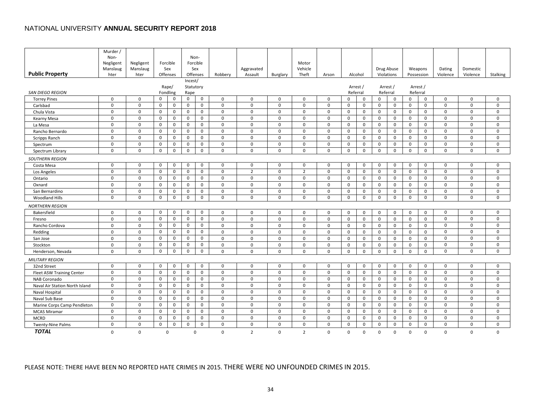|                                  | Murder /              |                       |              |                 |             |                  |              |                |              |                  |             |             |              |             |              |             |              |             |             |             |
|----------------------------------|-----------------------|-----------------------|--------------|-----------------|-------------|------------------|--------------|----------------|--------------|------------------|-------------|-------------|--------------|-------------|--------------|-------------|--------------|-------------|-------------|-------------|
|                                  | Non-                  |                       |              |                 |             | Non-<br>Forcible |              |                |              |                  |             |             |              |             |              |             |              |             |             |             |
|                                  | Negligent<br>Manslaug | Negligent<br>Manslaug |              | Forcible<br>Sex |             | Sex              |              | Aggravated     |              | Motor<br>Vehicle |             |             |              |             | Drug Abuse   |             | Weapons      | Dating      | Domestic    |             |
| <b>Public Property</b>           | hter                  | hter                  |              | Offenses        |             | Offenses         | Robbery      | Assault        | Burglary     | Theft            | Arson       |             | Alcohol      |             | Violations   |             | Possession   | Violence    | Violence    | Stalking    |
|                                  |                       |                       |              |                 | Incest/     |                  |              |                |              |                  |             |             |              |             |              |             |              |             |             |             |
|                                  |                       |                       |              | Rape/           | Statutory   |                  |              |                |              |                  |             |             | Arrest /     |             | Arrest /     |             | Arrest /     |             |             |             |
| <b>SAN DIEGO REGION</b>          |                       |                       |              | Fondling        | Rape        |                  |              |                |              |                  |             |             | Referral     | Referral    |              |             | Referral     |             |             |             |
| <b>Torrey Pines</b>              | 0                     | 0                     | $\mathbf 0$  | 0               | 0           | $\mathbf 0$      | 0            | 0              | 0            | 0                | $\mathbf 0$ | $\Omega$    | 0            | 0           | 0            | $\Omega$    | $\mathbf 0$  | 0           | 0           | $\mathbf 0$ |
| Carlsbad                         | $\mathbf 0$           | $\mathsf{O}$          | $\mathsf{O}$ | $\mathbf 0$     | 0           | $\mathbf 0$      | $\mathsf{o}$ | $\mathbf 0$    | $\mathbf 0$  | 0                | 0           | $\mathbf 0$ | $\mathbf 0$  | 0           | $\mathsf{o}$ | 0           | $\mathbf 0$  | $\mathbf 0$ | $\mathbf 0$ | $\mathbf 0$ |
| Chula Vista                      | $\mathbf 0$           | $\mathbf 0$           | 0            | 0               | 0           | $\mathbf 0$      | $\mathsf{o}$ | $\mathbf 0$    | $\mathbf 0$  | 0                | 0           | $\mathbf 0$ | $\mathbf 0$  | 0           | 0            | 0           | $\mathbf 0$  | 0           | $\mathbf 0$ | $\mathbf 0$ |
| Kearny Mesa                      | $\mathsf 0$           | $\pmb{0}$             | $\mathbf 0$  | 0               | 0           | 0                | $\mathsf 0$  | 0              | 0            | 0                | $\mathbf 0$ | $\mathsf 0$ | 0            | $\mathsf 0$ | $\mathsf{O}$ | 0           | $\mathsf{O}$ | 0           | 0           | $\mathbf 0$ |
| La Mesa                          | $\mathbf 0$           | $\mathbf 0$           | $\mathsf{O}$ | 0               | 0           | $\mathbf 0$      | $\mathbf 0$  | $\mathbf 0$    | $\mathbf 0$  | 0                | 0           | $\mathbf 0$ | $\mathbf 0$  | 0           | $\mathsf{o}$ | $\mathbf 0$ | $\mathbf 0$  | $\mathbf 0$ | $\mathbf 0$ | $\mathbf 0$ |
| Rancho Bernardo                  | $\mathbf 0$           | $\mathbf 0$           | $\mathsf{O}$ | $\mathbf 0$     | $\mathbf 0$ | $\mathbf 0$      | $\mathbf 0$  | $\mathbf 0$    | $\mathbf 0$  | 0                | 0           | $\mathbf 0$ | $\mathbf 0$  | $\mathbf 0$ | $\mathbf 0$  | $\mathbf 0$ | $\mathbf 0$  | $\mathbf 0$ | $\mathbf 0$ | $\mathbf 0$ |
| Scripps Ranch                    | 0                     | 0                     | 0            | 0               | 0           | 0                | $\mathsf{o}$ | 0              | 0            | 0                | 0           | 0           | 0            | 0           | 0            | 0           | 0            | 0           | 0           | 0           |
| Spectrum                         | $\mathbf 0$           | $\mathbf 0$           | $\mathsf{O}$ | 0               | 0           | $\mathbf 0$      | $\mathsf{o}$ | 0              | 0            | $\mathbf 0$      | 0           | $\mathbf 0$ | $\mathsf{o}$ | 0           | 0            | $\mathbf 0$ | $\mathbf 0$  | $\mathbf 0$ | $\mathbf 0$ | $\mathbf 0$ |
| Spectrum Library                 | $\mathbf 0$           | $\mathbf 0$           | $\mathsf 0$  | 0               | $\mathsf 0$ | $\mathsf 0$      | $\mathsf{O}$ | $\mathsf{O}$   | $\mathbf 0$  | $\mathbf 0$      | $\mathbf 0$ | $\mathbf 0$ | $\mathsf{O}$ | $\mathsf 0$ | $\mathsf{O}$ | $\mathbf 0$ | $\mathbf 0$  | $\mathbf 0$ | $\mathbf 0$ | $\mathbf 0$ |
| <b>SOUTHERN REGION</b>           |                       |                       |              |                 |             |                  |              |                |              |                  |             |             |              |             |              |             |              |             |             |             |
| Costa Mesa                       | $\mathbf 0$           | $\mathbf 0$           | $\mathsf{O}$ | 0               | 0           | $\mathsf{O}$     | $\mathsf{o}$ | $\mathsf{O}$   | $\mathbf 0$  | 0                | $\mathbf 0$ | $\mathbf 0$ | $\mathsf{o}$ | 0           | 0            | $\mathbf 0$ | $\mathbf 0$  | $\mathbf 0$ | $\mathbf 0$ | $\mathbf 0$ |
| Los Angeles                      | $\mathbf 0$           | $\mathbf 0$           | $\mathbf 0$  | 0               | $\mathbf 0$ | $\mathbf 0$      | $\mathbf 0$  | $\overline{2}$ | $\mathbf 0$  | $\overline{2}$   | 0           | $\mathbf 0$ | $\mathbf 0$  | $\mathbf 0$ | $\mathbf 0$  | $\mathbf 0$ | $\mathbf 0$  | $\mathbf 0$ | $\mathbf 0$ | $\Omega$    |
| Ontario                          | 0                     | 0                     | 0            | 0               | 0           | $\mathbf 0$      | $\mathbf 0$  | 0              | 0            | 0                | 0           | 0           | 0            | 0           | $\mathbf 0$  | 0           | 0            | 0           | 0           | 0           |
| Oxnard                           | $\mathbf 0$           | $\mathbf 0$           | $\mathsf{O}$ | 0               | 0           | $\mathbf 0$      | $\mathsf 0$  | $\mathsf{O}$   | $\mathbf 0$  | $\mathbf 0$      | 0           | $\mathbf 0$ | $\mathbf 0$  | $\mathbf 0$ | 0            | $\mathbf 0$ | $\mathbf 0$  | $\mathbf 0$ | $\mathbf 0$ | $\mathbf 0$ |
| San Bernardino                   | $\mathbf 0$           | $\mathbf 0$           | $\mathbf 0$  | 0               | 0           | $\mathsf{O}$     | $\mathbf 0$  | 0              | 0            | 0                | 0           | $\mathbf 0$ | 0            | 0           | 0            | $\mathbf 0$ | $\mathbf 0$  | $\mathbf 0$ | $\mathbf 0$ | $\mathbf 0$ |
| <b>Woodland Hills</b>            | $\Omega$              | $\mathbf 0$           | $\mathsf{O}$ | 0               | $\mathbf 0$ | $\mathbf 0$      | $\mathbf 0$  | $\mathbf 0$    | 0            | $\mathbf 0$      | 0           | $\mathbf 0$ | $\mathbf 0$  | $\mathbf 0$ | $\mathsf{O}$ | $\mathbf 0$ | $\mathbf 0$  | $\mathbf 0$ | $\Omega$    | $\Omega$    |
| <b>NORTHERN REGION</b>           |                       |                       |              |                 |             |                  |              |                |              |                  |             |             |              |             |              |             |              |             |             |             |
| Bakersfield                      | 0                     | $\mathsf 0$           | $\mathbf 0$  | 0               | 0           | $\mathbf 0$      | $\mathsf{o}$ | $\mathsf{O}$   | 0            | 0                | 0           | $\mathbf 0$ | $\mathbf 0$  | 0           | $\mathsf{o}$ | $\mathbf 0$ | $\mathbf 0$  | $\mathbf 0$ | $\mathbf 0$ | $\mathbf 0$ |
| Fresno                           | $\mathbf 0$           | $\mathbf 0$           | $\mathsf{O}$ | $\mathsf{O}$    | 0           | $\mathsf{O}$     | $\mathbf 0$  | $\mathbf 0$    | $\mathbf 0$  | 0                | 0           | $\mathbf 0$ | $\mathbf 0$  | $\mathbf 0$ | $\mathsf{O}$ | $\mathbf 0$ | $\mathbf 0$  | $\mathbf 0$ | $\mathbf 0$ | $\mathbf 0$ |
| Rancho Cordova                   | $\mathbf 0$           | $\mathbf 0$           | 0            | 0               | 0           | 0                | $\mathsf{o}$ | 0              | $\mathbf 0$  | 0                | 0           | $\mathbf 0$ | $\mathbf 0$  | $\mathbf 0$ | 0            | $\mathbf 0$ | $\mathbf 0$  | 0           | 0           | 0           |
| Redding                          | 0                     | $\mathbf 0$           | $\mathbf 0$  | 0               | 0           | $\mathbf 0$      | $\mathsf{o}$ | $\mathsf{O}$   | $\mathsf{O}$ | 0                | 0           | 0           | $\mathsf{o}$ | 0           | $\mathsf{O}$ | 0           | $\mathbf 0$  | 0           | $\mathbf 0$ | $\mathbf 0$ |
| San Jose                         | $\mathbf 0$           | $\mathbf 0$           | $\mathsf{O}$ | 0               | 0           | $\mathbf 0$      | $\mathsf 0$  | $\mathsf{O}$   | 0            | 0                | 0           | $\mathbf 0$ | $\mathbf 0$  | 0           | $\mathsf{O}$ | $\mathbf 0$ | $\mathbf 0$  | $\mathbf 0$ | $\mathbf 0$ | $\mathbf 0$ |
| Stockton                         | $\mathbf 0$           | $\mathbf 0$           | $\mathbf 0$  | 0               | $\mathbf 0$ | $\mathbf 0$      | $\mathsf 0$  | 0              | 0            | $\mathbf 0$      | $\Omega$    | $\Omega$    | $\mathbf 0$  | $\mathbf 0$ | 0            | $\Omega$    | $\mathbf 0$  | $\mathbf 0$ | $\mathbf 0$ | $\mathbf 0$ |
| Henderson, Nevada                | 0                     | $\mathbf 0$           | $\mathsf 0$  | 0               | 0           | $\mathbf 0$      | 0            | $\mathbf 0$    | 0            | 0                | 0           | $\mathbf 0$ | $\mathbf 0$  | 0           | $\mathsf{O}$ | $\mathbf 0$ | $\mathbf 0$  | 0           | $\mathbf 0$ | $\Omega$    |
| <b>MILITARY REGION</b>           |                       |                       |              |                 |             |                  |              |                |              |                  |             |             |              |             |              |             |              |             |             |             |
| 32nd Street                      | $\mathbf 0$           | $\mathbf 0$           | $\mathbf 0$  | $\mathsf{O}$    | 0           | $\mathbf 0$      | $\mathbf 0$  | $\mathbf 0$    | $\mathbf 0$  | 0                | 0           | $\mathbf 0$ | $\mathbf 0$  | $\mathbf 0$ | $\mathsf{o}$ | $\mathbf 0$ | $\mathbf 0$  | $\mathbf 0$ | $\mathbf 0$ | $\mathbf 0$ |
| <b>Fleet ASW Training Center</b> | $\mathbf 0$           | $\mathbf 0$           | 0            | 0               | 0           | $\mathsf{O}$     | $\mathbf 0$  | 0              | 0            | 0                | $\mathbf 0$ | 0           | $\mathbf 0$  | 0           | 0            | 0           | 0            | 0           | $\mathbf 0$ | $\mathbf 0$ |
| NAB Coronado                     | $\mathbf 0$           | $\mathbf 0$           | 0            | 0               | 0           | $\mathbf 0$      | $\mathsf{o}$ | $\mathsf{O}$   | $\mathbf 0$  | 0                | 0           | 0           | $\mathbf 0$  | 0           | 0            | $\mathbf 0$ | $\mathbf 0$  | $\mathbf 0$ | $\mathbf 0$ | $\mathbf 0$ |
| Naval Air Station North Island   | $\mathbf 0$           | $\mathbf 0$           | $\mathbf 0$  | $\mathbf 0$     | $\mathbf 0$ | $\mathbf 0$      | $\mathbf 0$  | $\mathbf 0$    | $\mathbf 0$  | $\mathbf 0$      | $\mathbf 0$ | $\mathbf 0$ | $\mathbf 0$  | $\mathbf 0$ | $\mathbf 0$  | $\mathbf 0$ | $\mathbf 0$  | $\mathbf 0$ | $\mathbf 0$ | $\mathbf 0$ |
| Naval Hospital                   | $\mathbf 0$           | 0                     | 0            | 0               | 0           | 0                | $\mathsf{o}$ | 0              | $\mathbf 0$  | 0                | 0           | 0           | $\mathbf 0$  | 0           | $\mathbf 0$  | 0           | 0            | $\mathbf 0$ | $\mathbf 0$ | 0           |
| Naval Sub Base                   | $\mathbf 0$           | $\mathbf 0$           | $\mathsf{O}$ | 0               | 0           | $\mathbf 0$      | $\mathsf{o}$ | 0              | $\mathbf 0$  | $\mathbf 0$      | $\mathbf 0$ | $\mathbf 0$ | $\mathbf 0$  | 0           | 0            | $\mathbf 0$ | $\mathbf 0$  | $\mathbf 0$ | $\mathbf 0$ | $\Omega$    |
| Marine Corps Camp Pendleton      | $\mathbf 0$           | $\mathbf 0$           | 0            | 0               | 0           | $\mathbf 0$      | $\mathsf{o}$ | $\mathbf 0$    | $\mathbf 0$  | $\mathbf 0$      | 0           | 0           | $\mathbf 0$  | 0           | 0            | 0           | 0            | $\mathbf 0$ | $\mathbf 0$ | $\mathbf 0$ |
| <b>MCAS Miramar</b>              | $\mathbf 0$           | $\mathbf 0$           | $\mathsf{O}$ | 0               | $\mathbf 0$ | $\mathbf 0$      | $\mathsf{o}$ | $\mathbf 0$    | 0            | 0                | 0           | $\mathbf 0$ | $\mathbf 0$  | 0           | $\mathbf 0$  | $\mathbf 0$ | $\mathbf 0$  | $\mathbf 0$ | $\mathbf 0$ | $\mathbf 0$ |
| <b>MCRD</b>                      | $\mathbf 0$           | $\mathbf 0$           | $\mathsf{O}$ | 0               | $\mathbf 0$ | $\mathbf 0$      | $\mathbf 0$  | $\mathbf 0$    | $\mathbf 0$  | 0                | 0           | $\mathbf 0$ | $\mathbf 0$  | $\mathbf 0$ | $\mathbf 0$  | $\mathbf 0$ | $\mathbf 0$  | $\mathbf 0$ | $\mathbf 0$ | $\mathbf 0$ |
| Twenty-Nine Palms                | 0                     | 0                     | $\mathsf{O}$ | 0               | $\mathsf 0$ | $\mathbf 0$      | 0            | 0              | 0            | 0                | $\mathbf 0$ | 0           | 0            | 0           | 0            | 0           | $\mathbf 0$  | $\mathbf 0$ | $\mathbf 0$ | $\mathbf 0$ |
| <b>TOTAL</b>                     | 0                     | $\mathbf 0$           |              | 0               |             | 0                | 0            | $\overline{2}$ | 0            | $\overline{2}$   | $\mathbf 0$ | 0           | 0            | 0           | 0            | 0           | $\mathbf 0$  | 0           | $\mathbf 0$ | $\mathbf 0$ |

# PLEASE NOTE: THERE HAVE BEEN NO REPORTED HATE CRIMES IN 2015. THERE WERE NO UNFOUNDED CRIMES IN 2015.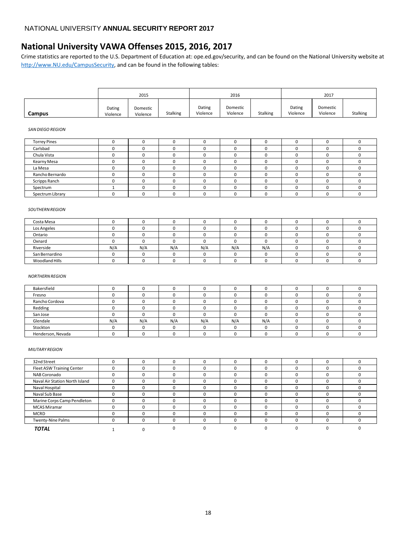# <span id="page-35-0"></span>**National University VAWA Offenses 2015, 2016, 2017**

Crime statistics are reported to the U.S. Department of Education at: ope.ed.gov/security, and can be found on the National University website at [http://www.NU.edu/CampusSecurity,](http://www.nu.edu/CampusSecurity) and can be found in the following tables:

|        |                    | 2015                 |          |                    | 2016                 |                 |                    | 2017                 |                 |
|--------|--------------------|----------------------|----------|--------------------|----------------------|-----------------|--------------------|----------------------|-----------------|
| Campus | Dating<br>Violence | Domestic<br>Violence | Stalking | Dating<br>Violence | Domestic<br>Violence | <b>Stalking</b> | Dating<br>Violence | Domestic<br>Violence | <b>Stalking</b> |

#### *SAN DIEGO REGION*

| <b>Torrey Pines</b> |  |  |  |  |  |
|---------------------|--|--|--|--|--|
| Carlsbad            |  |  |  |  |  |
| Chula Vista         |  |  |  |  |  |
| Kearny Mesa         |  |  |  |  |  |
| La Mesa             |  |  |  |  |  |
| Rancho Bernardo     |  |  |  |  |  |
| Scripps Ranch       |  |  |  |  |  |
| Spectrum            |  |  |  |  |  |
| Spectrum Library    |  |  |  |  |  |

#### *SOUTHERNREGION*

| Costa Mesa     |     |     |     |     |     |     |  |  |
|----------------|-----|-----|-----|-----|-----|-----|--|--|
| Los Angeles    |     |     |     |     |     |     |  |  |
| Ontario        |     |     |     |     |     |     |  |  |
| Oxnard         |     |     |     |     |     |     |  |  |
| Riverside      | N/A | N/A | N/A | N/A | N/A | N/A |  |  |
| San Bernardino |     |     |     |     |     |     |  |  |
| Woodland Hills |     |     |     |     |     |     |  |  |

#### *NORTHERNREGION*

| Bakersfield       |     |     |     |     |     |     |  |  |
|-------------------|-----|-----|-----|-----|-----|-----|--|--|
| Fresno            |     |     |     |     |     |     |  |  |
| Rancho Cordova    |     |     |     |     |     |     |  |  |
| Redding           |     |     |     |     |     |     |  |  |
| San Jose          |     |     |     |     |     |     |  |  |
| Glendale          | N/A | N/A | N/A | N/A | N/A | N/A |  |  |
| Stockton          |     |     |     |     |     |     |  |  |
| Henderson, Nevada |     |     |     |     |     |     |  |  |

#### *MILITARYREGION*

| 32nd Street                    |  |              | υ |  |   |  |
|--------------------------------|--|--------------|---|--|---|--|
| Fleet ASW Training Center      |  | $\Omega$     | 0 |  |   |  |
| NAB Coronado                   |  | C            | 0 |  |   |  |
| Naval Air Station North Island |  | $\Omega$     | U |  |   |  |
| Naval Hospital                 |  |              |   |  |   |  |
| Naval Sub Base                 |  | $\Omega$     | U |  |   |  |
| Marine Corps Camp Pendleton    |  | <sup>0</sup> | 0 |  |   |  |
| <b>MCAS Miramar</b>            |  | $\Omega$     | O |  | C |  |
| <b>MCRD</b>                    |  | C            |   |  |   |  |
| <b>Twenty-Nine Palms</b>       |  |              | 0 |  |   |  |
| <b>TOTAL</b>                   |  |              |   |  |   |  |